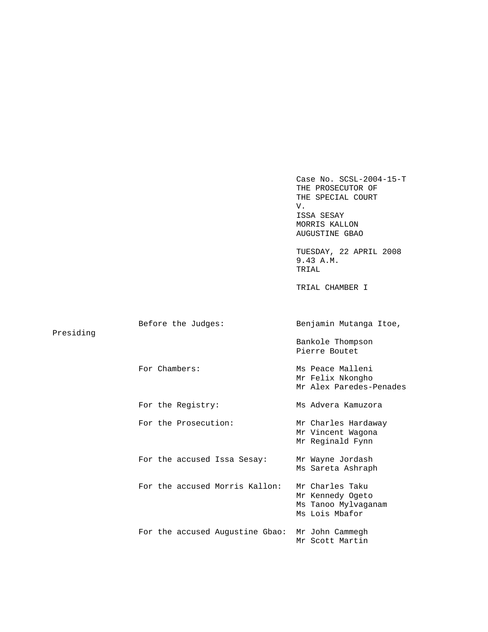|           |                                 | Case No. $SCSL-2004-15-T$<br>THE PROSECUTOR OF<br>THE SPECIAL COURT<br>V.<br>ISSA SESAY<br>MORRIS KALLON<br><b>AUGUSTINE GBAO</b> |
|-----------|---------------------------------|-----------------------------------------------------------------------------------------------------------------------------------|
|           |                                 | TUESDAY, 22 APRIL 2008<br>9.43 A.M.<br>TRIAL                                                                                      |
|           |                                 | TRIAL CHAMBER I                                                                                                                   |
|           |                                 |                                                                                                                                   |
| Presiding | Before the Judges:              | Benjamin Mutanga Itoe,                                                                                                            |
|           |                                 | Bankole Thompson<br>Pierre Boutet                                                                                                 |
|           | For Chambers:                   | Ms Peace Malleni<br>Mr Felix Nkongho<br>Mr Alex Paredes-Penades                                                                   |
|           | For the Registry:               | Ms Advera Kamuzora                                                                                                                |
|           | For the Prosecution:            | Mr Charles Hardaway<br>Mr Vincent Wagona<br>Mr Reginald Fynn                                                                      |
|           | For the accused Issa Sesay:     | Mr Wayne Jordash<br>Ms Sareta Ashraph                                                                                             |
|           | For the accused Morris Kallon:  | Mr Charles Taku<br>Mr Kennedy Ogeto<br>Ms Tanoo Mylvaganam<br>Ms Lois Mbafor                                                      |
|           | For the accused Augustine Gbao: | Mr John Cammegh<br>Mr Scott Martin                                                                                                |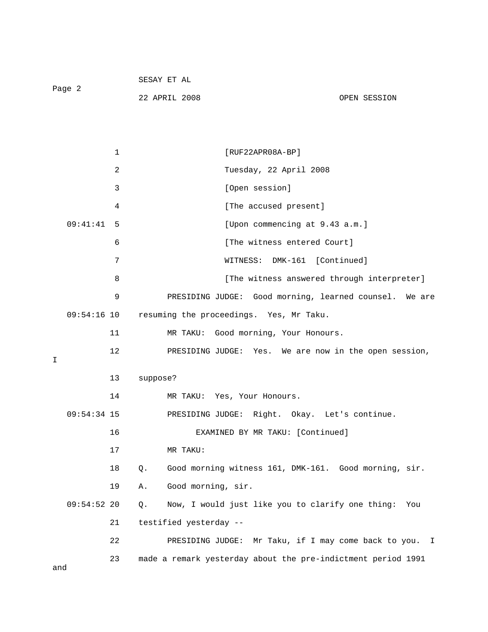| Page 2 | SESAY ET AL   |  |              |
|--------|---------------|--|--------------|
|        | 22 APRIL 2008 |  | OPEN SESSION |

|   |               | 1  | $[RUF22APR08A-BP]$                                          |
|---|---------------|----|-------------------------------------------------------------|
|   |               | 2  | Tuesday, 22 April 2008                                      |
|   |               | 3  | [Open session]                                              |
|   |               | 4  | [The accused present]                                       |
|   | 09:41:41      | 5  | [Upon commencing at 9.43 a.m.]                              |
|   |               | 6  | [The witness entered Court]                                 |
|   |               | 7  | DMK-161 [Continued]<br>WITNESS:                             |
|   |               | 8  | [The witness answered through interpreter]                  |
|   |               | 9  | PRESIDING JUDGE: Good morning, learned counsel. We are      |
|   | $09:54:16$ 10 |    | resuming the proceedings. Yes, Mr Taku.                     |
|   |               | 11 | Good morning, Your Honours.<br>MR TAKU:                     |
|   |               | 12 | PRESIDING JUDGE: Yes. We are now in the open session,       |
| I |               |    |                                                             |
|   |               | 13 | suppose?                                                    |
|   |               | 14 | MR TAKU: Yes, Your Honours.                                 |
|   | $09:54:34$ 15 |    | PRESIDING JUDGE: Right. Okay. Let's continue.               |
|   |               | 16 | EXAMINED BY MR TAKU: [Continued]                            |
|   |               |    |                                                             |
|   |               | 17 | MR TAKU:                                                    |
|   |               | 18 | Good morning witness 161, DMK-161. Good morning, sir.<br>Q. |
|   |               | 19 | Good morning, sir.<br>Α.                                    |
|   | $09:54:52$ 20 |    | Now, I would just like you to clarify one thing: You<br>Q.  |
|   |               | 21 | testified yesterday --                                      |
|   |               | 22 | Mr Taku, if I may come back to you. I<br>PRESIDING JUDGE:   |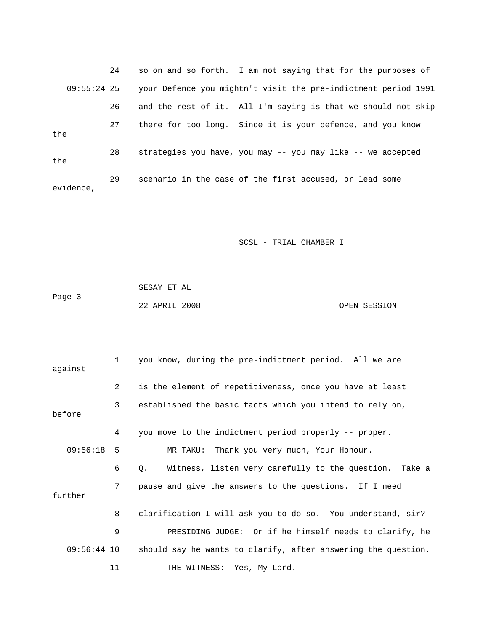24 so on and so forth. I am not saying that for the purposes of 09:55:24 25 your Defence you mightn't visit the pre-indictment period 1991 26 and the rest of it. All I'm saying is that we should not skip 27 there for too long. Since it is your defence, and you know the 28 strategies you have, you may -- you may like -- we accepted the 29 scenario in the case of the first accused, or lead some evidence,

SCSL - TRIAL CHAMBER I

 SESAY ET AL Page 3 22 APRIL 2008 OPEN SESSION

| against       | 1              | you know, during the pre-indictment period. All we are              |
|---------------|----------------|---------------------------------------------------------------------|
|               | $\overline{2}$ | is the element of repetitiveness, once you have at least            |
| before        | 3              | established the basic facts which you intend to rely on,            |
|               | 4              | you move to the indictment period properly -- proper.               |
| 09:56:18      | 5              | MR TAKU: Thank you very much, Your Honour.                          |
|               | 6              | Witness, listen very carefully to the question. Take a<br>$\circ$ . |
| further       | 7              | pause and give the answers to the questions. If I need              |
|               | 8              | clarification I will ask you to do so. You understand, sir?         |
|               | 9              | PRESIDING JUDGE: Or if he himself needs to clarify, he              |
| $09:56:44$ 10 |                | should say he wants to clarify, after answering the question.       |
|               | 11             | THE WITNESS: Yes, My Lord.                                          |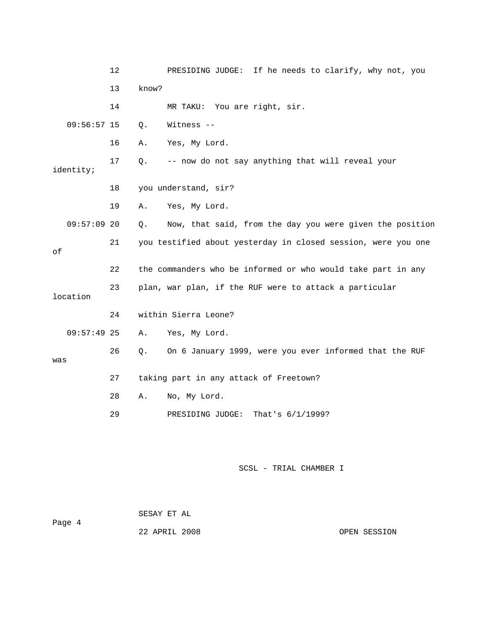|               | 12 | PRESIDING JUDGE: If he needs to clarify, why not, you          |
|---------------|----|----------------------------------------------------------------|
|               | 13 | know?                                                          |
|               | 14 | MR TAKU: You are right, sir.                                   |
| $09:56:57$ 15 |    | Witness --<br>Q.                                               |
|               | 16 | Yes, My Lord.<br>Α.                                            |
| identity;     | 17 | -- now do not say anything that will reveal your<br>Q.         |
|               | 18 | you understand, sir?                                           |
|               | 19 | Yes, My Lord.<br>Α.                                            |
| $09:57:09$ 20 |    | Now, that said, from the day you were given the position<br>Q. |
| оf            | 21 | you testified about yesterday in closed session, were you one  |
|               | 22 | the commanders who be informed or who would take part in any   |
| location      | 23 | plan, war plan, if the RUF were to attack a particular         |
|               | 24 | within Sierra Leone?                                           |
| $09:57:49$ 25 |    | Yes, My Lord.<br>Α.                                            |
| was           | 26 | On 6 January 1999, were you ever informed that the RUF<br>Q.   |
|               | 27 | taking part in any attack of Freetown?                         |
|               | 28 | No, My Lord.<br>Α.                                             |
|               | 29 | PRESIDING JUDGE: That's 6/1/1999?                              |
|               |    |                                                                |

|        | SESAY ET AL   |  |              |
|--------|---------------|--|--------------|
| Page 4 |               |  |              |
|        | 22 APRIL 2008 |  | OPEN SESSION |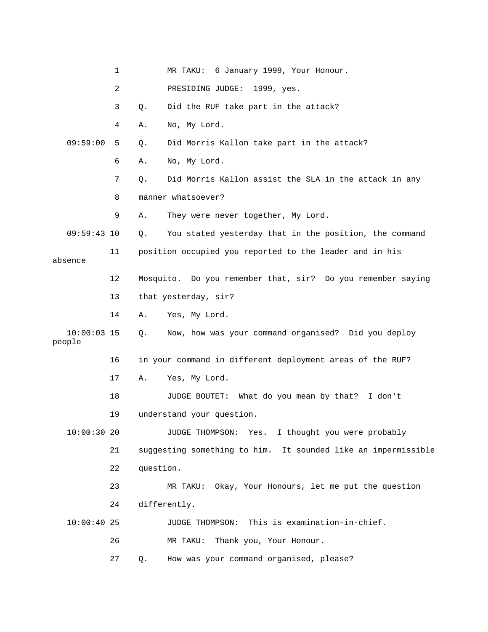|                         | $\mathbf{1}$   |           | MR TAKU: 6 January 1999, Your Honour.                         |
|-------------------------|----------------|-----------|---------------------------------------------------------------|
|                         | $\overline{a}$ |           | PRESIDING JUDGE: 1999, yes.                                   |
|                         | 3              | Q.        | Did the RUF take part in the attack?                          |
|                         | 4              | Α.        | No, My Lord.                                                  |
| 09:59:00                | 5              | Q.        | Did Morris Kallon take part in the attack?                    |
|                         | 6              | Α.        | No, My Lord.                                                  |
|                         | 7              | Q.        | Did Morris Kallon assist the SLA in the attack in any         |
|                         | 8              |           | manner whatsoever?                                            |
|                         | 9              | Α.        | They were never together, My Lord.                            |
| $09:59:43$ 10           |                | Q.        | You stated yesterday that in the position, the command        |
| absence                 | 11             |           | position occupied you reported to the leader and in his       |
|                         | 12             |           | Mosquito. Do you remember that, sir? Do you remember saying   |
|                         | 13             |           | that yesterday, sir?                                          |
|                         | 14             | Α.        | Yes, My Lord.                                                 |
| $10:00:03$ 15<br>people |                | О.        | Now, how was your command organised? Did you deploy           |
|                         | 16             |           | in your command in different deployment areas of the RUF?     |
|                         | 17             | Α.        | Yes, My Lord.                                                 |
|                         | 18             |           | JUDGE BOUTET: What do you mean by that? I don't               |
|                         | 19             |           | understand your question.                                     |
| $10:00:30$ 20           |                |           | JUDGE THOMPSON: Yes. I thought you were probably              |
|                         | 21             |           | suggesting something to him. It sounded like an impermissible |
|                         | 22             | question. |                                                               |
|                         | 23             |           | Okay, Your Honours, let me put the question<br>MR TAKU:       |
|                         | 24             |           | differently.                                                  |
| 10:00:4025              |                |           | JUDGE THOMPSON: This is examination-in-chief.                 |
|                         | 26             |           | Thank you, Your Honour.<br>MR TAKU:                           |
|                         | 27             | Q.        | How was your command organised, please?                       |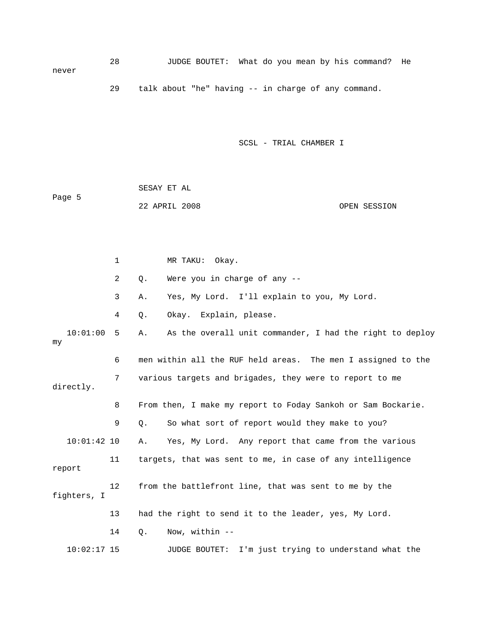28 JUDGE BOUTET: What do you mean by his command? He never 29 talk about "he" having -- in charge of any command.

SCSL - TRIAL CHAMBER I

 SESAY ET AL Page 5 22 APRIL 2008 OPEN SESSION

 1 MR TAKU: Okay. 2 Q. Were you in charge of any -- 3 A. Yes, My Lord. I'll explain to you, My Lord. 4 Q. Okay. Explain, please. 10:01:00 5 A. As the overall unit commander, I had the right to deploy my 6 men within all the RUF held areas. The men I assigned to the 7 various targets and brigades, they were to report to me directly. 8 From then, I make my report to Foday Sankoh or Sam Bockarie. 9 Q. So what sort of report would they make to you? 10:01:42 10 A. Yes, My Lord. Any report that came from the various 11 targets, that was sent to me, in case of any intelligence report 12 from the battlefront line, that was sent to me by the fighters, I 13 had the right to send it to the leader, yes, My Lord. 14 Q. Now, within -- 10:02:17 15 JUDGE BOUTET: I'm just trying to understand what the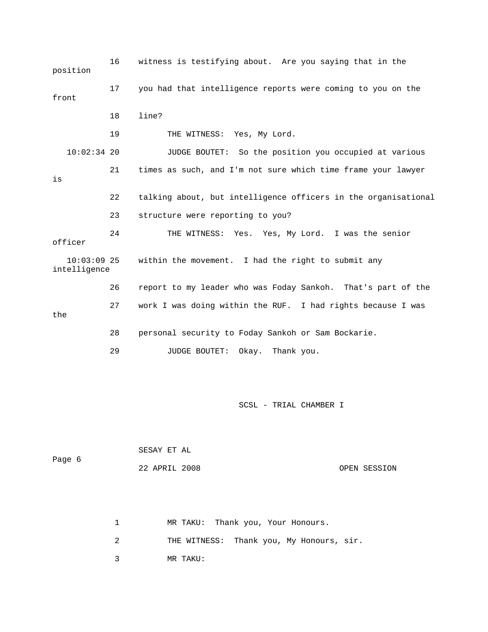16 witness is testifying about. Are you saying that in the position 17 you had that intelligence reports were coming to you on the front 18 line? 19 THE WITNESS: Yes, My Lord. 10:02:34 20 JUDGE BOUTET: So the position you occupied at various 21 times as such, and I'm not sure which time frame your lawyer is 22 talking about, but intelligence officers in the organisational 23 structure were reporting to you? 24 THE WITNESS: Yes. Yes, My Lord. I was the senior officer 10:03:09 25 within the movement. I had the right to submit any intelligence 26 report to my leader who was Foday Sankoh. That's part of the 27 work I was doing within the RUF. I had rights because I was the 28 personal security to Foday Sankoh or Sam Bockarie. 29 JUDGE BOUTET: Okay. Thank you.

SCSL - TRIAL CHAMBER I

| Page 6 | SESAY ET AL   |              |
|--------|---------------|--------------|
|        | 22 APRIL 2008 | OPEN SESSION |

|  |  |  | MR TAKU: Thank you, Your Honours. |
|--|--|--|-----------------------------------|
|--|--|--|-----------------------------------|

2 THE WITNESS: Thank you, My Honours, sir.

3 MR TAKU: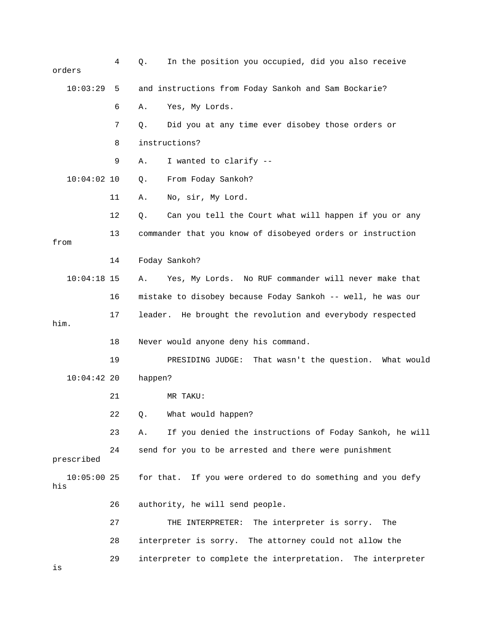| orders               | 4  | In the position you occupied, did you also receive<br>$Q$ .   |
|----------------------|----|---------------------------------------------------------------|
| 10:03:29             | 5  | and instructions from Foday Sankoh and Sam Bockarie?          |
|                      | 6  | Yes, My Lords.<br>Α.                                          |
|                      | 7  | Did you at any time ever disobey those orders or<br>Q.        |
|                      | 8  | instructions?                                                 |
|                      | 9  | I wanted to clarify --<br>Α.                                  |
| $10:04:02$ 10        |    | From Foday Sankoh?<br>Q.                                      |
|                      | 11 | No, sir, My Lord.<br>Α.                                       |
|                      | 12 | Can you tell the Court what will happen if you or any<br>Q.   |
| from                 | 13 | commander that you know of disobeyed orders or instruction    |
|                      | 14 | Foday Sankoh?                                                 |
| $10:04:18$ 15        |    | Yes, My Lords. No RUF commander will never make that<br>Α.    |
|                      | 16 | mistake to disobey because Foday Sankoh -- well, he was our   |
|                      | 17 | leader. He brought the revolution and everybody respected     |
| him.                 |    |                                                               |
|                      | 18 | Never would anyone deny his command.                          |
|                      | 19 | That wasn't the question. What would<br>PRESIDING JUDGE:      |
| $10:04:42$ 20        |    | happen?                                                       |
|                      | 21 | MR TAKU:                                                      |
|                      | 22 | What would happen?<br>Q.                                      |
|                      | 23 | If you denied the instructions of Foday Sankoh, he will<br>Α. |
| prescribed           | 24 | send for you to be arrested and there were punishment         |
| $10:05:00$ 25<br>his |    | for that. If you were ordered to do something and you defy    |
|                      | 26 | authority, he will send people.                               |
|                      | 27 | THE INTERPRETER:<br>The interpreter is sorry.<br>The          |
|                      | 28 | interpreter is sorry. The attorney could not allow the        |
| is                   | 29 | interpreter to complete the interpretation. The interpreter   |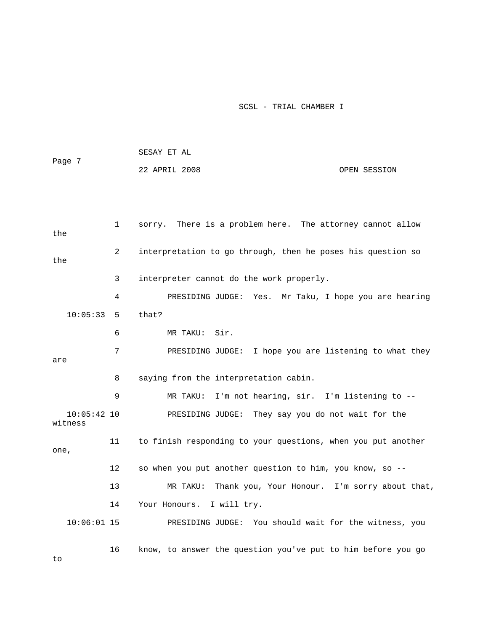|                          |              | SESAY ET AL                                                  |
|--------------------------|--------------|--------------------------------------------------------------|
| Page 7                   |              | 22 APRIL 2008<br>OPEN SESSION                                |
|                          |              |                                                              |
|                          |              |                                                              |
| the                      | $\mathbf{1}$ | sorry. There is a problem here. The attorney cannot allow    |
| the                      | 2            | interpretation to go through, then he poses his question so  |
|                          | 3            | interpreter cannot do the work properly.                     |
|                          | 4            | PRESIDING JUDGE: Yes. Mr Taku, I hope you are hearing        |
| 10:05:33                 | 5            | that?                                                        |
|                          | 6            | MR TAKU: Sir.                                                |
| are                      | 7            | PRESIDING JUDGE: I hope you are listening to what they       |
|                          | 8            | saying from the interpretation cabin.                        |
|                          | 9            | I'm not hearing, sir. I'm listening to --<br>MR TAKU:        |
| $10:05:42$ 10<br>witness |              | PRESIDING JUDGE: They say you do not wait for the            |
| one,                     | 11           | to finish responding to your questions, when you put another |
|                          | $12 \,$      | so when you put another question to him, you know, so --     |
|                          | 13           | Thank you, Your Honour. I'm sorry about that,<br>MR TAKU:    |
|                          | 14           | I will try.<br>Your Honours.                                 |
| $10:06:01$ 15            |              | PRESIDING JUDGE: You should wait for the witness, you        |
|                          | 16           | know, to answer the question you've put to him before you go |

to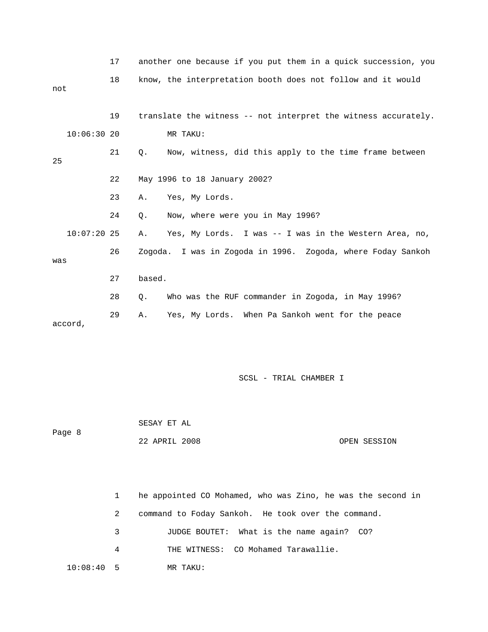|     |               | 17 |        | another one because if you put them in a quick succession, you |
|-----|---------------|----|--------|----------------------------------------------------------------|
| not |               | 18 |        | know, the interpretation booth does not follow and it would    |
|     |               | 19 |        | translate the witness -- not interpret the witness accurately. |
|     | 10:06:3020    |    |        | MR TAKU:                                                       |
| 25  |               | 21 | Q.     | Now, witness, did this apply to the time frame between         |
|     |               | 22 |        | May 1996 to 18 January 2002?                                   |
|     |               | 23 | Α.     | Yes, My Lords.                                                 |
|     |               | 24 | О.     | Now, where were you in May 1996?                               |
|     | $10:07:20$ 25 |    | Α.     | Yes, My Lords. I was -- I was in the Western Area, no,         |
| was |               | 26 |        | Zogoda. I was in Zogoda in 1996. Zogoda, where Foday Sankoh    |
|     |               | 27 | based. |                                                                |
|     |               | 28 | $Q$ .  | Who was the RUF commander in Zogoda, in May 1996?              |
|     | accord,       | 29 | Α.     | Yes, My Lords. When Pa Sankoh went for the peace               |

 SESAY ET AL Page 8 22 APRIL 2008 OPEN SESSION

|              |   | he appointed CO Mohamed, who was Zino, he was the second in |
|--------------|---|-------------------------------------------------------------|
|              | 2 | command to Foday Sankoh. He took over the command.          |
|              | 3 | JUDGE BOUTET: What is the name again? CO?                   |
|              | 4 | THE WITNESS: CO Mohamed Tarawallie.                         |
| $10:08:40$ 5 |   | MR TAKU:                                                    |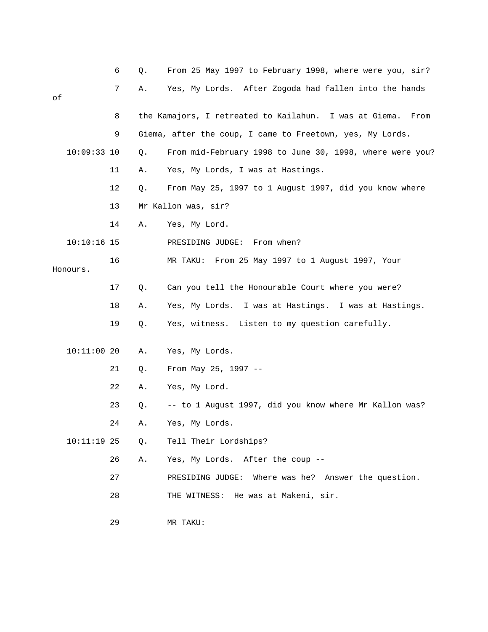|    |               | 6  | Q. | From 25 May 1997 to February 1998, where were you, sir?        |
|----|---------------|----|----|----------------------------------------------------------------|
| оf |               | 7  | Α. | Yes, My Lords. After Zogoda had fallen into the hands          |
|    |               | 8  |    | the Kamajors, I retreated to Kailahun. I was at Giema.<br>From |
|    |               | 9  |    | Giema, after the coup, I came to Freetown, yes, My Lords.      |
|    | $10:09:33$ 10 |    | Q. | From mid-February 1998 to June 30, 1998, where were you?       |
|    |               | 11 | Α. | Yes, My Lords, I was at Hastings.                              |
|    |               | 12 | Q. | From May 25, 1997 to 1 August 1997, did you know where         |
|    |               | 13 |    | Mr Kallon was, sir?                                            |
|    |               | 14 | Α. | Yes, My Lord.                                                  |
|    | $10:10:16$ 15 |    |    | PRESIDING JUDGE: From when?                                    |
|    | Honours.      | 16 |    | From 25 May 1997 to 1 August 1997, Your<br>MR TAKU:            |
|    |               | 17 | Q. | Can you tell the Honourable Court where you were?              |
|    |               | 18 | Α. | Yes, My Lords. I was at Hastings. I was at Hastings.           |
|    |               | 19 | Q. | Yes, witness. Listen to my question carefully.                 |
|    | $10:11:00$ 20 |    | Α. | Yes, My Lords.                                                 |
|    |               | 21 | Q. | From May 25, 1997 --                                           |
|    |               | 22 | Α. | Yes, My Lord.                                                  |
|    |               | 23 | Q. | -- to 1 August 1997, did you know where Mr Kallon was?         |
|    |               | 24 | Α. | Yes, My Lords.                                                 |
|    | $10:11:19$ 25 |    | Q. | Tell Their Lordships?                                          |
|    |               | 26 | A. | Yes, My Lords. After the coup --                               |
|    |               | 27 |    | PRESIDING JUDGE: Where was he? Answer the question.            |
|    |               | 28 |    | THE WITNESS: He was at Makeni, sir.                            |
|    |               |    |    |                                                                |

29 MR TAKU: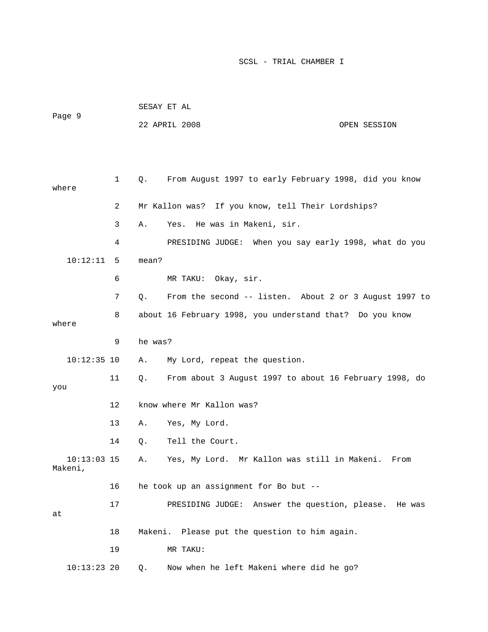| Page 9                   |              |         | 22 APRIL 2008                                            | OPEN SESSION |
|--------------------------|--------------|---------|----------------------------------------------------------|--------------|
|                          |              |         |                                                          |              |
| where                    | $\mathbf{1}$ | Q.      | From August 1997 to early February 1998, did you know    |              |
|                          | 2            |         | Mr Kallon was? If you know, tell Their Lordships?        |              |
|                          | 3            | Α.      | He was in Makeni, sir.<br>Yes.                           |              |
|                          | 4            |         | PRESIDING JUDGE: When you say early 1998, what do you    |              |
| 10:12:11                 | 5            | mean?   |                                                          |              |
|                          | 6            |         | MR TAKU: Okay, sir.                                      |              |
|                          | 7            | $Q$ .   | From the second -- listen. About 2 or 3 August 1997 to   |              |
| where                    | 8            |         | about 16 February 1998, you understand that? Do you know |              |
|                          |              |         |                                                          |              |
|                          | 9            | he was? |                                                          |              |
| $10:12:35$ 10            |              | Α.      | My Lord, repeat the question.                            |              |
| you                      | 11           | Q.      | From about 3 August 1997 to about 16 February 1998, do   |              |
|                          | 12           |         | know where Mr Kallon was?                                |              |
|                          | 13           | Α.      | Yes, My Lord.                                            |              |
|                          | 14           | Q.      | Tell the Court.                                          |              |
| $10:13:03$ 15<br>Makeni, |              | Α.      | Yes, My Lord. Mr Kallon was still in Makeni. From        |              |
|                          | 16           |         | he took up an assignment for Bo but --                   |              |
| at                       | 17           |         | PRESIDING JUDGE: Answer the question, please. He was     |              |
|                          | 18           |         | Makeni. Please put the question to him again.            |              |
|                          | 19           |         | MR TAKU:                                                 |              |
| $10:13:23$ 20            |              | Q.      | Now when he left Makeni where did he go?                 |              |

SESAY ET AL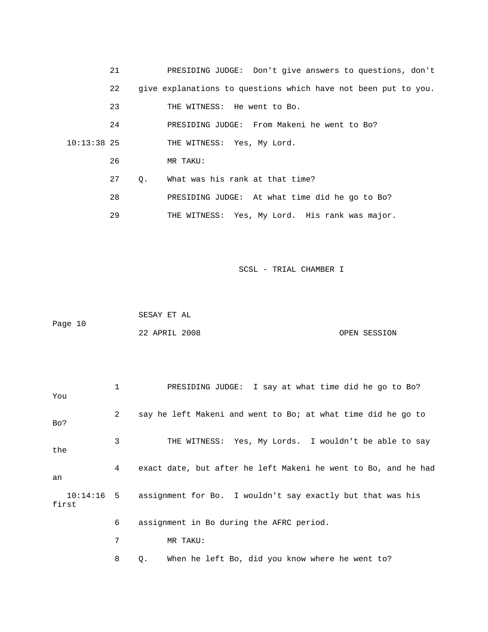|               | 21 |    | PRESIDING JUDGE: Don't give answers to questions, don't        |
|---------------|----|----|----------------------------------------------------------------|
|               | 22 |    | give explanations to questions which have not been put to you. |
|               | 23 |    | THE WITNESS: He went to Bo.                                    |
|               | 24 |    | PRESIDING JUDGE: From Makeni he went to Bo?                    |
| $10:13:38$ 25 |    |    | THE WITNESS: Yes, My Lord.                                     |
|               | 26 |    | MR TAKU:                                                       |
|               | 27 | 0. | What was his rank at that time?                                |
|               | 28 |    | PRESIDING JUDGE: At what time did he go to Bo?                 |
|               | 29 |    | THE WITNESS: Yes, My Lord. His rank was major.                 |
|               |    |    |                                                                |

 SESAY ET AL Page 10 22 APRIL 2008 OPEN SESSION

| You   | 1 | PRESIDING JUDGE: I say at what time did he go to Bo?                  |
|-------|---|-----------------------------------------------------------------------|
| Bo?   | 2 | say he left Makeni and went to Bo; at what time did he go to          |
| the   | 3 | THE WITNESS: Yes, My Lords. I wouldn't be able to say                 |
| an    | 4 | exact date, but after he left Makeni he went to Bo, and he had        |
| first |   | 10:14:16 5 assignment for Bo. I wouldn't say exactly but that was his |
|       | 6 | assignment in Bo during the AFRC period.                              |
|       | 7 | MR TAKU:                                                              |
|       | 8 | When he left Bo, did you know where he went to?<br>Q.                 |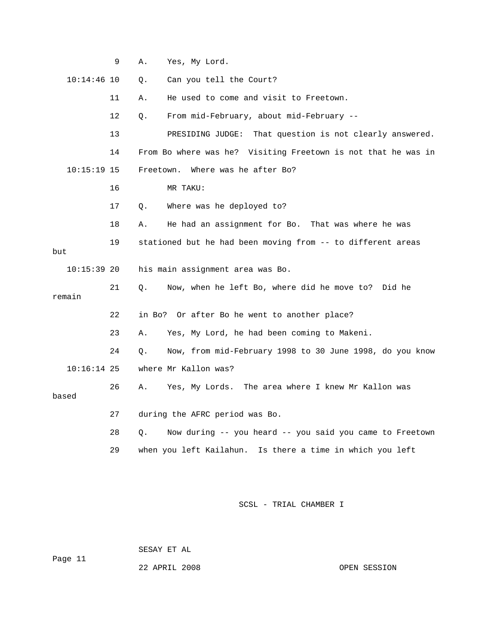|               | 9  | Α.        | Yes, My Lord.                                                 |
|---------------|----|-----------|---------------------------------------------------------------|
| $10:14:46$ 10 |    | Q.        | Can you tell the Court?                                       |
|               | 11 | Α.        | He used to come and visit to Freetown.                        |
|               | 12 | Q.        | From mid-February, about mid-February --                      |
|               | 13 |           | That question is not clearly answered.<br>PRESIDING JUDGE:    |
|               | 14 |           | From Bo where was he? Visiting Freetown is not that he was in |
| $10:15:19$ 15 |    | Freetown. | Where was he after Bo?                                        |
|               | 16 |           | MR TAKU:                                                      |
|               | 17 | Q.        | Where was he deployed to?                                     |
|               | 18 | Α.        | He had an assignment for Bo. That was where he was            |
| but           | 19 |           | stationed but he had been moving from -- to different areas   |
|               |    |           |                                                               |
| $10:15:39$ 20 |    |           | his main assignment area was Bo.                              |
| remain        | 21 | Q.        | Now, when he left Bo, where did he move to?<br>Did he         |
|               | 22 |           | in Bo? Or after Bo he went to another place?                  |
|               | 23 | Α.        | Yes, My Lord, he had been coming to Makeni.                   |
|               | 24 | Q.        | Now, from mid-February 1998 to 30 June 1998, do you know      |
| $10:16:14$ 25 |    |           | where Mr Kallon was?                                          |
| based         | 26 | Α.        | The area where I knew Mr Kallon was<br>Yes, My Lords.         |
|               | 27 |           | during the AFRC period was Bo.                                |
|               | 28 | О.        | Now during -- you heard -- you said you came to Freetown      |
|               | 29 |           | when you left Kailahun. Is there a time in which you left     |
|               |    |           |                                                               |

SESAY ET AL

Page 11

22 APRIL 2008 OPEN SESSION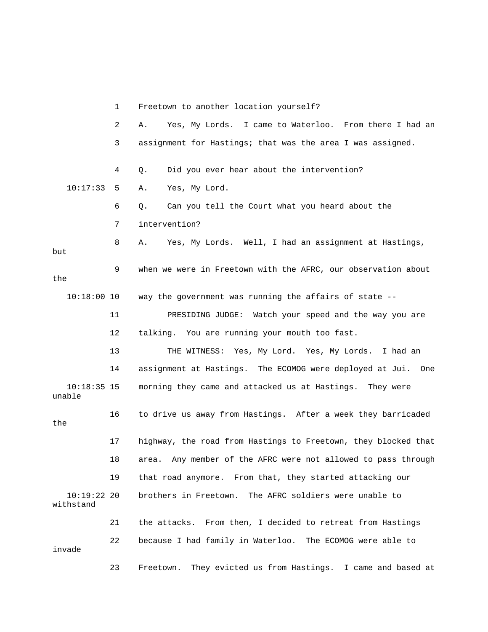1 Freetown to another location yourself? 2 A. Yes, My Lords. I came to Waterloo. From there I had an 3 assignment for Hastings; that was the area I was assigned. 4 Q. Did you ever hear about the intervention? 10:17:33 5 A. Yes, My Lord. 6 Q. Can you tell the Court what you heard about the 7 intervention? 8 A. Yes, My Lords. Well, I had an assignment at Hastings, but 9 when we were in Freetown with the AFRC, our observation about the 10:18:00 10 way the government was running the affairs of state -- 11 PRESIDING JUDGE: Watch your speed and the way you are 12 talking. You are running your mouth too fast. 13 THE WITNESS: Yes, My Lord. Yes, My Lords. I had an 14 assignment at Hastings. The ECOMOG were deployed at Jui. One 10:18:35 15 morning they came and attacked us at Hastings. They were unable 16 to drive us away from Hastings. After a week they barricaded the 17 highway, the road from Hastings to Freetown, they blocked that 18 area. Any member of the AFRC were not allowed to pass through 19 that road anymore. From that, they started attacking our 10:19:22 20 brothers in Freetown. The AFRC soldiers were unable to withstand 21 the attacks. From then, I decided to retreat from Hastings 22 because I had family in Waterloo. The ECOMOG were able to invade 23 Freetown. They evicted us from Hastings. I came and based at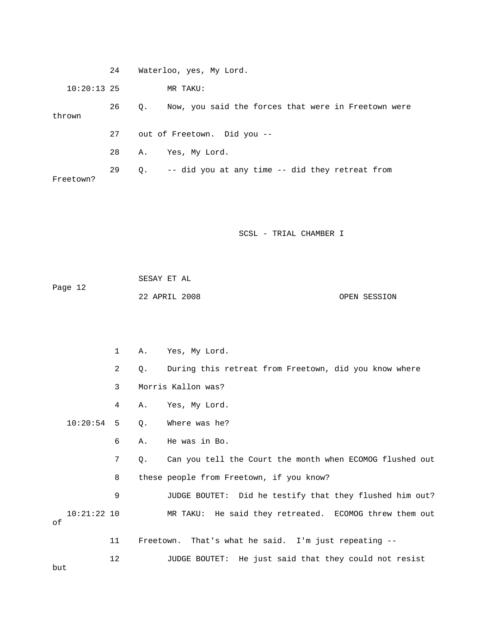| $10:20:13$ 25       |              |             | MR TAKU:                                                   |
|---------------------|--------------|-------------|------------------------------------------------------------|
| thrown              | 26           | $Q_{\star}$ | Now, you said the forces that were in Freetown were        |
|                     | 27           |             | out of Freetown. Did you --                                |
|                     | 28           | Α.          | Yes, My Lord.                                              |
| Freetown?           | 29           |             | Q. -- did you at any time -- did they retreat from         |
|                     |              |             | SCSL - TRIAL CHAMBER I                                     |
| Page 12             |              | SESAY ET AL | 22 APRIL 2008<br>OPEN SESSION                              |
|                     | $\mathbf{1}$ | Α.          | Yes, My Lord.                                              |
|                     | 2            | Q.          | During this retreat from Freetown, did you know where      |
|                     | 3            |             | Morris Kallon was?                                         |
|                     | 4            | Α.          | Yes, My Lord.                                              |
| $10:20:54$ 5        |              | Q.          | Where was he?                                              |
|                     | 6            | Α.          | He was in Bo.                                              |
|                     | 7            | Q.          | Can you tell the Court the month when ECOMOG flushed out   |
|                     | 8            |             | these people from Freetown, if you know?                   |
|                     | 9            |             | JUDGE BOUTET:<br>Did he testify that they flushed him out? |
| $10:21:22$ 10<br>οf |              |             | MR TAKU: He said they retreated. ECOMOG threw them out     |
|                     | 11           | Freetown.   | That's what he said. I'm just repeating --                 |
| but                 | 12           |             | He just said that they could not resist<br>JUDGE BOUTET:   |

24 Waterloo, yes, My Lord.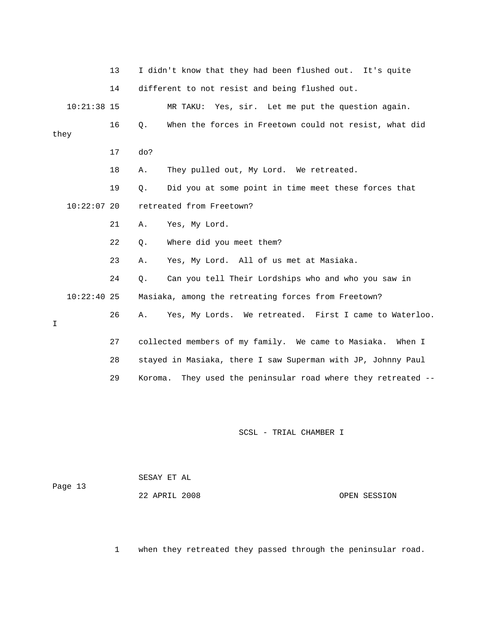13 I didn't know that they had been flushed out. It's quite 14 different to not resist and being flushed out. 10:21:38 15 MR TAKU: Yes, sir. Let me put the question again. 16 Q. When the forces in Freetown could not resist, what did they 17 do? 18 A. They pulled out, My Lord. We retreated. 19 Q. Did you at some point in time meet these forces that 10:22:07 20 retreated from Freetown? 21 A. Yes, My Lord. 22 Q. Where did you meet them? 23 A. Yes, My Lord. All of us met at Masiaka. 24 Q. Can you tell Their Lordships who and who you saw in 10:22:40 25 Masiaka, among the retreating forces from Freetown? 26 A. Yes, My Lords. We retreated. First I came to Waterloo. I 27 collected members of my family. We came to Masiaka. When I 28 stayed in Masiaka, there I saw Superman with JP, Johnny Paul

SCSL - TRIAL CHAMBER I

29 Koroma. They used the peninsular road where they retreated --

| Page 13 | SESAY ET AL   |              |
|---------|---------------|--------------|
|         | 22 APRIL 2008 | OPEN SESSION |

1 when they retreated they passed through the peninsular road.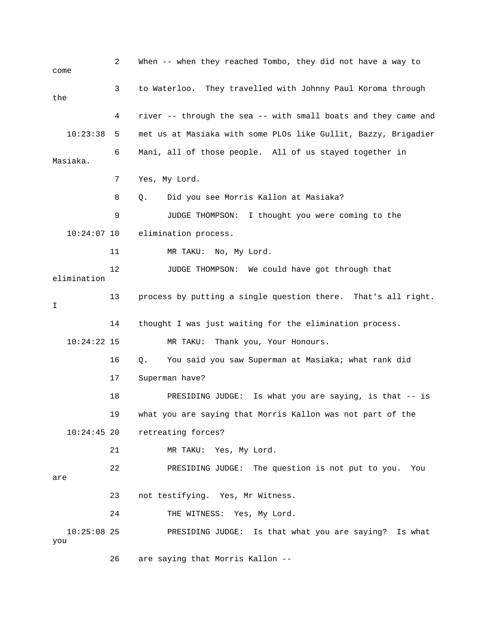2 When -- when they reached Tombo, they did not have a way to come 3 to Waterloo. They travelled with Johnny Paul Koroma through the 4 river -- through the sea -- with small boats and they came and 10:23:38 5 met us at Masiaka with some PLOs like Gullit, Bazzy, Brigadier 6 Mani, all of those people. All of us stayed together in Masiaka. 7 Yes, My Lord. 8 Q. Did you see Morris Kallon at Masiaka? 9 JUDGE THOMPSON: I thought you were coming to the 10:24:07 10 elimination process. 11 MR TAKU: No, My Lord. 12 JUDGE THOMPSON: We could have got through that elimination 13 process by putting a single question there. That's all right. I 14 thought I was just waiting for the elimination process. 10:24:22 15 MR TAKU: Thank you, Your Honours. 16 Q. You said you saw Superman at Masiaka; what rank did 17 Superman have? 18 PRESIDING JUDGE: Is what you are saying, is that -- is 19 what you are saying that Morris Kallon was not part of the 10:24:45 20 retreating forces? 21 MR TAKU: Yes, My Lord. 22 PRESIDING JUDGE: The question is not put to you. You are 23 not testifying. Yes, Mr Witness. 24 THE WITNESS: Yes, My Lord. 10:25:08 25 PRESIDING JUDGE: Is that what you are saying? Is what you

26 are saying that Morris Kallon --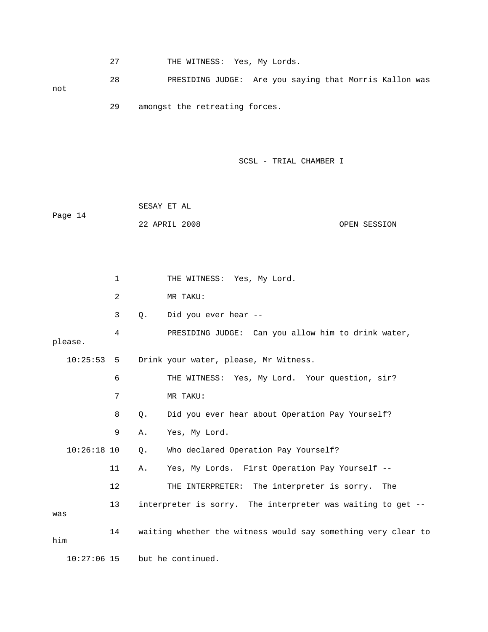27 THE WITNESS: Yes, My Lords.

 28 PRESIDING JUDGE: Are you saying that Morris Kallon was not

29 amongst the retreating forces.

SCSL - TRIAL CHAMBER I

|         | SESAY ET AL   |  |              |
|---------|---------------|--|--------------|
| Page 14 |               |  |              |
|         | 22 APRIL 2008 |  | OPEN SESSION |

1 THE WITNESS: Yes, My Lord. 2 MR TAKU: 3 Q. Did you ever hear -- 4 PRESIDING JUDGE: Can you allow him to drink water, please. 10:25:53 5 Drink your water, please, Mr Witness. 6 THE WITNESS: Yes, My Lord. Your question, sir? 7 MR TAKU: 8 Q. Did you ever hear about Operation Pay Yourself? 9 A. Yes, My Lord. 10:26:18 10 Q. Who declared Operation Pay Yourself? 11 A. Yes, My Lords. First Operation Pay Yourself -- 12 THE INTERPRETER: The interpreter is sorry. The 13 interpreter is sorry. The interpreter was waiting to get - was 14 waiting whether the witness would say something very clear to him

10:27:06 15 but he continued.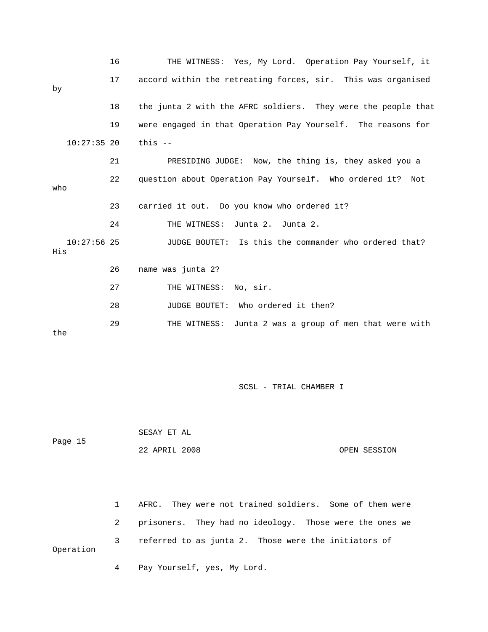|                      | 16 | THE WITNESS: Yes, My Lord. Operation Pay Yourself, it         |
|----------------------|----|---------------------------------------------------------------|
| by                   | 17 | accord within the retreating forces, sir. This was organised  |
|                      | 18 | the junta 2 with the AFRC soldiers. They were the people that |
|                      | 19 | were engaged in that Operation Pay Yourself. The reasons for  |
| $10:27:35$ 20        |    | this $-$                                                      |
|                      | 21 | PRESIDING JUDGE: Now, the thing is, they asked you a          |
| who                  | 22 | question about Operation Pay Yourself. Who ordered it? Not    |
|                      | 23 | carried it out. Do you know who ordered it?                   |
|                      | 24 | Junta 2. Junta 2.<br>THE WITNESS:                             |
| $10:27:56$ 25<br>His |    | JUDGE BOUTET: Is this the commander who ordered that?         |
|                      | 26 | name was junta 2?                                             |
|                      | 27 | THE WITNESS: No, sir.                                         |
|                      | 28 | JUDGE BOUTET: Who ordered it then?                            |
| the                  | 29 | Junta 2 was a group of men that were with<br>THE WITNESS:     |

 SESAY ET AL Page 15 22 APRIL 2008 OPEN SESSION

 1 AFRC. They were not trained soldiers. Some of them were 2 prisoners. They had no ideology. Those were the ones we 3 referred to as junta 2. Those were the initiators of Operation 4 Pay Yourself, yes, My Lord.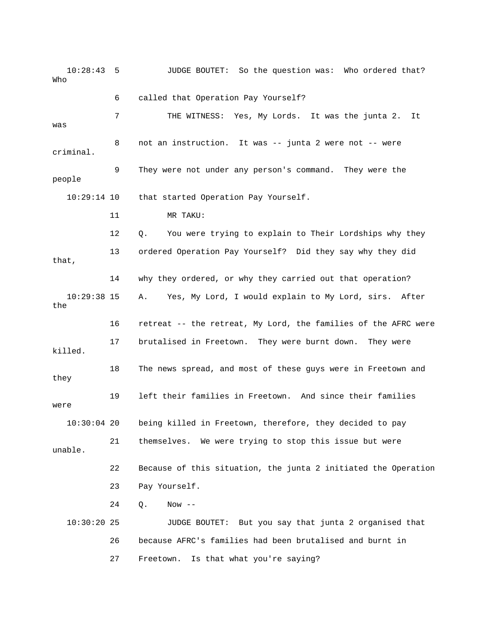10:28:43 5 JUDGE BOUTET: So the question was: Who ordered that? Who 6 called that Operation Pay Yourself? 7 THE WITNESS: Yes, My Lords. It was the junta 2. It was 8 not an instruction. It was -- junta 2 were not -- were criminal. 9 They were not under any person's command. They were the people 10:29:14 10 that started Operation Pay Yourself. 11 MR TAKU: 12 Q. You were trying to explain to Their Lordships why they 13 ordered Operation Pay Yourself? Did they say why they did that, 14 why they ordered, or why they carried out that operation? 10:29:38 15 A. Yes, My Lord, I would explain to My Lord, sirs. After the 16 retreat -- the retreat, My Lord, the families of the AFRC were 17 brutalised in Freetown. They were burnt down. They were killed. 18 The news spread, and most of these guys were in Freetown and they 19 left their families in Freetown. And since their families were 10:30:04 20 being killed in Freetown, therefore, they decided to pay 21 themselves. We were trying to stop this issue but were unable. 22 Because of this situation, the junta 2 initiated the Operation 23 Pay Yourself. 24 Q. Now -- 10:30:20 25 JUDGE BOUTET: But you say that junta 2 organised that 26 because AFRC's families had been brutalised and burnt in 27 Freetown. Is that what you're saying?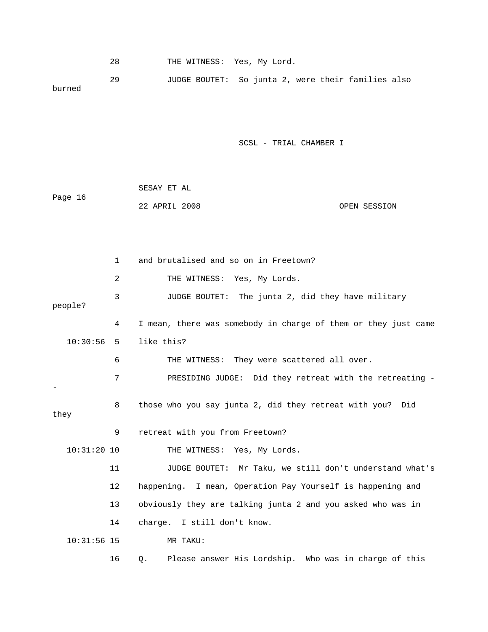28 THE WITNESS: Yes, My Lord. 29 JUDGE BOUTET: So junta 2, were their families also burned SCSL - TRIAL CHAMBER I SESAY ET AL Page 16 22 APRIL 2008 OPEN SESSION

 1 and brutalised and so on in Freetown? 2 THE WITNESS: Yes, My Lords. 3 JUDGE BOUTET: The junta 2, did they have military people? 4 I mean, there was somebody in charge of them or they just came 10:30:56 5 like this? 6 THE WITNESS: They were scattered all over. 7 PRESIDING JUDGE: Did they retreat with the retreating - - 8 those who you say junta 2, did they retreat with you? Did they 9 retreat with you from Freetown? 10:31:20 10 THE WITNESS: Yes, My Lords. 11 JUDGE BOUTET: Mr Taku, we still don't understand what's 12 happening. I mean, Operation Pay Yourself is happening and 13 obviously they are talking junta 2 and you asked who was in 14 charge. I still don't know. 10:31:56 15 MR TAKU: 16 Q. Please answer His Lordship. Who was in charge of this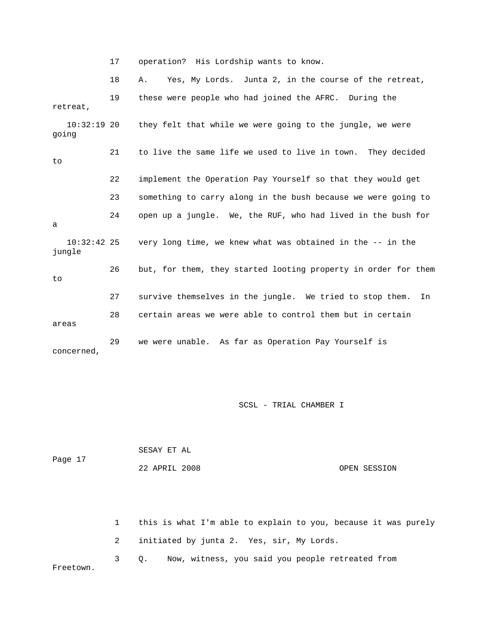17 operation? His Lordship wants to know.

 18 A. Yes, My Lords. Junta 2, in the course of the retreat, 19 these were people who had joined the AFRC. During the retreat, 10:32:19 20 they felt that while we were going to the jungle, we were going 21 to live the same life we used to live in town. They decided to 22 implement the Operation Pay Yourself so that they would get 23 something to carry along in the bush because we were going to 24 open up a jungle. We, the RUF, who had lived in the bush for a 10:32:42 25 very long time, we knew what was obtained in the -- in the jungle 26 but, for them, they started looting property in order for them to 27 survive themselves in the jungle. We tried to stop them. In 28 certain areas we were able to control them but in certain areas 29 we were unable. As far as Operation Pay Yourself is concerned,

SCSL - TRIAL CHAMBER I

| Page 17 | SESAY ET AL   |              |
|---------|---------------|--------------|
|         | 22 APRIL 2008 | OPEN SESSION |
|         |               |              |

 1 this is what I'm able to explain to you, because it was purely 2 initiated by junta 2. Yes, sir, My Lords. 3 Q. Now, witness, you said you people retreated from Freetown.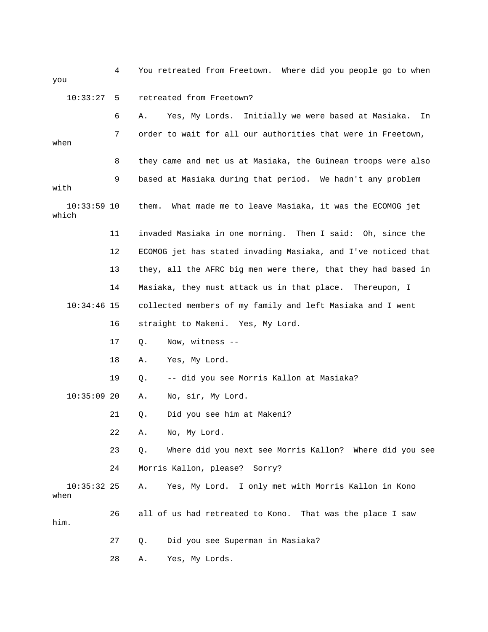4 You retreated from Freetown. Where did you people go to when you 10:33:27 5 retreated from Freetown? 6 A. Yes, My Lords. Initially we were based at Masiaka. In 7 order to wait for all our authorities that were in Freetown, when 8 they came and met us at Masiaka, the Guinean troops were also 9 based at Masiaka during that period. We hadn't any problem with 10:33:59 10 them. What made me to leave Masiaka, it was the ECOMOG jet which 11 invaded Masiaka in one morning. Then I said: Oh, since the 12 ECOMOG jet has stated invading Masiaka, and I've noticed that 13 they, all the AFRC big men were there, that they had based in 14 Masiaka, they must attack us in that place. Thereupon, I 10:34:46 15 collected members of my family and left Masiaka and I went 16 straight to Makeni. Yes, My Lord. 17 Q. Now, witness -- 18 A. Yes, My Lord. 19 Q. -- did you see Morris Kallon at Masiaka? 10:35:09 20 A. No, sir, My Lord. 21 Q. Did you see him at Makeni? 22 A. No, My Lord. 23 Q. Where did you next see Morris Kallon? Where did you see 24 Morris Kallon, please? Sorry? 10:35:32 25 A. Yes, My Lord. I only met with Morris Kallon in Kono when 26 all of us had retreated to Kono. That was the place I saw him. 27 Q. Did you see Superman in Masiaka?

28 A. Yes, My Lords.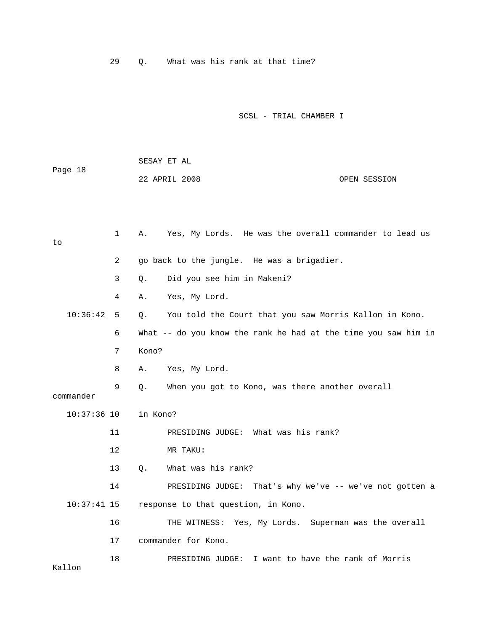29 Q. What was his rank at that time?

SCSL - TRIAL CHAMBER I

| Page 18       |              | SESAY ET AL |                                                                |              |
|---------------|--------------|-------------|----------------------------------------------------------------|--------------|
|               |              |             | 22 APRIL 2008                                                  | OPEN SESSION |
|               |              |             |                                                                |              |
|               |              |             |                                                                |              |
| to            | $\mathbf{1}$ |             | A. Yes, My Lords. He was the overall commander to lead us      |              |
|               | 2            |             | go back to the jungle. He was a brigadier.                     |              |
|               | 3            | $\circ$ .   | Did you see him in Makeni?                                     |              |
|               | 4            | Α.          | Yes, My Lord.                                                  |              |
| 10:36:42 5    |              | $\circ$ .   | You told the Court that you saw Morris Kallon in Kono.         |              |
|               | 6            |             | What -- do you know the rank he had at the time you saw him in |              |
|               | 7            | Kono?       |                                                                |              |
|               | 8            | A.          | Yes, My Lord.                                                  |              |
| commander     | 9            | Q.          | When you got to Kono, was there another overall                |              |
| $10:37:36$ 10 |              | in Kono?    |                                                                |              |
|               | 11           |             | PRESIDING JUDGE: What was his rank?                            |              |
|               | 12           |             | MR TAKU:                                                       |              |
|               | 13           | $Q_{\star}$ | What was his rank?                                             |              |
|               | 14           |             | PRESIDING JUDGE: That's why we've -- we've not gotten a        |              |
| $10:37:41$ 15 |              |             | response to that question, in Kono.                            |              |
|               | 16           |             | THE WITNESS: Yes, My Lords. Superman was the overall           |              |
|               | 17           |             | commander for Kono.                                            |              |
| Kallon        | 18           |             | PRESIDING JUDGE: I want to have the rank of Morris             |              |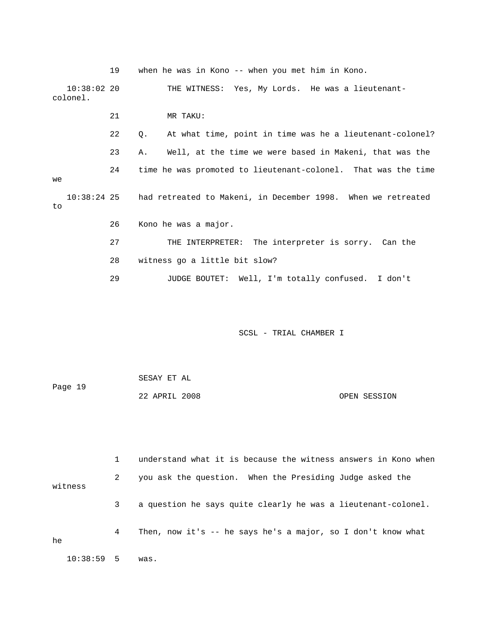|          |               | 19 | when he was in Kono -- when you met him in Kono.                         |
|----------|---------------|----|--------------------------------------------------------------------------|
| colonel. | $10:38:02$ 20 |    | THE WITNESS: Yes, My Lords. He was a lieutenant-                         |
|          |               | 21 | MR TAKU:                                                                 |
|          |               | 22 | At what time, point in time was he a lieutenant-colonel?<br>$\circ$ .    |
|          |               | 23 | Well, at the time we were based in Makeni, that was the<br>Α.            |
| we       |               | 24 | time he was promoted to lieutenant-colonel. That was the time            |
| to       |               |    | 10:38:24 25 had retreated to Makeni, in December 1998. When we retreated |
|          |               | 26 | Kono he was a major.                                                     |
|          |               | 27 | THE INTERPRETER: The interpreter is sorry. Can the                       |
|          |               | 28 | witness go a little bit slow?                                            |
|          |               |    |                                                                          |
|          |               | 29 | JUDGE BOUTET: Well, I'm totally confused. I don't                        |

| Page 19 | SESAY ET AL   |  |              |
|---------|---------------|--|--------------|
|         | 22 APRIL 2008 |  | OPEN SESSION |

 1 understand what it is because the witness answers in Kono when 2 you ask the question. When the Presiding Judge asked the witness 3 a question he says quite clearly he was a lieutenant-colonel. 4 Then, now it's -- he says he's a major, so I don't know what he 10:38:59 5 was.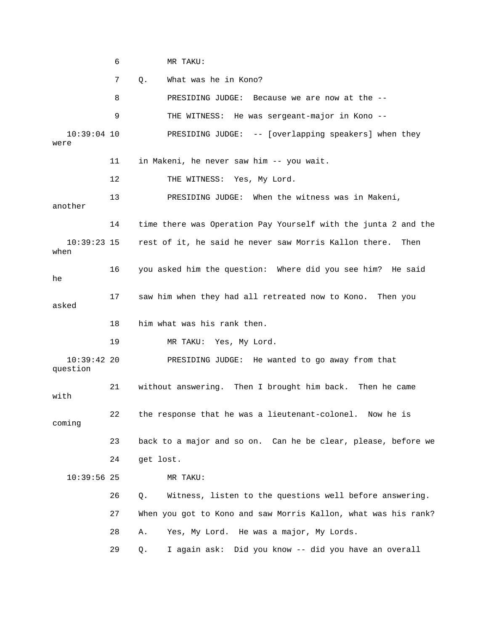6 MR TAKU: 7 Q. What was he in Kono? 8 PRESIDING JUDGE: Because we are now at the -- 9 THE WITNESS: He was sergeant-major in Kono -- 10:39:04 10 PRESIDING JUDGE: -- [overlapping speakers] when they were 11 in Makeni, he never saw him -- you wait. 12 THE WITNESS: Yes, My Lord. 13 PRESIDING JUDGE: When the witness was in Makeni, another 14 time there was Operation Pay Yourself with the junta 2 and the 10:39:23 15 rest of it, he said he never saw Morris Kallon there. Then when 16 you asked him the question: Where did you see him? He said he 17 saw him when they had all retreated now to Kono. Then you asked 18 him what was his rank then. 19 MR TAKU: Yes, My Lord. 10:39:42 20 PRESIDING JUDGE: He wanted to go away from that question 21 without answering. Then I brought him back. Then he came with 22 the response that he was a lieutenant-colonel. Now he is coming 23 back to a major and so on. Can he be clear, please, before we 24 get lost. 10:39:56 25 MR TAKU: 26 Q. Witness, listen to the questions well before answering. 27 When you got to Kono and saw Morris Kallon, what was his rank? 28 A. Yes, My Lord. He was a major, My Lords. 29 Q. I again ask: Did you know -- did you have an overall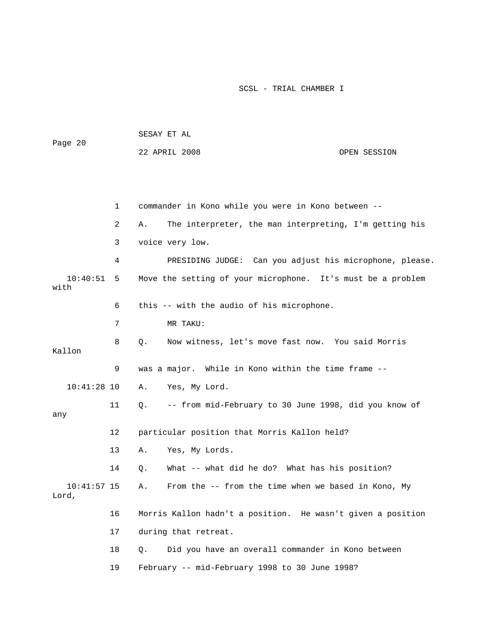| Page 20                |    | SESAY ET AL                                                  |  |  |  |  |
|------------------------|----|--------------------------------------------------------------|--|--|--|--|
|                        |    | 22 APRIL 2008<br>OPEN SESSION                                |  |  |  |  |
|                        |    |                                                              |  |  |  |  |
|                        |    |                                                              |  |  |  |  |
|                        | 1  | commander in Kono while you were in Kono between --          |  |  |  |  |
|                        | 2  | The interpreter, the man interpreting, I'm getting his<br>Α. |  |  |  |  |
|                        | 3  | voice very low.                                              |  |  |  |  |
|                        | 4  | PRESIDING JUDGE: Can you adjust his microphone, please.      |  |  |  |  |
| 10:40:51<br>with       | 5  | Move the setting of your microphone. It's must be a problem  |  |  |  |  |
|                        | 6  | this -- with the audio of his microphone.                    |  |  |  |  |
|                        | 7  | MR TAKU:                                                     |  |  |  |  |
| Kallon                 | 8  | Now witness, let's move fast now. You said Morris<br>Q.      |  |  |  |  |
|                        | 9  | was a major. While in Kono within the time frame --          |  |  |  |  |
| $10:41:28$ 10          |    | Yes, My Lord.<br>Α.                                          |  |  |  |  |
| any                    | 11 | -- from mid-February to 30 June 1998, did you know of<br>Q.  |  |  |  |  |
|                        | 12 | particular position that Morris Kallon held?                 |  |  |  |  |
|                        | 13 | Yes, My Lords.<br>Α.                                         |  |  |  |  |
|                        | 14 | What -- what did he do? What has his position?<br>Q.         |  |  |  |  |
| $10:41:57$ 15<br>Lord, |    | From the -- from the time when we based in Kono, My<br>Α.    |  |  |  |  |
|                        | 16 | Morris Kallon hadn't a position. He wasn't given a position  |  |  |  |  |
|                        | 17 | during that retreat.                                         |  |  |  |  |
|                        | 18 | Did you have an overall commander in Kono between<br>Q.      |  |  |  |  |

19 February -- mid-February 1998 to 30 June 1998?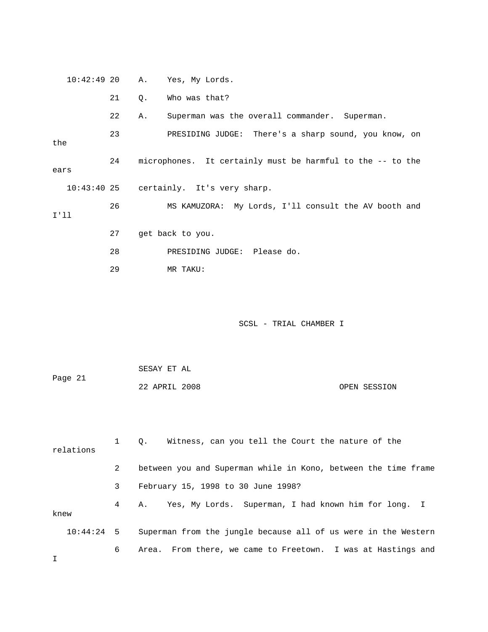| $10:42:49$ 20 |    | Α. | Yes, My Lords.                                                 |              |
|---------------|----|----|----------------------------------------------------------------|--------------|
|               | 21 | Q. | Who was that?                                                  |              |
|               | 22 | Α. | Superman was the overall commander. Superman.                  |              |
| the           | 23 |    | PRESIDING JUDGE: There's a sharp sound, you know, on           |              |
| ears          | 24 |    | microphones. It certainly must be harmful to the -- to the     |              |
| $10:43:40$ 25 |    |    | certainly. It's very sharp.                                    |              |
| I'11          | 26 |    | MS KAMUZORA: My Lords, I'll consult the AV booth and           |              |
|               | 27 |    | get back to you.                                               |              |
|               | 28 |    | PRESIDING JUDGE: Please do.                                    |              |
|               | 29 |    | MR TAKU:                                                       |              |
|               |    |    | SCSL - TRIAL CHAMBER I                                         |              |
|               |    |    | SESAY ET AL                                                    |              |
| Page 21       |    |    | 22 APRIL 2008                                                  | OPEN SESSION |
| relations     | 1  | Q. | Witness, can you tell the Court the nature of the              |              |
|               | 2  |    | between you and Superman while in Kono, between the time frame |              |
|               | 3  |    | February 15, 1998 to 30 June 1998?                             |              |
| knew          | 4  | Α. | Yes, My Lords. Superman, I had known him for long. I           |              |
| 10:44:24      | 5  |    | Superman from the jungle because all of us were in the Western |              |
| Ι             | 6  |    | Area. From there, we came to Freetown. I was at Hastings and   |              |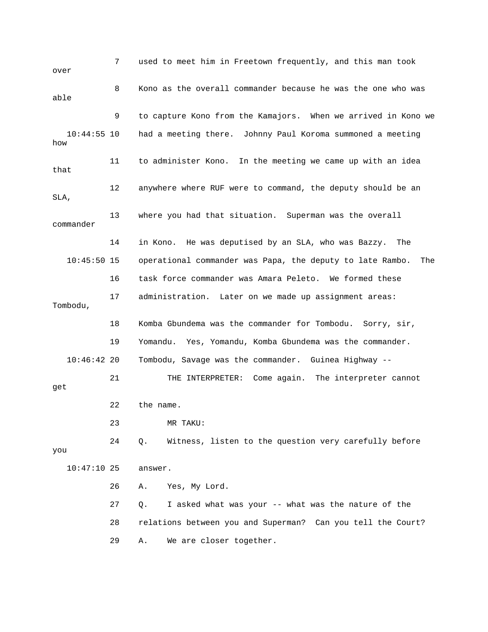7 used to meet him in Freetown frequently, and this man took over 8 Kono as the overall commander because he was the one who was able 9 to capture Kono from the Kamajors. When we arrived in Kono we 10:44:55 10 had a meeting there. Johnny Paul Koroma summoned a meeting how 11 to administer Kono. In the meeting we came up with an idea that 12 anywhere where RUF were to command, the deputy should be an SLA, 13 where you had that situation. Superman was the overall commander 14 in Kono. He was deputised by an SLA, who was Bazzy. The 10:45:50 15 operational commander was Papa, the deputy to late Rambo. The 16 task force commander was Amara Peleto. We formed these 17 administration. Later on we made up assignment areas: Tombodu, 18 Komba Gbundema was the commander for Tombodu. Sorry, sir, 19 Yomandu. Yes, Yomandu, Komba Gbundema was the commander. 10:46:42 20 Tombodu, Savage was the commander. Guinea Highway -- 21 THE INTERPRETER: Come again. The interpreter cannot get 22 the name. 23 MR TAKU: 24 Q. Witness, listen to the question very carefully before you 10:47:10 25 answer. 26 A. Yes, My Lord. 27 Q. I asked what was your -- what was the nature of the 28 relations between you and Superman? Can you tell the Court? 29 A. We are closer together.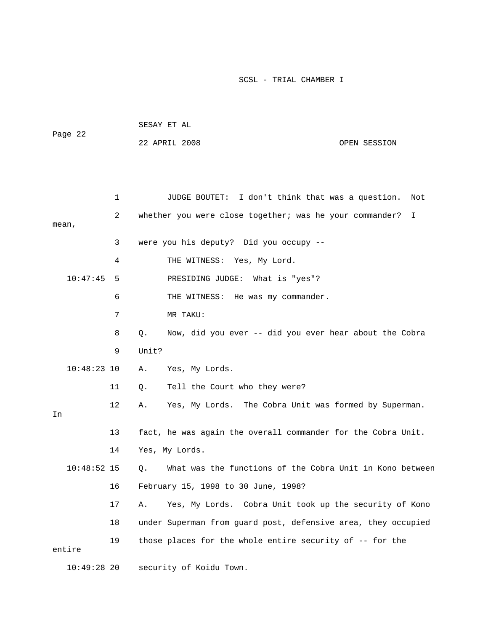| Page 22       |              | SESAY ET AL                   |                                                               |     |  |  |
|---------------|--------------|-------------------------------|---------------------------------------------------------------|-----|--|--|
|               |              | 22 APRIL 2008<br>OPEN SESSION |                                                               |     |  |  |
|               |              |                               |                                                               |     |  |  |
|               |              |                               |                                                               |     |  |  |
|               | $\mathbf{1}$ |                               | JUDGE BOUTET: I don't think that was a question.              | Not |  |  |
| mean,         | 2            |                               | whether you were close together; was he your commander?       | I   |  |  |
|               | 3            |                               | were you his deputy? Did you occupy --                        |     |  |  |
|               | 4            |                               | THE WITNESS: Yes, My Lord.                                    |     |  |  |
| 10:47:45      | 5            |                               | PRESIDING JUDGE: What is "yes"?                               |     |  |  |
|               | 6            |                               | THE WITNESS: He was my commander.                             |     |  |  |
|               | 7            |                               | MR TAKU:                                                      |     |  |  |
|               | 8            | Q.                            | Now, did you ever -- did you ever hear about the Cobra        |     |  |  |
|               | 9            | Unit?                         |                                                               |     |  |  |
| $10:48:23$ 10 |              | Α.                            | Yes, My Lords.                                                |     |  |  |
|               | 11           | Q.                            | Tell the Court who they were?                                 |     |  |  |
| In            | 12           | Α.                            | Yes, My Lords. The Cobra Unit was formed by Superman.         |     |  |  |
|               | 13           |                               | fact, he was again the overall commander for the Cobra Unit.  |     |  |  |
|               | 14           | Yes, My Lords.                |                                                               |     |  |  |
| $10:48:52$ 15 |              | Q.                            | What was the functions of the Cobra Unit in Kono between      |     |  |  |
|               | 16           |                               | February 15, 1998 to 30 June, 1998?                           |     |  |  |
|               | 17           | Α.                            | Yes, My Lords. Cobra Unit took up the security of Kono        |     |  |  |
|               | 18           |                               | under Superman from guard post, defensive area, they occupied |     |  |  |
| entire        | 19           |                               | those places for the whole entire security of -- for the      |     |  |  |
| $10:49:28$ 20 |              |                               | security of Koidu Town.                                       |     |  |  |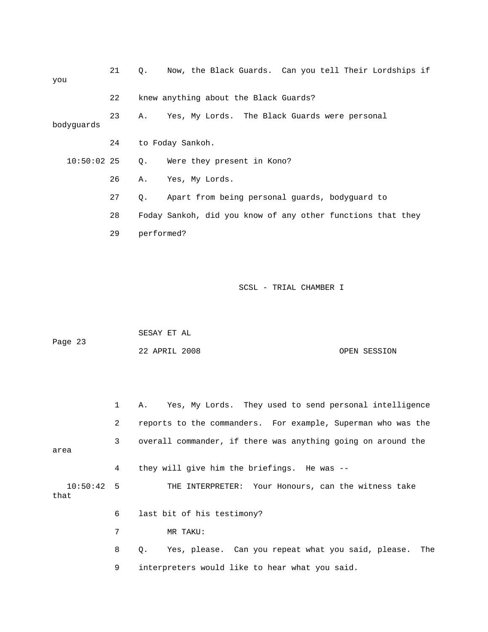| you              | 21 | Q.                                                           | Now, the Black Guards. Can you tell Their Lordships if |              |  |  |  |
|------------------|----|--------------------------------------------------------------|--------------------------------------------------------|--------------|--|--|--|
|                  | 22 | knew anything about the Black Guards?                        |                                                        |              |  |  |  |
| bodyguards       | 23 | Α.                                                           | Yes, My Lords. The Black Guards were personal          |              |  |  |  |
|                  | 24 | to Foday Sankoh.                                             |                                                        |              |  |  |  |
| $10:50:02$ 25    |    | Were they present in Kono?<br>Q.                             |                                                        |              |  |  |  |
|                  | 26 | Yes, My Lords.<br>Α.                                         |                                                        |              |  |  |  |
|                  | 27 | Q.                                                           | Apart from being personal guards, bodyguard to         |              |  |  |  |
|                  | 28 | Foday Sankoh, did you know of any other functions that they  |                                                        |              |  |  |  |
|                  | 29 | performed?                                                   |                                                        |              |  |  |  |
|                  |    | SESAY ET AL                                                  | SCSL - TRIAL CHAMBER I                                 |              |  |  |  |
| Page 23          |    | 22 APRIL 2008                                                |                                                        | OPEN SESSION |  |  |  |
|                  | 1  | Yes, My Lords.<br>Α.                                         | They used to send personal intelligence                |              |  |  |  |
|                  | 2  | reports to the commanders. For example, Superman who was the |                                                        |              |  |  |  |
| area             | 3  | overall commander, if there was anything going on around the |                                                        |              |  |  |  |
|                  | 4  | they will give him the briefings. He was --                  |                                                        |              |  |  |  |
| 10:50:42<br>that | 5  | THE INTERPRETER:                                             | Your Honours, can the witness take                     |              |  |  |  |
|                  | 6  | last bit of his testimony?                                   |                                                        |              |  |  |  |
|                  | 7  | MR TAKU:                                                     |                                                        |              |  |  |  |

 8 Q. Yes, please. Can you repeat what you said, please. The 9 interpreters would like to hear what you said.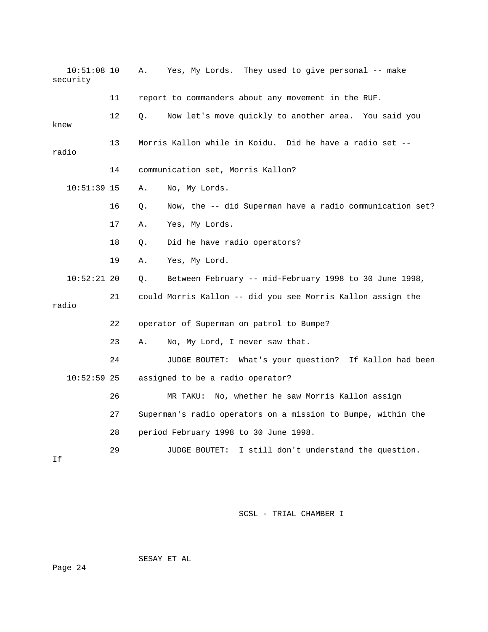| $10:51:08$ 10<br>security |    | Α.        | Yes, My Lords. They used to give personal -- make            |
|---------------------------|----|-----------|--------------------------------------------------------------|
|                           | 11 |           | report to commanders about any movement in the RUF.          |
| knew                      | 12 | Q.        | Now let's move quickly to another area. You said you         |
| radio                     | 13 |           | Morris Kallon while in Koidu. Did he have a radio set --     |
|                           | 14 |           | communication set, Morris Kallon?                            |
| $10:51:39$ 15             |    | Α.        | No, My Lords.                                                |
|                           | 16 | Q.        | Now, the -- did Superman have a radio communication set?     |
|                           | 17 | Α.        | Yes, My Lords.                                               |
|                           | 18 | $\circ$ . | Did he have radio operators?                                 |
|                           | 19 | Α.        | Yes, My Lord.                                                |
| $10:52:21$ 20             |    | Q.        | Between February -- mid-February 1998 to 30 June 1998,       |
| radio                     | 21 |           | could Morris Kallon -- did you see Morris Kallon assign the  |
|                           | 22 |           | operator of Superman on patrol to Bumpe?                     |
|                           | 23 | Α.        | No, My Lord, I never saw that.                               |
|                           | 24 |           | JUDGE BOUTET: What's your question? If Kallon had been       |
| $10:52:59$ 25             |    |           | assigned to be a radio operator?                             |
|                           | 26 |           | MR TAKU: No, whether he saw Morris Kallon assign             |
|                           | 27 |           | Superman's radio operators on a mission to Bumpe, within the |
|                           | 28 |           | period February 1998 to 30 June 1998.                        |
| Ιf                        | 29 |           | I still don't understand the question.<br>JUDGE BOUTET:      |

SESAY ET AL

Page 24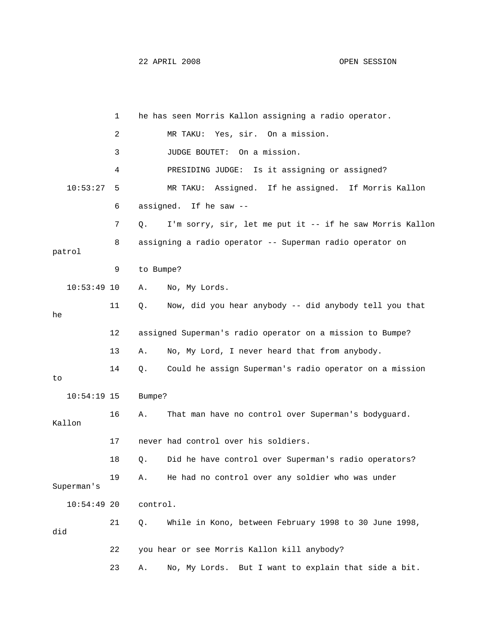|               | 1  |           | he has seen Morris Kallon assigning a radio operator.     |
|---------------|----|-----------|-----------------------------------------------------------|
|               | 2  |           | MR TAKU: Yes, sir. On a mission.                          |
|               | 3  |           | JUDGE BOUTET: On a mission.                               |
|               | 4  |           | PRESIDING JUDGE: Is it assigning or assigned?             |
| 10:53:27      | 5  |           | Assigned. If he assigned. If Morris Kallon<br>MR TAKU:    |
|               | 6  |           | assigned. If he saw --                                    |
|               | 7  | Q.        | I'm sorry, sir, let me put it -- if he saw Morris Kallon  |
| patrol        | 8  |           | assigning a radio operator -- Superman radio operator on  |
|               | 9  | to Bumpe? |                                                           |
| $10:53:49$ 10 |    | Α.        | No, My Lords.                                             |
| he            | 11 | Q.        | Now, did you hear anybody -- did anybody tell you that    |
|               | 12 |           | assigned Superman's radio operator on a mission to Bumpe? |
|               | 13 | Α.        | No, My Lord, I never heard that from anybody.             |
| to            | 14 | Q.        | Could he assign Superman's radio operator on a mission    |
| $10:54:19$ 15 |    | Bumpe?    |                                                           |
| Kallon        | 16 | Α.        | That man have no control over Superman's bodyguard.       |
|               | 17 |           | never had control over his soldiers.                      |
|               | 18 | Q.        | Did he have control over Superman's radio operators?      |
| Superman's    | 19 | Α.        | He had no control over any soldier who was under          |
| $10:54:49$ 20 |    | control.  |                                                           |
| did           | 21 | Q.        | While in Kono, between February 1998 to 30 June 1998,     |
|               | 22 |           | you hear or see Morris Kallon kill anybody?               |
|               | 23 | Α.        | No, My Lords. But I want to explain that side a bit.      |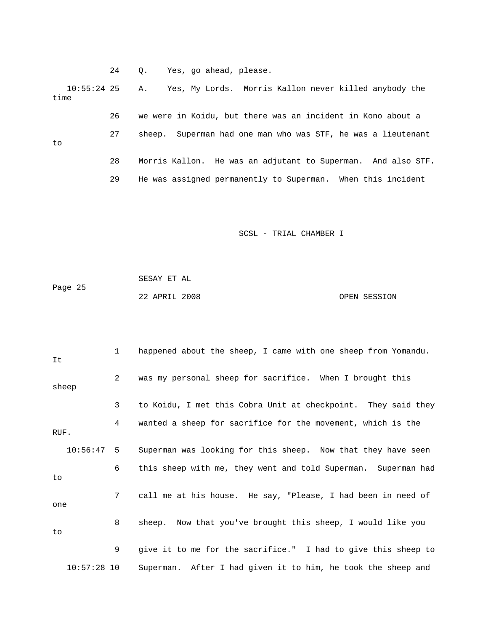24 Q. Yes, go ahead, please. 10:55:24 25 A. Yes, My Lords. Morris Kallon never killed anybody the time 26 we were in Koidu, but there was an incident in Kono about a 27 sheep. Superman had one man who was STF, he was a lieutenant to 28 Morris Kallon. He was an adjutant to Superman. And also STF. 29 He was assigned permanently to Superman. When this incident

SCSL - TRIAL CHAMBER I

| Page 25 | SESAY ET AL   |  |              |
|---------|---------------|--|--------------|
|         | 22 APRIL 2008 |  | OPEN SESSION |

 1 happened about the sheep, I came with one sheep from Yomandu. It 2 was my personal sheep for sacrifice. When I brought this sheep 3 to Koidu, I met this Cobra Unit at checkpoint. They said they 4 wanted a sheep for sacrifice for the movement, which is the RUF. 10:56:47 5 Superman was looking for this sheep. Now that they have seen 6 this sheep with me, they went and told Superman. Superman had to 7 call me at his house. He say, "Please, I had been in need of one 8 sheep. Now that you've brought this sheep, I would like you to 9 give it to me for the sacrifice." I had to give this sheep to 10:57:28 10 Superman. After I had given it to him, he took the sheep and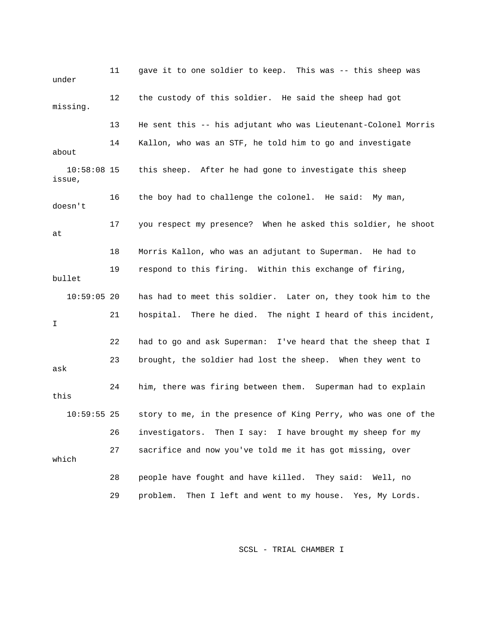11 gave it to one soldier to keep. This was -- this sheep was under 12 the custody of this soldier. He said the sheep had got missing. 13 He sent this -- his adjutant who was Lieutenant-Colonel Morris 14 Kallon, who was an STF, he told him to go and investigate about 10:58:08 15 this sheep. After he had gone to investigate this sheep issue, 16 the boy had to challenge the colonel. He said: My man, doesn't 17 you respect my presence? When he asked this soldier, he shoot at 18 Morris Kallon, who was an adjutant to Superman. He had to 19 respond to this firing. Within this exchange of firing, bullet 10:59:05 20 has had to meet this soldier. Later on, they took him to the 21 hospital. There he died. The night I heard of this incident, I 22 had to go and ask Superman: I've heard that the sheep that I 23 brought, the soldier had lost the sheep. When they went to ask 24 him, there was firing between them. Superman had to explain this 10:59:55 25 story to me, in the presence of King Perry, who was one of the 26 investigators. Then I say: I have brought my sheep for my 27 sacrifice and now you've told me it has got missing, over which 28 people have fought and have killed. They said: Well, no 29 problem. Then I left and went to my house. Yes, My Lords.

SCSL - TRIAL CHAMBER I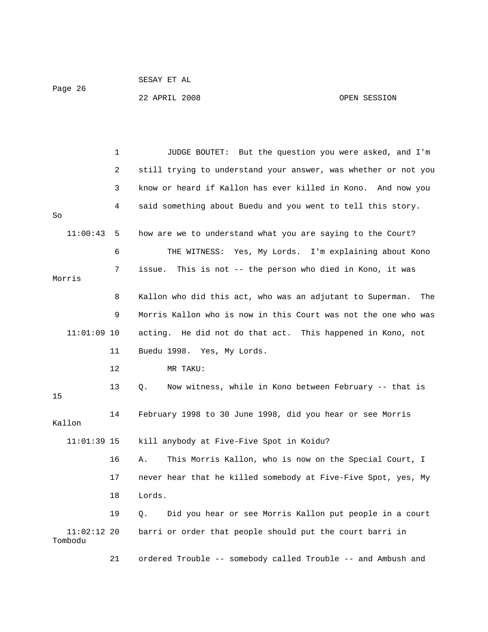```
 SESAY ET AL 
Page 26
```
22 APRIL 2008 OPEN SESSION

 1 JUDGE BOUTET: But the question you were asked, and I'm 2 still trying to understand your answer, was whether or not you 3 know or heard if Kallon has ever killed in Kono. And now you 4 said something about Buedu and you went to tell this story. So 11:00:43 5 how are we to understand what you are saying to the Court? 6 THE WITNESS: Yes, My Lords. I'm explaining about Kono 7 issue. This is not -- the person who died in Kono, it was Morris 8 Kallon who did this act, who was an adjutant to Superman. The 9 Morris Kallon who is now in this Court was not the one who was 11:01:09 10 acting. He did not do that act. This happened in Kono, not 11 Buedu 1998. Yes, My Lords. 12 MR TAKU: 13 Q. Now witness, while in Kono between February -- that is 15 14 February 1998 to 30 June 1998, did you hear or see Morris Kallon 11:01:39 15 kill anybody at Five-Five Spot in Koidu? 16 A. This Morris Kallon, who is now on the Special Court, I 17 never hear that he killed somebody at Five-Five Spot, yes, My 18 Lords. 19 Q. Did you hear or see Morris Kallon put people in a court 11:02:12 20 barri or order that people should put the court barri in Tombodu

21 ordered Trouble -- somebody called Trouble -- and Ambush and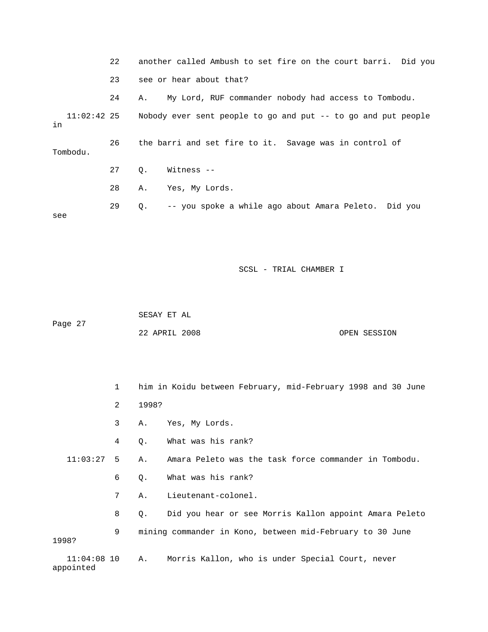22 another called Ambush to set fire on the court barri. Did you 23 see or hear about that? 24 A. My Lord, RUF commander nobody had access to Tombodu. 11:02:42 25 Nobody ever sent people to go and put -- to go and put people in 26 the barri and set fire to it. Savage was in control of Tombodu. 27 Q. Witness -- 28 A. Yes, My Lords. 29 Q. -- you spoke a while ago about Amara Peleto. Did you see

SCSL - TRIAL CHAMBER I

 SESAY ET AL Page 27 22 APRIL 2008 OPEN SESSION

 1 him in Koidu between February, mid-February 1998 and 30 June 2 1998? 3 A. Yes, My Lords. 4 Q. What was his rank? 11:03:27 5 A. Amara Peleto was the task force commander in Tombodu. 6 Q. What was his rank? 7 A. Lieutenant-colonel. 8 Q. Did you hear or see Morris Kallon appoint Amara Peleto 9 mining commander in Kono, between mid-February to 30 June 1998? 11:04:08 10 A. Morris Kallon, who is under Special Court, never appointed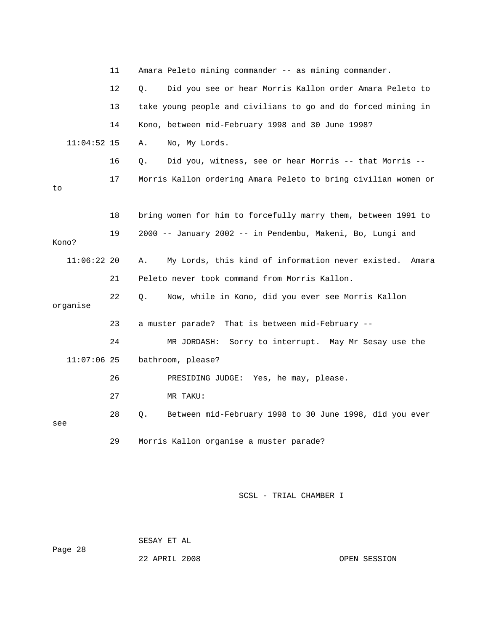|     |               | 11 | Amara Peleto mining commander -- as mining commander. |                                                                |  |
|-----|---------------|----|-------------------------------------------------------|----------------------------------------------------------------|--|
|     |               | 12 | Q.                                                    | Did you see or hear Morris Kallon order Amara Peleto to        |  |
|     |               | 13 |                                                       | take young people and civilians to go and do forced mining in  |  |
|     |               | 14 |                                                       | Kono, between mid-February 1998 and 30 June 1998?              |  |
|     | $11:04:52$ 15 |    | Α.                                                    | No, My Lords.                                                  |  |
|     |               | 16 | Q.                                                    | Did you, witness, see or hear Morris -- that Morris --         |  |
| to  |               | 17 |                                                       | Morris Kallon ordering Amara Peleto to bring civilian women or |  |
|     |               |    |                                                       |                                                                |  |
|     |               | 18 |                                                       | bring women for him to forcefully marry them, between 1991 to  |  |
|     | Kono?         | 19 |                                                       | 2000 -- January 2002 -- in Pendembu, Makeni, Bo, Lungi and     |  |
|     |               |    |                                                       |                                                                |  |
|     | $11:06:22$ 20 |    | Α.                                                    | My Lords, this kind of information never existed.<br>Amara     |  |
|     |               | 21 |                                                       | Peleto never took command from Morris Kallon.                  |  |
|     | organise      | 22 | Q.                                                    | Now, while in Kono, did you ever see Morris Kallon             |  |
|     |               |    |                                                       |                                                                |  |
|     |               | 23 |                                                       | That is between mid-February --<br>a muster parade?            |  |
|     |               | 24 |                                                       | MR JORDASH:<br>Sorry to interrupt. May Mr Sesay use the        |  |
|     | $11:07:06$ 25 |    |                                                       | bathroom, please?                                              |  |
|     |               | 26 |                                                       | PRESIDING JUDGE: Yes, he may, please.                          |  |
|     |               | 27 |                                                       | MR TAKU:                                                       |  |
| see |               | 28 | Q.                                                    | Between mid-February 1998 to 30 June 1998, did you ever        |  |
|     |               | 29 |                                                       | Morris Kallon organise a muster parade?                        |  |

 SESAY ET AL Page 28

22 APRIL 2008 COPEN SESSION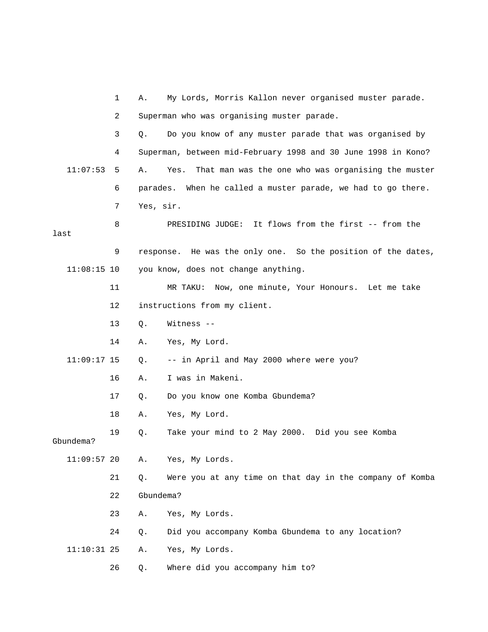|               | 1  | My Lords, Morris Kallon never organised muster parade.<br>Α.     |  |  |
|---------------|----|------------------------------------------------------------------|--|--|
|               | 2  | Superman who was organising muster parade.                       |  |  |
|               | 3  | Do you know of any muster parade that was organised by<br>Q.     |  |  |
|               | 4  | Superman, between mid-February 1998 and 30 June 1998 in Kono?    |  |  |
| 11:07:53      | 5  | That man was the one who was organising the muster<br>Α.<br>Yes. |  |  |
|               | 6  | parades. When he called a muster parade, we had to go there.     |  |  |
|               | 7  | Yes, sir.                                                        |  |  |
| last          | 8  | PRESIDING JUDGE: It flows from the first -- from the             |  |  |
|               | 9  | response. He was the only one. So the position of the dates,     |  |  |
| $11:08:15$ 10 |    | you know, does not change anything.                              |  |  |
|               | 11 | Now, one minute, Your Honours. Let me take<br>MR TAKU:           |  |  |
|               | 12 | instructions from my client.                                     |  |  |
|               | 13 | Witness --<br>Q.                                                 |  |  |
|               | 14 | Α.<br>Yes, My Lord.                                              |  |  |
| $11:09:17$ 15 |    | -- in April and May 2000 where were you?<br>Q.                   |  |  |
|               | 16 | I was in Makeni.<br>Α.                                           |  |  |
|               | 17 | Do you know one Komba Gbundema?<br>Q.                            |  |  |
|               | 18 | Yes, My Lord.<br>Α.                                              |  |  |
| Gbundema?     | 19 | Take your mind to 2 May 2000. Did you see Komba<br>Q.            |  |  |
| $11:09:57$ 20 |    | Yes, My Lords.<br>Α.                                             |  |  |
|               | 21 | Were you at any time on that day in the company of Komba<br>Q.   |  |  |
|               | 22 | Gbundema?                                                        |  |  |
|               | 23 | Yes, My Lords.<br>Α.                                             |  |  |
|               | 24 | Did you accompany Komba Gbundema to any location?<br>Q.          |  |  |
| $11:10:31$ 25 |    | Yes, My Lords.<br>Α.                                             |  |  |
|               | 26 | Where did you accompany him to?<br>Q.                            |  |  |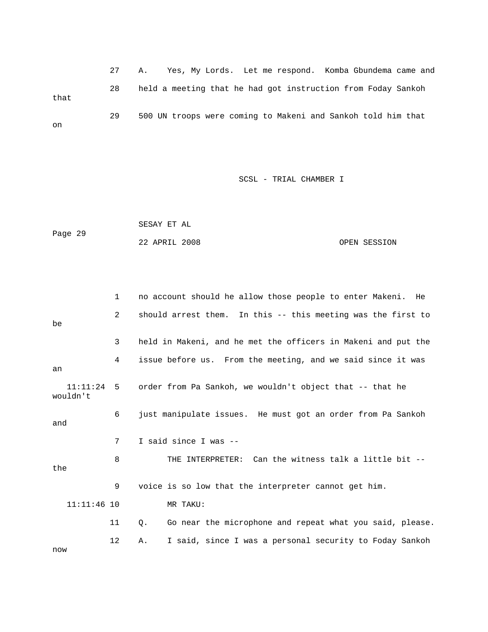27 A. Yes, My Lords. Let me respond. Komba Gbundema came and 28 held a meeting that he had got instruction from Foday Sankoh that 29 500 UN troops were coming to Makeni and Sankoh told him that on

| Page 29 | SESAY ET AL   |  |              |
|---------|---------------|--|--------------|
|         | 22 APRIL 2008 |  | OPEN SESSION |

|                      | $\mathbf{1}$   | no account should he allow those people to enter Makeni. He    |
|----------------------|----------------|----------------------------------------------------------------|
| be                   | $\overline{2}$ | should arrest them. In this -- this meeting was the first to   |
|                      | 3              | held in Makeni, and he met the officers in Makeni and put the  |
| an                   | 4              | issue before us. From the meeting, and we said since it was    |
| 11:11:24<br>wouldn't | 5              | order from Pa Sankoh, we wouldn't object that -- that he       |
| 6<br>and             |                | just manipulate issues. He must got an order from Pa Sankoh    |
|                      | 7              | I said since I was --                                          |
| the                  | 8              | THE INTERPRETER: Can the witness talk a little bit --          |
|                      | 9              | voice is so low that the interpreter cannot get him.           |
| $11:11:46$ 10        |                | MR TAKU:                                                       |
|                      | 11             | Go near the microphone and repeat what you said, please.<br>Q. |
| now                  | 12             | I said, since I was a personal security to Foday Sankoh<br>Α.  |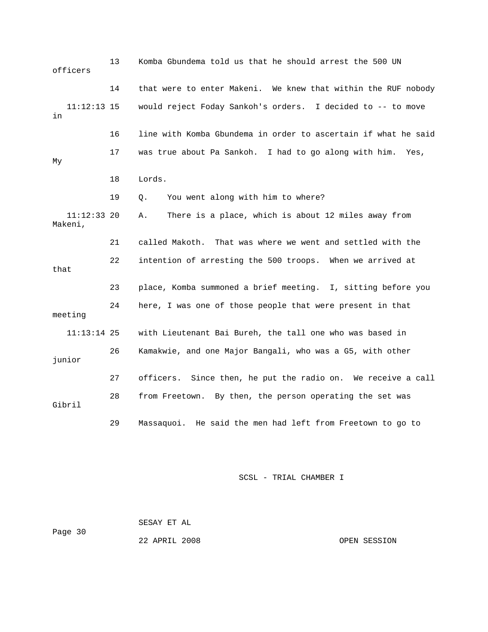| officers                 | 13 | Komba Gbundema told us that he should arrest the 500 UN         |  |  |
|--------------------------|----|-----------------------------------------------------------------|--|--|
|                          | 14 | that were to enter Makeni. We knew that within the RUF nobody   |  |  |
| $11:12:13$ 15<br>in      |    | would reject Foday Sankoh's orders. I decided to -- to move     |  |  |
|                          | 16 | line with Komba Gbundema in order to ascertain if what he said  |  |  |
| My                       | 17 | was true about Pa Sankoh. I had to go along with him.<br>Yes,   |  |  |
|                          | 18 | Lords.                                                          |  |  |
|                          | 19 | You went along with him to where?<br>Q.                         |  |  |
| $11:12:33$ 20<br>Makeni, |    | There is a place, which is about 12 miles away from<br>Α.       |  |  |
|                          | 21 | called Makoth.<br>That was where we went and settled with the   |  |  |
| that                     | 22 | intention of arresting the 500 troops. When we arrived at       |  |  |
|                          | 23 | place, Komba summoned a brief meeting. I, sitting before you    |  |  |
| meeting                  | 24 | here, I was one of those people that were present in that       |  |  |
| $11:13:14$ 25            |    | with Lieutenant Bai Bureh, the tall one who was based in        |  |  |
| junior                   | 26 | Kamakwie, and one Major Bangali, who was a G5, with other       |  |  |
|                          | 27 | Since then, he put the radio on. We receive a call<br>officers. |  |  |
| Gibril                   | 28 | from Freetown. By then, the person operating the set was        |  |  |
|                          | 29 | Massaquoi. He said the men had left from Freetown to go to      |  |  |

 SESAY ET AL Page 30 22 APRIL 2008 OPEN SESSION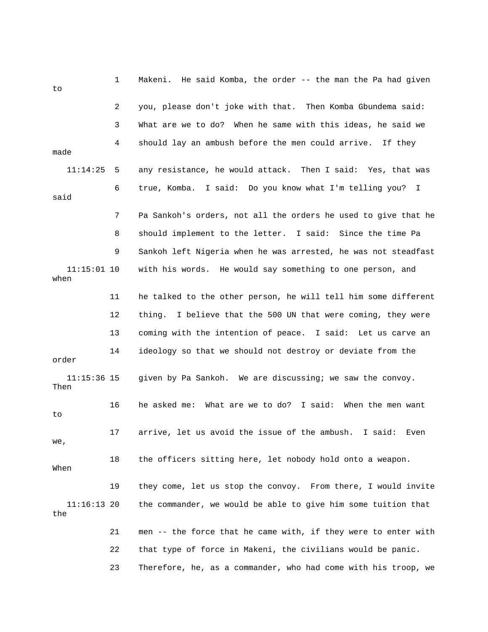| to                    | 1  | Makeni. He said Komba, the order -- the man the Pa had given     |
|-----------------------|----|------------------------------------------------------------------|
|                       | 2  | you, please don't joke with that. Then Komba Gbundema said:      |
|                       | 3  | What are we to do? When he same with this ideas, he said we      |
| made                  | 4  | should lay an ambush before the men could arrive. If they        |
| 11:14:25              | 5  | any resistance, he would attack. Then I said: Yes, that was      |
| said                  | 6  | true, Komba. I said: Do you know what I'm telling you? I         |
|                       | 7  | Pa Sankoh's orders, not all the orders he used to give that he   |
|                       | 8  | should implement to the letter. I said: Since the time Pa        |
|                       | 9  | Sankoh left Nigeria when he was arrested, he was not steadfast   |
| $11:15:01$ 10<br>when |    | with his words. He would say something to one person, and        |
|                       | 11 | he talked to the other person, he will tell him some different   |
|                       | 12 | thing. I believe that the 500 UN that were coming, they were     |
|                       | 13 | coming with the intention of peace. I said: Let us carve an      |
| order                 | 14 | ideology so that we should not destroy or deviate from the       |
| $11:15:36$ 15<br>Then |    | given by Pa Sankoh. We are discussing; we saw the convoy.        |
| to                    | 16 | What are we to do? I said:<br>When the men want<br>he asked me:  |
| we,                   | 17 | arrive, let us avoid the issue of the ambush.<br>I said:<br>Even |
| When                  | 18 | the officers sitting here, let nobody hold onto a weapon.        |
|                       | 19 | they come, let us stop the convoy. From there, I would invite    |
| $11:16:13$ 20<br>the  |    | the commander, we would be able to give him some tuition that    |
|                       | 21 | men -- the force that he came with, if they were to enter with   |
|                       | 22 | that type of force in Makeni, the civilians would be panic.      |
|                       | 23 | Therefore, he, as a commander, who had come with his troop, we   |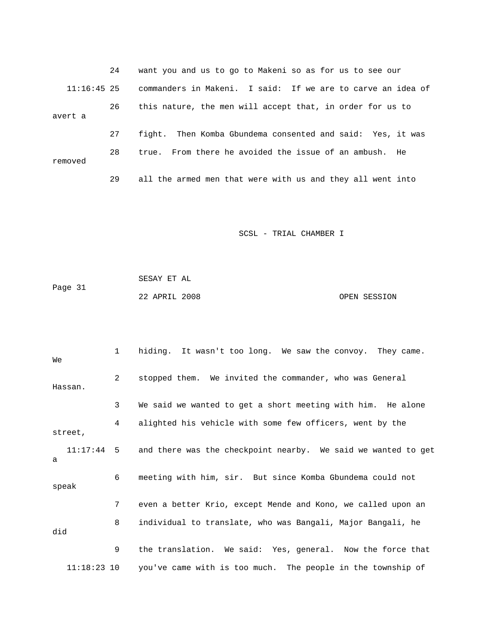24 want you and us to go to Makeni so as for us to see our 11:16:45 25 commanders in Makeni. I said: If we are to carve an idea of 26 this nature, the men will accept that, in order for us to avert a 27 fight. Then Komba Gbundema consented and said: Yes, it was 28 true. From there he avoided the issue of an ambush. He removed 29 all the armed men that were with us and they all went into

SCSL - TRIAL CHAMBER I

| Page 31 | SESAY ET AL   |              |
|---------|---------------|--------------|
|         | 22 APRIL 2008 | OPEN SESSION |

 1 hiding. It wasn't too long. We saw the convoy. They came. We 2 stopped them. We invited the commander, who was General Hassan. 3 We said we wanted to get a short meeting with him. He alone 4 alighted his vehicle with some few officers, went by the street, 11:17:44 5 and there was the checkpoint nearby. We said we wanted to get a 6 meeting with him, sir. But since Komba Gbundema could not speak 7 even a better Krio, except Mende and Kono, we called upon an 8 individual to translate, who was Bangali, Major Bangali, he did 9 the translation. We said: Yes, general. Now the force that 11:18:23 10 you've came with is too much. The people in the township of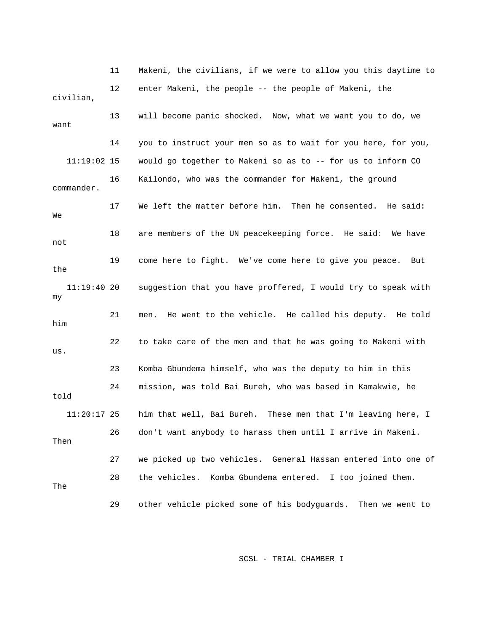11 Makeni, the civilians, if we were to allow you this daytime to 12 enter Makeni, the people -- the people of Makeni, the civilian, 13 will become panic shocked. Now, what we want you to do, we want 14 you to instruct your men so as to wait for you here, for you, 11:19:02 15 would go together to Makeni so as to -- for us to inform CO 16 Kailondo, who was the commander for Makeni, the ground commander. 17 We left the matter before him. Then he consented. He said: We 18 are members of the UN peacekeeping force. He said: We have not 19 come here to fight. We've come here to give you peace. But the 11:19:40 20 suggestion that you have proffered, I would try to speak with my 21 men. He went to the vehicle. He called his deputy. He told him 22 to take care of the men and that he was going to Makeni with us. 23 Komba Gbundema himself, who was the deputy to him in this 24 mission, was told Bai Bureh, who was based in Kamakwie, he told 11:20:17 25 him that well, Bai Bureh. These men that I'm leaving here, I 26 don't want anybody to harass them until I arrive in Makeni. Then 27 we picked up two vehicles. General Hassan entered into one of 28 the vehicles. Komba Gbundema entered. I too joined them. The 29 other vehicle picked some of his bodyguards. Then we went to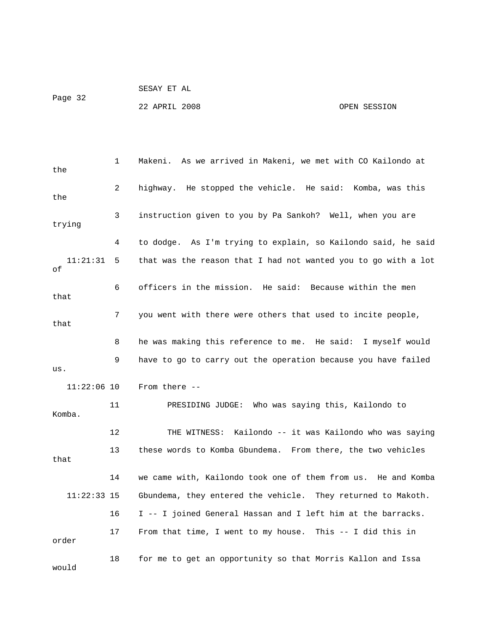22 APRIL 2008 OPEN SESSION

| the            | 1  | Makeni.  As we arrived in Makeni, we met with CO Kailondo at   |
|----------------|----|----------------------------------------------------------------|
| the            | 2  | highway. He stopped the vehicle. He said: Komba, was this      |
| trying         | 3  | instruction given to you by Pa Sankoh? Well, when you are      |
|                | 4  | to dodge. As I'm trying to explain, so Kailondo said, he said  |
| 11:21:31<br>οf | 5  | that was the reason that I had not wanted you to go with a lot |
| that           | 6  | officers in the mission. He said: Because within the men       |
| that           | 7  | you went with there were others that used to incite people,    |
|                | 8  | he was making this reference to me. He said: I myself would    |
| us.            | 9  | have to go to carry out the operation because you have failed  |
| $11:22:06$ 10  |    | From there $--$                                                |
| Komba.         | 11 | PRESIDING JUDGE: Who was saying this, Kailondo to              |
|                | 12 | THE WITNESS: Kailondo -- it was Kailondo who was saying        |
| that           | 13 | these words to Komba Gbundema. From there, the two vehicles    |
|                | 14 | we came with, Kailondo took one of them from us. He and Komba  |
| $11:22:33$ 15  |    | Gbundema, they entered the vehicle. They returned to Makoth.   |
|                | 16 | I -- I joined General Hassan and I left him at the barracks.   |
| order          | 17 | From that time, I went to my house. This $-$ I did this in     |
| would          | 18 | for me to get an opportunity so that Morris Kallon and Issa    |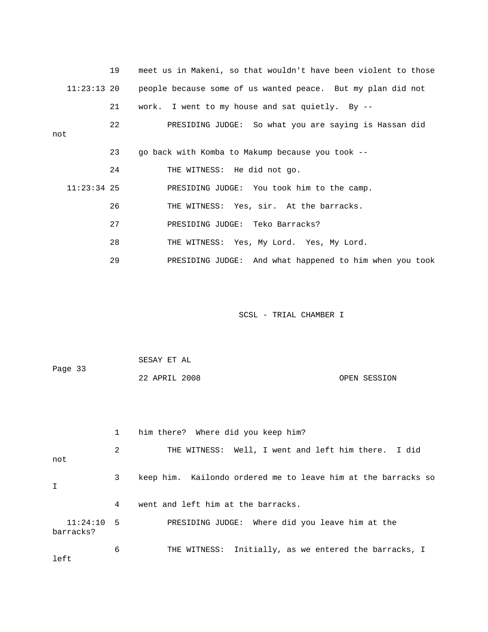|               | 19 | meet us in Makeni, so that wouldn't have been violent to those |
|---------------|----|----------------------------------------------------------------|
| $11:23:13$ 20 |    | people because some of us wanted peace. But my plan did not    |
|               | 21 | work. I went to my house and sat quietly. By $-$ -             |
| not           | 22 | PRESIDING JUDGE: So what you are saying is Hassan did          |
|               | 23 | go back with Komba to Makump because you took --               |
|               | 24 | THE WITNESS: He did not go.                                    |
| $11:23:34$ 25 |    | PRESIDING JUDGE: You took him to the camp.                     |
|               | 26 | THE WITNESS: Yes, sir. At the barracks.                        |
|               | 27 | PRESIDING JUDGE: Teko Barracks?                                |
|               | 28 | THE WITNESS: Yes, My Lord. Yes, My Lord.                       |
|               | 29 | PRESIDING JUDGE: And what happened to him when you took        |

|              |              | SESAY ET AL                                                   |              |  |  |  |
|--------------|--------------|---------------------------------------------------------------|--------------|--|--|--|
| Page 33      |              | 22 APRIL 2008                                                 | OPEN SESSION |  |  |  |
|              |              |                                                               |              |  |  |  |
|              |              |                                                               |              |  |  |  |
|              |              |                                                               |              |  |  |  |
|              | $\mathbf{1}$ | him there? Where did you keep him?                            |              |  |  |  |
|              | 2            | THE WITNESS: Well, I went and left him there. I did           |              |  |  |  |
| not          |              |                                                               |              |  |  |  |
|              | $\mathbf{3}$ | keep him. Kailondo ordered me to leave him at the barracks so |              |  |  |  |
| Τ            |              |                                                               |              |  |  |  |
|              | 4            | went and left him at the barracks.                            |              |  |  |  |
| $11:24:10$ 5 |              | PRESIDING JUDGE: Where did you leave him at the               |              |  |  |  |
| barracks?    |              |                                                               |              |  |  |  |
|              | 6            | THE WITNESS: Initially, as we entered the barracks, I         |              |  |  |  |
| left         |              |                                                               |              |  |  |  |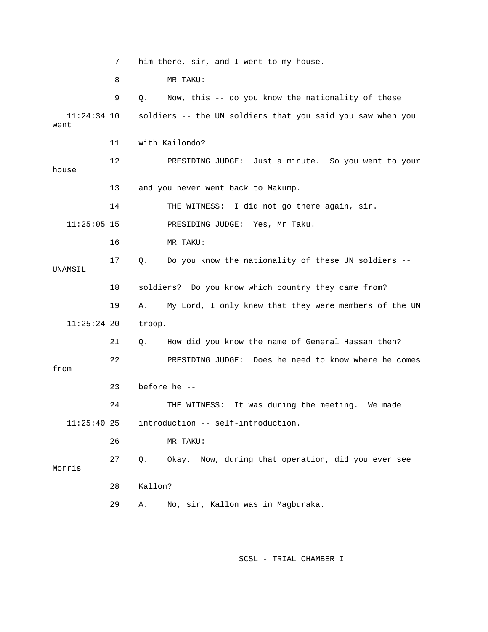7 him there, sir, and I went to my house. 8 MR TAKU: 9 Q. Now, this -- do you know the nationality of these 11:24:34 10 soldiers -- the UN soldiers that you said you saw when you went 11 with Kailondo? 12 PRESIDING JUDGE: Just a minute. So you went to your house 13 and you never went back to Makump. 14 THE WITNESS: I did not go there again, sir. 11:25:05 15 PRESIDING JUDGE: Yes, Mr Taku. 16 MR TAKU: 17 Q. Do you know the nationality of these UN soldiers -- UNAMSIL 18 soldiers? Do you know which country they came from? 19 A. My Lord, I only knew that they were members of the UN 11:25:24 20 troop. 21 Q. How did you know the name of General Hassan then? 22 PRESIDING JUDGE: Does he need to know where he comes from 23 before he -- 24 THE WITNESS: It was during the meeting. We made 11:25:40 25 introduction -- self-introduction. 26 MR TAKU: 27 Q. Okay. Now, during that operation, did you ever see Morris 28 Kallon? 29 A. No, sir, Kallon was in Magburaka.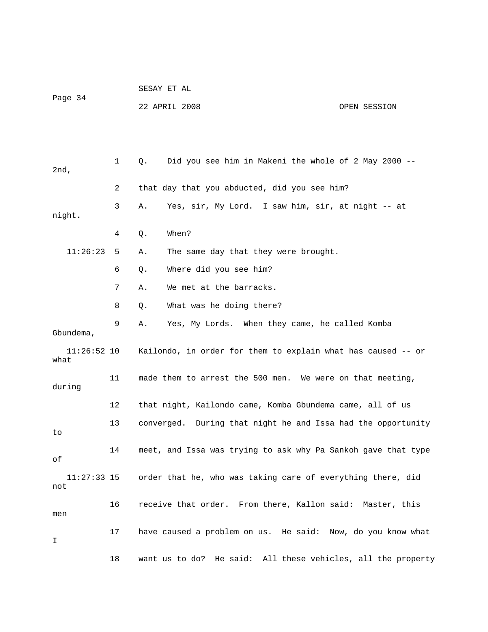|                       |             | SESAY ET AL   |                                                               |              |  |  |
|-----------------------|-------------|---------------|---------------------------------------------------------------|--------------|--|--|
| Page 34               |             | 22 APRIL 2008 |                                                               | OPEN SESSION |  |  |
|                       |             |               |                                                               |              |  |  |
|                       |             |               |                                                               |              |  |  |
| $2nd$ ,               | $\mathbf 1$ | Q.            | Did you see him in Makeni the whole of 2 May 2000 --          |              |  |  |
|                       | 2           |               | that day that you abducted, did you see him?                  |              |  |  |
| night.                | 3           | Α.            | Yes, sir, My Lord. I saw him, sir, at night -- at             |              |  |  |
|                       | 4           | When?<br>Q.   |                                                               |              |  |  |
| 11:26:23              | 5           | Α.            | The same day that they were brought.                          |              |  |  |
|                       | 6           | Q.            | Where did you see him?                                        |              |  |  |
|                       | 7           | Α.            | We met at the barracks.                                       |              |  |  |
|                       | 8           | Q.            | What was he doing there?                                      |              |  |  |
| Gbundema,             | 9           | Α.            | Yes, My Lords. When they came, he called Komba                |              |  |  |
| $11:26:52$ 10<br>what |             |               | Kailondo, in order for them to explain what has caused -- or  |              |  |  |
| during                | 11          |               | made them to arrest the 500 men. We were on that meeting,     |              |  |  |
|                       | 12          |               | that night, Kailondo came, Komba Gbundema came, all of us     |              |  |  |
| to                    | 13          | converged.    | During that night he and Issa had the opportunity             |              |  |  |
| оf                    | 14          |               | meet, and Issa was trying to ask why Pa Sankoh gave that type |              |  |  |
| $11:27:33$ 15<br>not  |             |               | order that he, who was taking care of everything there, did   |              |  |  |
| men                   | 16          |               | receive that order. From there, Kallon said: Master, this     |              |  |  |
| I                     | 17          |               | have caused a problem on us. He said: Now, do you know what   |              |  |  |
|                       | 18          |               | want us to do? He said: All these vehicles, all the property  |              |  |  |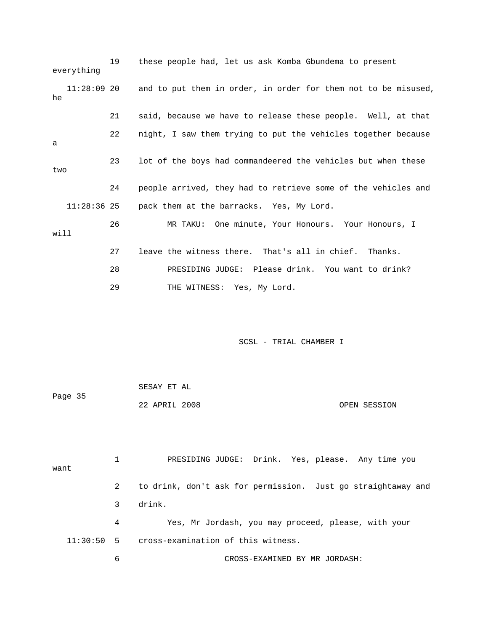19 these people had, let us ask Komba Gbundema to present everything 11:28:09 20 and to put them in order, in order for them not to be misused, he 21 said, because we have to release these people. Well, at that 22 night, I saw them trying to put the vehicles together because a 23 lot of the boys had commandeered the vehicles but when these two 24 people arrived, they had to retrieve some of the vehicles and 11:28:36 25 pack them at the barracks. Yes, My Lord. 26 MR TAKU: One minute, Your Honours. Your Honours, I will 27 leave the witness there. That's all in chief. Thanks. 28 PRESIDING JUDGE: Please drink. You want to drink? 29 THE WITNESS: Yes, My Lord.

SCSL - TRIAL CHAMBER I

|         | SESAY ET AL   |              |
|---------|---------------|--------------|
| Page 35 |               |              |
|         | 22 APRIL 2008 | OPEN SESSION |

 1 PRESIDING JUDGE: Drink. Yes, please. Any time you want 2 to drink, don't ask for permission. Just go straightaway and 3 drink. 4 Yes, Mr Jordash, you may proceed, please, with your 11:30:50 5 cross-examination of this witness. 6 CROSS-EXAMINED BY MR JORDASH: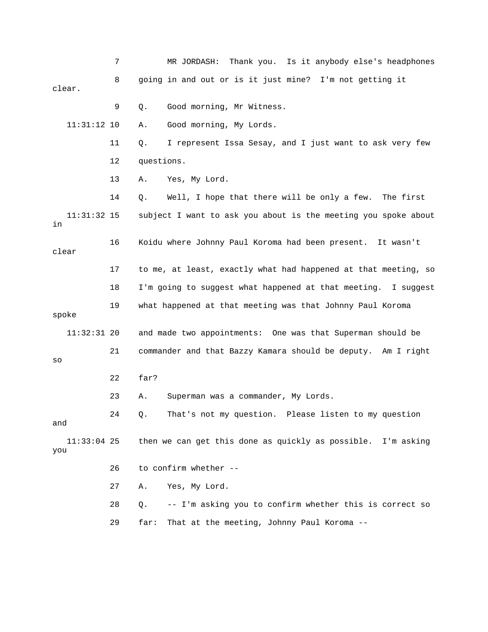|                      | 7  | MR JORDASH:<br>Thank you. Is it anybody else's headphones      |
|----------------------|----|----------------------------------------------------------------|
| clear.               | 8  | going in and out or is it just mine? I'm not getting it        |
|                      | 9  | Good morning, Mr Witness.<br>Q.                                |
| $11:31:12$ 10        |    | Good morning, My Lords.<br>Α.                                  |
|                      | 11 | I represent Issa Sesay, and I just want to ask very few<br>Q.  |
|                      | 12 | questions.                                                     |
|                      | 13 | Yes, My Lord.<br>Α.                                            |
|                      | 14 | Well, I hope that there will be only a few.<br>The first<br>Q. |
| $11:31:32$ 15<br>in  |    | subject I want to ask you about is the meeting you spoke about |
| clear                | 16 | Koidu where Johnny Paul Koroma had been present. It wasn't     |
|                      | 17 | to me, at least, exactly what had happened at that meeting, so |
|                      | 18 | I'm going to suggest what happened at that meeting. I suggest  |
| spoke                | 19 | what happened at that meeting was that Johnny Paul Koroma      |
| $11:32:31$ 20        |    | and made two appointments: One was that Superman should be     |
| SO                   | 21 | commander and that Bazzy Kamara should be deputy. Am I right   |
|                      | 22 | far?                                                           |
|                      | 23 | Superman was a commander, My Lords.<br>Α.                      |
| and                  | 24 | That's not my question. Please listen to my question<br>Q.     |
| $11:33:04$ 25<br>you |    | then we can get this done as quickly as possible. I'm asking   |
|                      | 26 | to confirm whether --                                          |
|                      | 27 | Yes, My Lord.<br>Α.                                            |
|                      | 28 | -- I'm asking you to confirm whether this is correct so<br>Q.  |
|                      | 29 | That at the meeting, Johnny Paul Koroma --<br>far:             |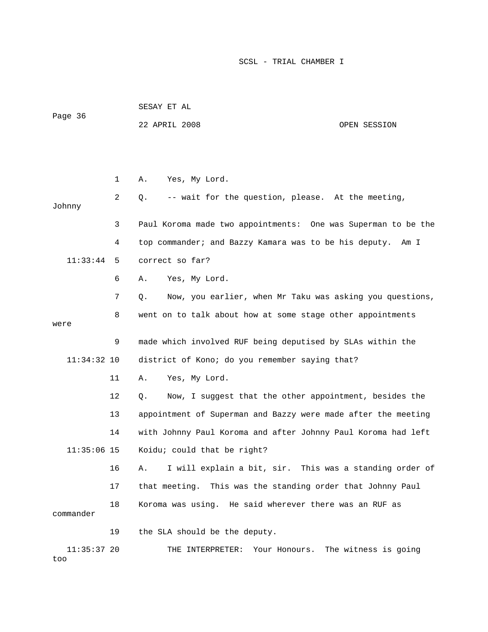| Page 36       |    | SESAY ET AL                                                    |                      |
|---------------|----|----------------------------------------------------------------|----------------------|
|               |    | 22 APRIL 2008                                                  | OPEN SESSION         |
|               |    |                                                                |                      |
|               |    |                                                                |                      |
|               | 1  | Yes, My Lord.<br>Α.                                            |                      |
| Johnny        | 2  | -- wait for the question, please. At the meeting,<br>Q.        |                      |
|               | 3  | Paul Koroma made two appointments: One was Superman to be the  |                      |
|               | 4  | top commander; and Bazzy Kamara was to be his deputy.          | Am I                 |
| 11:33:44      | 5  | correct so far?                                                |                      |
|               | 6  | Yes, My Lord.<br>Α.                                            |                      |
|               | 7  | Now, you earlier, when Mr Taku was asking you questions,<br>Q. |                      |
|               | 8  | went on to talk about how at some stage other appointments     |                      |
| were          |    |                                                                |                      |
|               | 9  | made which involved RUF being deputised by SLAs within the     |                      |
| $11:34:32$ 10 |    | district of Kono; do you remember saying that?                 |                      |
|               | 11 | Yes, My Lord.<br>Α.                                            |                      |
|               | 12 | Now, I suggest that the other appointment, besides the<br>Q.   |                      |
|               | 13 | appointment of Superman and Bazzy were made after the meeting  |                      |
|               | 14 | with Johnny Paul Koroma and after Johnny Paul Koroma had left  |                      |
| $11:35:06$ 15 |    | Koidu; could that be right?                                    |                      |
|               | 16 | I will explain a bit, sir. This was a standing order of<br>Α.  |                      |
|               | 17 | that meeting. This was the standing order that Johnny Paul     |                      |
| commander     | 18 | Koroma was using. He said wherever there was an RUF as         |                      |
|               | 19 | the SLA should be the deputy.                                  |                      |
| $11:35:37$ 20 |    | THE INTERPRETER:<br>Your Honours.                              | The witness is going |

too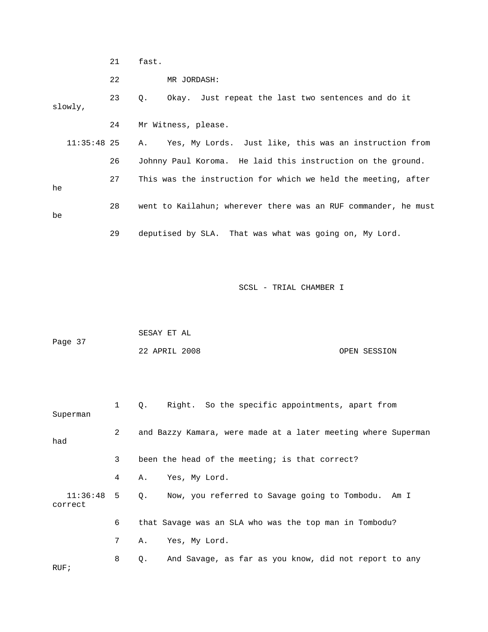21 fast.

22 MR JORDASH:

 23 Q. Okay. Just repeat the last two sentences and do it slowly, 24 Mr Witness, please. 11:35:48 25 A. Yes, My Lords. Just like, this was an instruction from

 26 Johnny Paul Koroma. He laid this instruction on the ground. 27 This was the instruction for which we held the meeting, after he 28 went to Kailahun; wherever there was an RUF commander, he must be 29 deputised by SLA. That was what was going on, My Lord.

|         | SESAY ET AL   |  |              |
|---------|---------------|--|--------------|
| Page 37 |               |  |              |
|         | 22 APRIL 2008 |  | OPEN SESSION |

| Superman                   | $1 \quad \Box$ | Right. So the specific appointments, apart from<br>0.         |
|----------------------------|----------------|---------------------------------------------------------------|
| had                        | $\mathbf{2}$   | and Bazzy Kamara, were made at a later meeting where Superman |
|                            | 3              | been the head of the meeting; is that correct?                |
|                            | 4              | Yes, My Lord.<br>А.                                           |
| $11:36:48$ 5 Q.<br>correct |                | Now, you referred to Savage going to Tombodu. Am I            |
|                            | 6              | that Savage was an SLA who was the top man in Tombodu?        |
|                            | 7              | Yes, My Lord.<br>А.                                           |
| RUF:                       | 8              | And Savage, as far as you know, did not report to any<br>Q.   |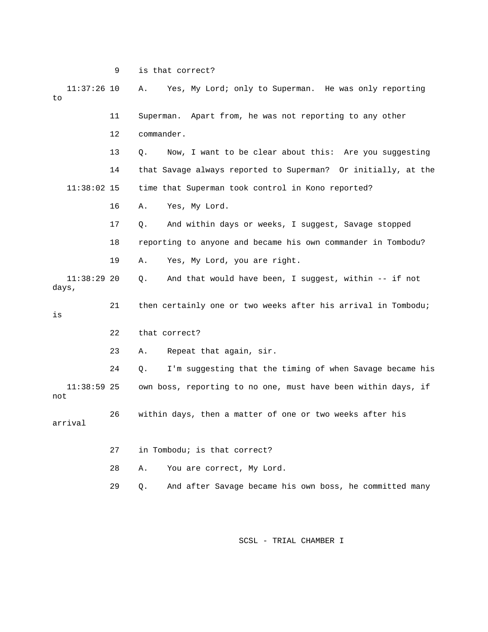9 is that correct?

| $11:37:26$ 10<br>to    |    | Yes, My Lord; only to Superman. He was only reporting<br>Α.    |
|------------------------|----|----------------------------------------------------------------|
|                        | 11 | Superman. Apart from, he was not reporting to any other        |
|                        | 12 | commander.                                                     |
|                        | 13 | Now, I want to be clear about this: Are you suggesting<br>Q.   |
|                        | 14 | that Savage always reported to Superman? Or initially, at the  |
| $11:38:02$ 15          |    | time that Superman took control in Kono reported?              |
|                        | 16 | Yes, My Lord.<br>Α.                                            |
|                        | 17 | And within days or weeks, I suggest, Savage stopped<br>Q.      |
|                        | 18 | reporting to anyone and became his own commander in Tombodu?   |
|                        | 19 | Yes, My Lord, you are right.<br>Α.                             |
| $11:38:29$ 20<br>days, |    | And that would have been, I suggest, within -- if not<br>Q.    |
| is                     | 21 | then certainly one or two weeks after his arrival in Tombodu;  |
|                        | 22 | that correct?                                                  |
|                        | 23 | Repeat that again, sir.<br>Α.                                  |
|                        | 24 | I'm suggesting that the timing of when Savage became his<br>Q. |
| $11:38:59$ 25<br>not   |    | own boss, reporting to no one, must have been within days, if  |
| arrival                | 26 | within days, then a matter of one or two weeks after his       |
|                        | 27 | in Tombodu; is that correct?                                   |
|                        | 28 | Α.<br>You are correct, My Lord.                                |
|                        | 29 | And after Savage became his own boss, he committed many<br>Q.  |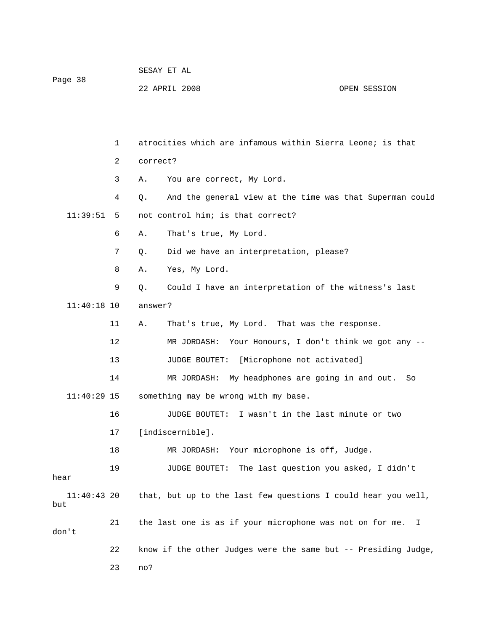|                      |              | SESAY ET AL |                                                                |              |  |  |
|----------------------|--------------|-------------|----------------------------------------------------------------|--------------|--|--|
| Page 38              |              |             | 22 APRIL 2008                                                  | OPEN SESSION |  |  |
|                      |              |             |                                                                |              |  |  |
|                      |              |             |                                                                |              |  |  |
|                      | $\mathbf{1}$ |             | atrocities which are infamous within Sierra Leone; is that     |              |  |  |
|                      | 2            | correct?    |                                                                |              |  |  |
|                      | 3            | Α.          | You are correct, My Lord.                                      |              |  |  |
|                      | 4            | Q.          | And the general view at the time was that Superman could       |              |  |  |
| 11:39:51             | 5            |             | not control him; is that correct?                              |              |  |  |
|                      | 6            | Α.          | That's true, My Lord.                                          |              |  |  |
|                      | 7            | Q.          | Did we have an interpretation, please?                         |              |  |  |
|                      | 8            | Α.          | Yes, My Lord.                                                  |              |  |  |
|                      | 9            | Q.          | Could I have an interpretation of the witness's last           |              |  |  |
| $11:40:18$ 10        |              | answer?     |                                                                |              |  |  |
|                      | 11           | Α.          | That's true, My Lord. That was the response.                   |              |  |  |
|                      | 12           |             | MR JORDASH: Your Honours, I don't think we got any --          |              |  |  |
|                      | 13           |             | <b>JUDGE BOUTET:</b><br>[Microphone not activated]             |              |  |  |
|                      | 14           |             | My headphones are going in and out.<br>MR JORDASH:             | So           |  |  |
| $11:40:29$ 15        |              |             | something may be wrong with my base.                           |              |  |  |
|                      | 16           |             | JUDGE BOUTET: I wasn't in the last minute or two               |              |  |  |
|                      | 17           |             | [indiscernible].                                               |              |  |  |
|                      | 18           |             | Your microphone is off, Judge.<br>MR JORDASH:                  |              |  |  |
| hear                 | 19           |             | The last question you asked, I didn't<br>JUDGE BOUTET:         |              |  |  |
| $11:40:43$ 20<br>but |              |             | that, but up to the last few questions I could hear you well,  |              |  |  |
| don't                | 21           |             | the last one is as if your microphone was not on for me.       | I.           |  |  |
|                      | 22           |             | know if the other Judges were the same but -- Presiding Judge, |              |  |  |
|                      | 23           | no?         |                                                                |              |  |  |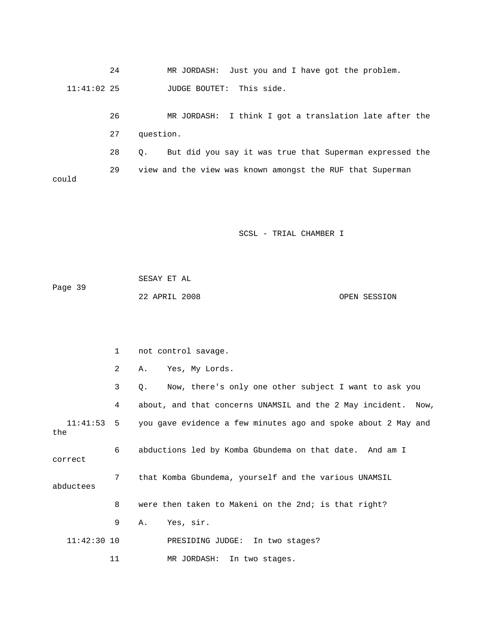24 MR JORDASH: Just you and I have got the problem. 11:41:02 25 JUDGE BOUTET: This side.

 26 MR JORDASH: I think I got a translation late after the 27 question. 28 Q. But did you say it was true that Superman expressed the 29 view and the view was known amongst the RUF that Superman could

| Page 39 | SESAY ET AL   |              |
|---------|---------------|--------------|
|         | 22 APRIL 2008 | OPEN SESSION |

|               | $\mathbf{1}$   | not control savage.                                                      |
|---------------|----------------|--------------------------------------------------------------------------|
|               | $\overline{2}$ | Yes, My Lords.<br>Α.                                                     |
|               | 3              | Now, there's only one other subject I want to ask you<br>Q.              |
|               | 4              | about, and that concerns UNAMSIL and the 2 May incident. Now,            |
| the           |                | 11:41:53 5 you gave evidence a few minutes ago and spoke about 2 May and |
| correct       | 6              | abductions led by Komba Gbundema on that date. And am I                  |
| abductees     | 7              | that Komba Gbundema, yourself and the various UNAMSIL                    |
|               | 8              | were then taken to Makeni on the 2nd; is that right?                     |
|               | 9              | Yes, sir.<br>Α.                                                          |
| $11:42:30$ 10 |                | PRESIDING JUDGE: In two stages?                                          |
|               | 11             | MR JORDASH: In two stages.                                               |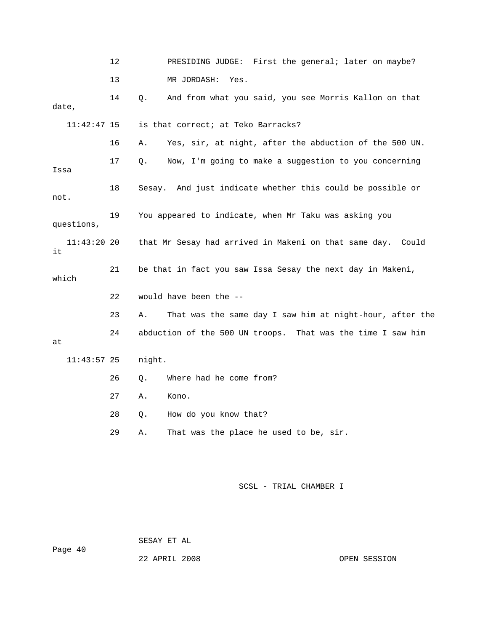|                     | 12 | PRESIDING JUDGE: First the general; later on maybe?            |
|---------------------|----|----------------------------------------------------------------|
|                     | 13 | MR JORDASH:<br>Yes.                                            |
| date,               | 14 | And from what you said, you see Morris Kallon on that<br>Q.    |
| $11:42:47$ 15       |    | is that correct; at Teko Barracks?                             |
|                     | 16 | Yes, sir, at night, after the abduction of the 500 UN.<br>Α.   |
| Issa                | 17 | Now, I'm going to make a suggestion to you concerning<br>О.    |
| not.                | 18 | Sesay. And just indicate whether this could be possible or     |
| questions,          | 19 | You appeared to indicate, when Mr Taku was asking you          |
| $11:43:20$ 20<br>it |    | that Mr Sesay had arrived in Makeni on that same day. Could    |
| which               | 21 | be that in fact you saw Issa Sesay the next day in Makeni,     |
|                     | 22 | would have been the --                                         |
|                     | 23 | That was the same day I saw him at night-hour, after the<br>Α. |
| at                  | 24 | abduction of the 500 UN troops. That was the time I saw him    |
| $11:43:57$ 25       |    | night.                                                         |
|                     | 26 | Where had he come from?<br>Q.                                  |
|                     | 27 | Kono.<br>Α.                                                    |
|                     | 28 | How do you know that?<br>Q.                                    |
|                     | 29 | That was the place he used to be, sir.<br>Α.                   |

Page 40

SESAY ET AL

22 APRIL 2008 CPEN SESSION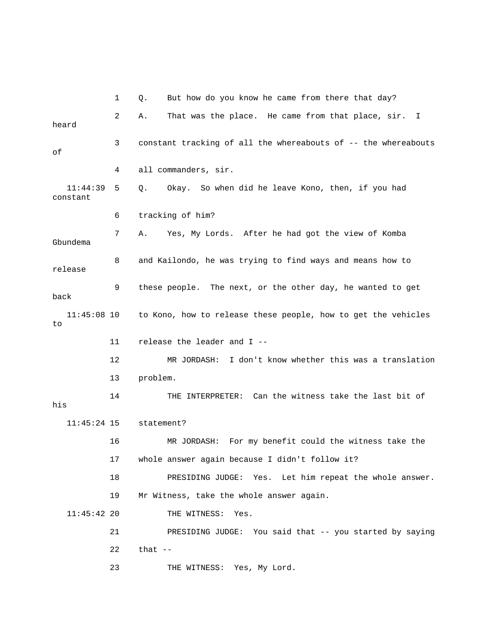|                      | 1  | But how do you know he came from there that day?<br>Q.         |
|----------------------|----|----------------------------------------------------------------|
| heard                | 2  | That was the place. He came from that place, sir. I<br>Α.      |
| оf                   | 3  | constant tracking of all the whereabouts of -- the whereabouts |
|                      | 4  | all commanders, sir.                                           |
| 11:44:39<br>constant | 5  | Okay. So when did he leave Kono, then, if you had<br>Q.        |
|                      | 6  | tracking of him?                                               |
| Gbundema             | 7  | Yes, My Lords. After he had got the view of Komba<br>Α.        |
| release              | 8  | and Kailondo, he was trying to find ways and means how to      |
| back                 | 9  | these people. The next, or the other day, he wanted to get     |
| $11:45:08$ 10<br>to  |    | to Kono, how to release these people, how to get the vehicles  |
|                      |    |                                                                |
|                      | 11 | release the leader and I --                                    |
|                      | 12 | I don't know whether this was a translation<br>MR JORDASH:     |
|                      | 13 | problem.                                                       |
| his                  | 14 | THE INTERPRETER: Can the witness take the last bit of          |
| $11:45:24$ 15        |    | statement?                                                     |
|                      | 16 | For my benefit could the witness take the<br>MR JORDASH:       |
|                      | 17 | whole answer again because I didn't follow it?                 |
|                      | 18 | PRESIDING JUDGE:<br>Yes.<br>Let him repeat the whole answer.   |
|                      | 19 | Mr Witness, take the whole answer again.                       |
| $11:45:42$ 20        |    | THE WITNESS:<br>Yes.                                           |
|                      | 21 | PRESIDING JUDGE: You said that -- you started by saying        |
|                      | 22 | that $--$                                                      |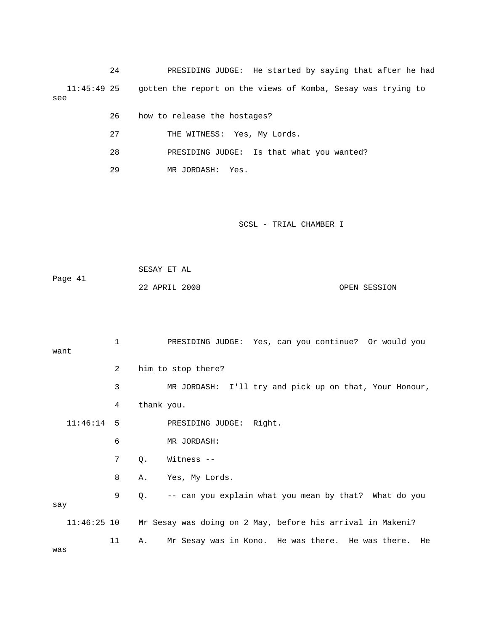24 PRESIDING JUDGE: He started by saying that after he had 11:45:49 25 gotten the report on the views of Komba, Sesay was trying to see

- 26 how to release the hostages?
- 27 THE WITNESS: Yes, My Lords.
- 28 PRESIDING JUDGE: Is that what you wanted?
- 29 MR JORDASH: Yes.

SCSL - TRIAL CHAMBER I

|         | SESAY ET AL   |  |              |
|---------|---------------|--|--------------|
| Page 41 |               |  |              |
|         | 22 APRIL 2008 |  | OPEN SESSION |

|      |              | 1  | PRESIDING JUDGE: Yes, can you continue? Or would you                   |
|------|--------------|----|------------------------------------------------------------------------|
| want |              |    |                                                                        |
|      |              | 2  | him to stop there?                                                     |
|      |              | 3  | MR JORDASH: I'll try and pick up on that, Your Honour,                 |
|      |              | 4  | thank you.                                                             |
|      | $11:46:14$ 5 |    | PRESIDING JUDGE: Right.                                                |
|      |              | 6  | MR JORDASH:                                                            |
|      |              | 7  | Witness --<br>$Q$ .                                                    |
|      |              | 8  | Yes, My Lords.<br>Α.                                                   |
| say  |              | 9  | -- can you explain what you mean by that? What do you<br>0.            |
|      |              |    | 11:46:25 10 Mr Sesay was doing on 2 May, before his arrival in Makeni? |
|      |              | 11 | Mr Sesay was in Kono. He was there. He was there. He<br>Α.             |

was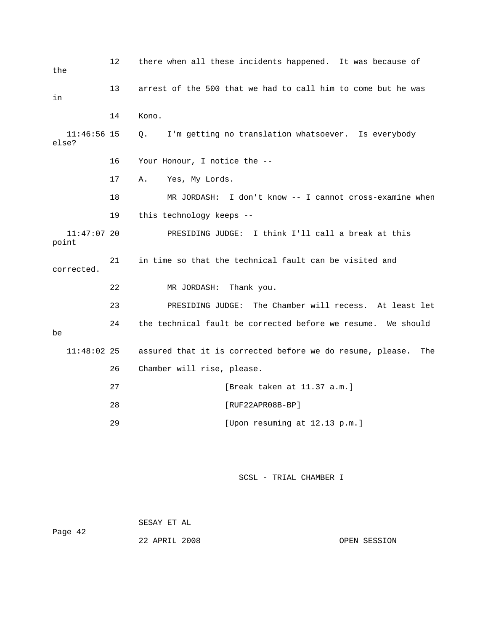| the                    | 12 | there when all these incidents happened. It was because of       |
|------------------------|----|------------------------------------------------------------------|
| in                     | 13 | arrest of the 500 that we had to call him to come but he was     |
|                        | 14 | Kono.                                                            |
| $11:46:56$ 15<br>else? |    | I'm getting no translation whatsoever. Is everybody<br>Q.        |
|                        | 16 | Your Honour, I notice the --                                     |
|                        | 17 | Yes, My Lords.<br>Α.                                             |
|                        | 18 | MR JORDASH: I don't know -- I cannot cross-examine when          |
|                        | 19 | this technology keeps --                                         |
| $11:47:07$ 20<br>point |    | PRESIDING JUDGE: I think I'll call a break at this               |
| corrected.             | 21 | in time so that the technical fault can be visited and           |
|                        | 22 | MR JORDASH:<br>Thank you.                                        |
|                        | 23 | PRESIDING JUDGE: The Chamber will recess. At least let           |
| be                     | 24 | the technical fault be corrected before we resume. We should     |
| $11:48:02$ 25          |    | assured that it is corrected before we do resume, please.<br>The |
|                        | 26 | Chamber will rise, please.                                       |
|                        | 27 | [Break taken at 11.37 a.m.]                                      |
|                        | 28 | [RUF22APR08B-BP]                                                 |
|                        | 29 | [Upon resuming at 12.13 p.m.]                                    |
|                        |    |                                                                  |
|                        |    | SCSL - TRIAL CHAMBER I                                           |

 SESAY ET AL Page 42 22 APRIL 2008 OPEN SESSION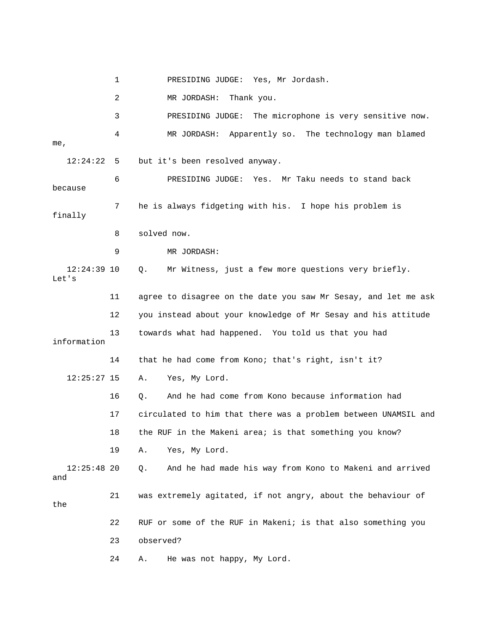1 PRESIDING JUDGE: Yes, Mr Jordash. 2 MR JORDASH: Thank you. 3 PRESIDING JUDGE: The microphone is very sensitive now. 4 MR JORDASH: Apparently so. The technology man blamed me, 12:24:22 5 but it's been resolved anyway. 6 PRESIDING JUDGE: Yes. Mr Taku needs to stand back because 7 he is always fidgeting with his. I hope his problem is finally 8 solved now. 9 MR JORDASH: 12:24:39 10 Q. Mr Witness, just a few more questions very briefly. Let's 11 agree to disagree on the date you saw Mr Sesay, and let me ask 12 you instead about your knowledge of Mr Sesay and his attitude 13 towards what had happened. You told us that you had information 14 that he had come from Kono; that's right, isn't it? 12:25:27 15 A. Yes, My Lord. 16 Q. And he had come from Kono because information had 17 circulated to him that there was a problem between UNAMSIL and 18 the RUF in the Makeni area; is that something you know? 19 A. Yes, My Lord. 12:25:48 20 Q. And he had made his way from Kono to Makeni and arrived and 21 was extremely agitated, if not angry, about the behaviour of the 22 RUF or some of the RUF in Makeni; is that also something you 23 observed? 24 A. He was not happy, My Lord.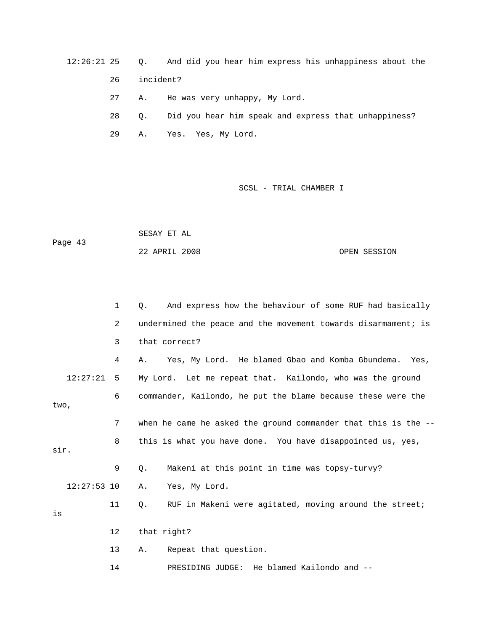12:26:21 25 Q. And did you hear him express his unhappiness about the

26 incident?

27 A. He was very unhappy, My Lord.

 28 Q. Did you hear him speak and express that unhappiness? 29 A. Yes. Yes, My Lord.

SCSL - TRIAL CHAMBER I

|         | SESAY ET AL   |  |              |
|---------|---------------|--|--------------|
| Page 43 |               |  |              |
|         | 22 APRIL 2008 |  | OPEN SESSION |

|               | $\mathbf{1}$ | And express how the behaviour of some RUF had basically<br>О.  |
|---------------|--------------|----------------------------------------------------------------|
|               | 2            | undermined the peace and the movement towards disarmament; is  |
|               | 3            | that correct?                                                  |
|               | 4            | Yes, My Lord. He blamed Gbao and Komba Gbundema. Yes,<br>А.    |
| 12:27:21      | 5            | My Lord. Let me repeat that. Kailondo, who was the ground      |
| two,          | 6            | commander, Kailondo, he put the blame because these were the   |
|               | 7            | when he came he asked the ground commander that this is the -- |
| sir.          | 8            | this is what you have done. You have disappointed us, yes,     |
|               | 9            | Makeni at this point in time was topsy-turvy?<br>О.            |
| $12:27:53$ 10 |              | Yes, My Lord.<br>Α.                                            |
| is            | 11           | О.<br>RUF in Makeni were agitated, moving around the street;   |
|               | $12 \,$      | that right?                                                    |
|               | 13           | Repeat that question.<br>Α.                                    |

14 PRESIDING JUDGE: He blamed Kailondo and --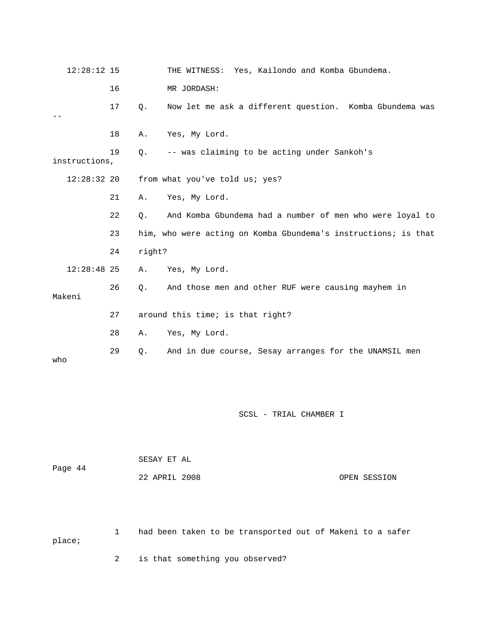| $12:28:12$ 15 |    |        | THE WITNESS: Yes, Kailondo and Komba Gbundema.                 |
|---------------|----|--------|----------------------------------------------------------------|
|               | 16 |        | MR JORDASH:                                                    |
|               | 17 | Q.     | Now let me ask a different question. Komba Gbundema was        |
|               | 18 | Α.     | Yes, My Lord.                                                  |
| instructions, | 19 | Q.     | -- was claiming to be acting under Sankoh's                    |
| $12:28:32$ 20 |    |        | from what you've told us; yes?                                 |
|               | 21 | Α.     | Yes, My Lord.                                                  |
|               | 22 | Q.     | And Komba Gbundema had a number of men who were loyal to       |
|               | 23 |        | him, who were acting on Komba Gbundema's instructions; is that |
|               | 24 | right? |                                                                |
| $12:28:48$ 25 |    | Α.     | Yes, My Lord.                                                  |
| Makeni        | 26 | Q.     | And those men and other RUF were causing mayhem in             |
|               | 27 |        | around this time; is that right?                               |
|               | 28 | Α.     | Yes, My Lord.                                                  |
| who           | 29 | $Q$ .  | And in due course, Sesay arranges for the UNAMSIL men          |

|         | SESAY ET AL   |              |
|---------|---------------|--------------|
| Page 44 | 22 APRIL 2008 | OPEN SESSION |
|         |               |              |

 1 had been taken to be transported out of Makeni to a safer place;

2 is that something you observed?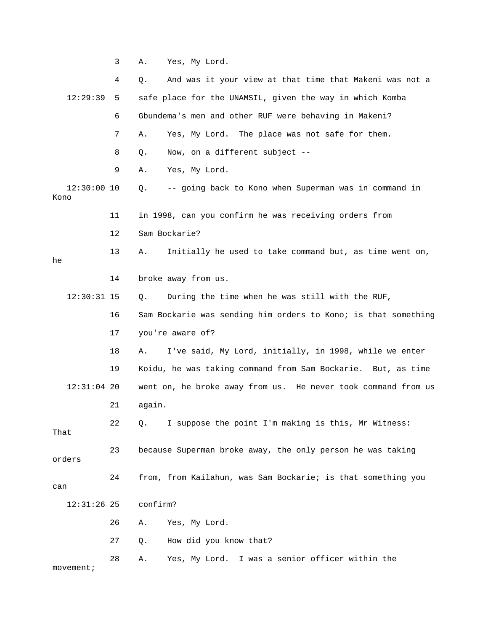3 A. Yes, My Lord.

|                       | 4  | And was it your view at that time that Makeni was not a<br>Q.  |
|-----------------------|----|----------------------------------------------------------------|
| 12:29:39              | 5  | safe place for the UNAMSIL, given the way in which Komba       |
|                       | 6  | Gbundema's men and other RUF were behaving in Makeni?          |
|                       | 7  | Yes, My Lord. The place was not safe for them.<br>Α.           |
|                       | 8  | Now, on a different subject --<br>Q.                           |
|                       | 9  | Yes, My Lord.<br>Α.                                            |
| $12:30:00$ 10<br>Kono |    | -- going back to Kono when Superman was in command in<br>Q.    |
|                       | 11 | in 1998, can you confirm he was receiving orders from          |
|                       | 12 | Sam Bockarie?                                                  |
| he                    | 13 | Initially he used to take command but, as time went on,<br>Α.  |
|                       | 14 | broke away from us.                                            |
| $12:30:31$ 15         |    | During the time when he was still with the RUF,<br>Q.          |
|                       | 16 | Sam Bockarie was sending him orders to Kono; is that something |
|                       | 17 | you're aware of?                                               |
|                       | 18 | I've said, My Lord, initially, in 1998, while we enter<br>Α.   |
|                       | 19 | Koidu, he was taking command from Sam Bockarie. But, as time   |
| $12:31:04$ 20         |    | went on, he broke away from us. He never took command from us  |
|                       | 21 | again.                                                         |
| That                  | 22 | I suppose the point I'm making is this, Mr Witness:<br>Q.      |
| orders                | 23 | because Superman broke away, the only person he was taking     |
| can                   | 24 | from, from Kailahun, was Sam Bockarie; is that something you   |
| $12:31:26$ 25         |    | confirm?                                                       |
|                       | 26 | Yes, My Lord.<br>Α.                                            |
|                       | 27 | How did you know that?<br>Q.                                   |
| movement;             | 28 | Yes, My Lord. I was a senior officer within the<br>Α.          |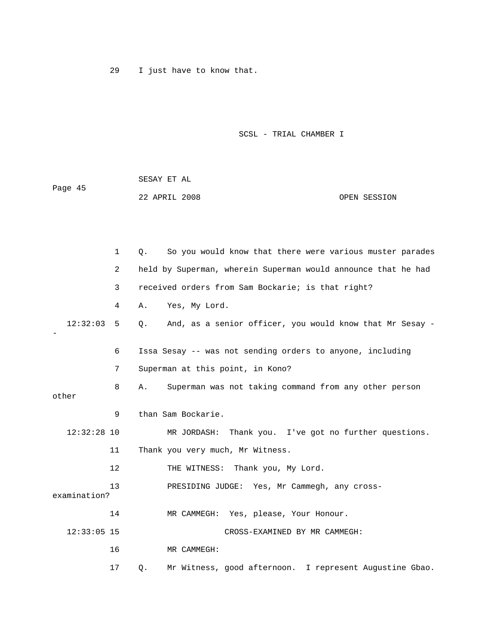29 I just have to know that.

|         | SESAY ET AL   |  |              |
|---------|---------------|--|--------------|
| Page 45 |               |  |              |
|         | 22 APRIL 2008 |  | OPEN SESSION |

|               | $\mathbf{1}$ | So you would know that there were various muster parades<br>Ο.   |
|---------------|--------------|------------------------------------------------------------------|
|               | 2            | held by Superman, wherein Superman would announce that he had    |
|               | 3            | received orders from Sam Bockarie; is that right?                |
|               | 4            | Yes, My Lord.<br>Α.                                              |
| 12:32:03      | 5            | And, as a senior officer, you would know that Mr Sesay -<br>0.   |
|               | 6            | Issa Sesay -- was not sending orders to anyone, including        |
|               | 7            | Superman at this point, in Kono?                                 |
| other         | 8            | Superman was not taking command from any other person<br>Α.      |
|               | 9            | than Sam Bockarie.                                               |
| $12:32:28$ 10 |              | MR JORDASH: Thank you. I've got no further questions.            |
|               | 11           | Thank you very much, Mr Witness.                                 |
|               | 12           | THE WITNESS: Thank you, My Lord.                                 |
| examination?  | 13           | PRESIDING JUDGE: Yes, Mr Cammegh, any cross-                     |
|               | 14           | MR CAMMEGH: Yes, please, Your Honour.                            |
| $12:33:05$ 15 |              | CROSS-EXAMINED BY MR CAMMEGH:                                    |
|               | 16           | MR CAMMEGH:                                                      |
|               | 17           | Mr Witness, good afternoon. I represent Augustine Gbao.<br>$Q$ . |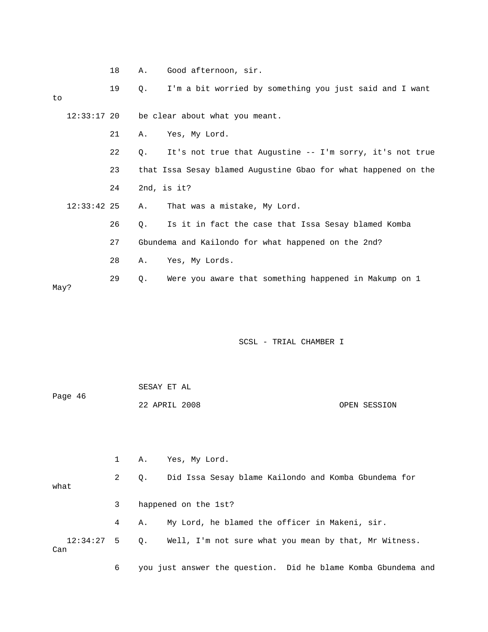|    |               | 18 | Α.             | Good afternoon, sir.                                           |
|----|---------------|----|----------------|----------------------------------------------------------------|
| to |               | 19 | Q <sub>z</sub> | I'm a bit worried by something you just said and I want        |
|    |               |    |                | 12:33:17 20 be clear about what you meant.                     |
|    |               | 21 | Α.             | Yes, My Lord.                                                  |
|    |               | 22 | Q.             | It's not true that Augustine -- I'm sorry, it's not true       |
|    |               | 23 |                | that Issa Sesay blamed Augustine Gbao for what happened on the |
|    |               | 24 |                | 2nd, is $it?$                                                  |
|    | $12:33:42$ 25 |    | Α.             | That was a mistake, My Lord.                                   |
|    |               | 26 | Q.             | Is it in fact the case that Issa Sesay blamed Komba            |
|    |               | 27 |                | Gbundema and Kailondo for what happened on the 2nd?            |
|    |               | 28 | Α.             | Yes, My Lords.                                                 |
|    |               | 29 | Q.             | Were you aware that something happened in Makump on 1          |

May?

SCSL - TRIAL CHAMBER I

| Page 46 | SESAY ET AL   |              |
|---------|---------------|--------------|
|         | 22 APRIL 2008 | OPEN SESSION |

 1 A. Yes, My Lord. 2 Q. Did Issa Sesay blame Kailondo and Komba Gbundema for what 3 happened on the 1st? 4 A. My Lord, he blamed the officer in Makeni, sir. 12:34:27 5 Q. Well, I'm not sure what you mean by that, Mr Witness. Can

6 you just answer the question. Did he blame Komba Gbundema and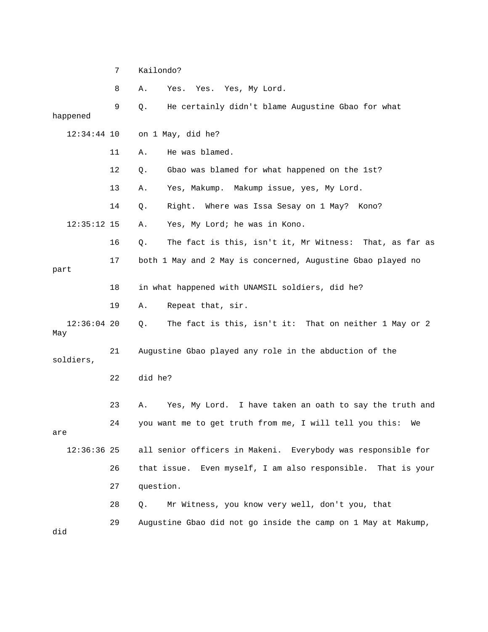7 Kailondo? 8 A. Yes. Yes. Yes, My Lord. 9 Q. He certainly didn't blame Augustine Gbao for what happened 12:34:44 10 on 1 May, did he? 11 A. He was blamed. 12 Q. Gbao was blamed for what happened on the 1st? 13 A. Yes, Makump. Makump issue, yes, My Lord. 14 Q. Right. Where was Issa Sesay on 1 May? Kono? 12:35:12 15 A. Yes, My Lord; he was in Kono. 16 Q. The fact is this, isn't it, Mr Witness: That, as far as 17 both 1 May and 2 May is concerned, Augustine Gbao played no part 18 in what happened with UNAMSIL soldiers, did he? 19 A. Repeat that, sir. 12:36:04 20 Q. The fact is this, isn't it: That on neither 1 May or 2 May 21 Augustine Gbao played any role in the abduction of the soldiers, 22 did he? 23 A. Yes, My Lord. I have taken an oath to say the truth and 24 you want me to get truth from me, I will tell you this: We are 12:36:36 25 all senior officers in Makeni. Everybody was responsible for 26 that issue. Even myself, I am also responsible. That is your 27 question. 28 Q. Mr Witness, you know very well, don't you, that 29 Augustine Gbao did not go inside the camp on 1 May at Makump, did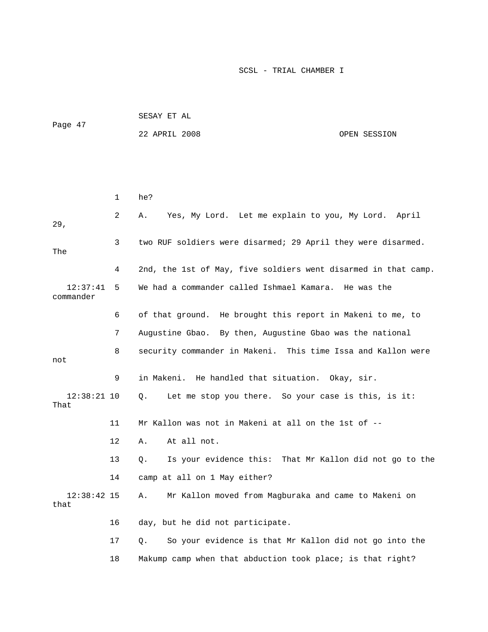| Page 47 | SESAY ET AL   |  |              |
|---------|---------------|--|--------------|
|         | 22 APRIL 2008 |  | OPEN SESSION |

|                       | 1                 | he?                                                            |
|-----------------------|-------------------|----------------------------------------------------------------|
| 29,                   | 2                 | Yes, My Lord. Let me explain to you, My Lord. April<br>Α.      |
| The                   | 3                 | two RUF soldiers were disarmed; 29 April they were disarmed.   |
|                       | 4                 | 2nd, the 1st of May, five soldiers went disarmed in that camp. |
| 12:37:41<br>commander | 5                 | We had a commander called Ishmael Kamara. He was the           |
|                       | 6                 | of that ground. He brought this report in Makeni to me, to     |
|                       | 7                 | Augustine Gbao. By then, Augustine Gbao was the national       |
| not                   | 8                 | security commander in Makeni. This time Issa and Kallon were   |
|                       | 9                 | in Makeni. He handled that situation. Okay, sir.               |
| $12:38:21$ 10<br>That |                   | Let me stop you there. So your case is this, is it:<br>О.      |
|                       | 11                | Mr Kallon was not in Makeni at all on the 1st of --            |
|                       | $12 \overline{ }$ | At all not.<br>Α.                                              |
|                       | 13                | Is your evidence this: That Mr Kallon did not go to the<br>Q.  |
|                       | 14                | camp at all on 1 May either?                                   |
| $12:38:42$ 15<br>that |                   | Mr Kallon moved from Magburaka and came to Makeni on<br>Α.     |
|                       | 16                | day, but he did not participate.                               |
|                       | 17                | So your evidence is that Mr Kallon did not go into the<br>Q.   |
|                       | 18                | Makump camp when that abduction took place; is that right?     |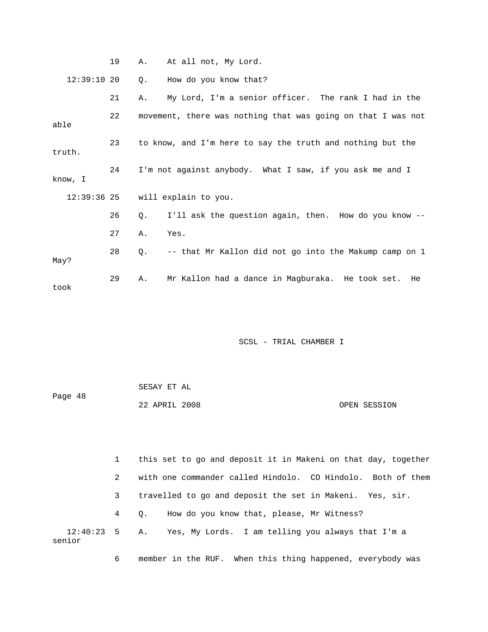|               | 19 | Α.                                                         | At all not, My Lord.                                         |  |
|---------------|----|------------------------------------------------------------|--------------------------------------------------------------|--|
| 12:39:1020    |    | Q.                                                         | How do you know that?                                        |  |
|               | 21 | Α.                                                         | My Lord, I'm a senior officer. The rank I had in the         |  |
| able          | 22 |                                                            | movement, there was nothing that was going on that I was not |  |
| truth.        | 23 | to know, and I'm here to say the truth and nothing but the |                                                              |  |
| know, I       | 24 |                                                            | I'm not against anybody. What I saw, if you ask me and I     |  |
| $12:39:36$ 25 |    |                                                            | will explain to you.                                         |  |
|               | 26 | Q.                                                         | I'll ask the question again, then. How do you know --        |  |
|               | 27 | Α.                                                         | Yes.                                                         |  |
| May?          | 28 | О.                                                         | -- that Mr Kallon did not go into the Makump camp on 1       |  |
| took          | 29 | Α.                                                         | Mr Kallon had a dance in Magburaka. He took set.<br>He       |  |

|         | SESAY ET AL   |  |              |
|---------|---------------|--|--------------|
| Page 48 |               |  |              |
|         | 22 APRIL 2008 |  | OPEN SESSION |

 1 this set to go and deposit it in Makeni on that day, together 2 with one commander called Hindolo. CO Hindolo. Both of them 3 travelled to go and deposit the set in Makeni. Yes, sir. 4 Q. How do you know that, please, Mr Witness? 12:40:23 5 A. Yes, My Lords. I am telling you always that I'm a senior

6 member in the RUF. When this thing happened, everybody was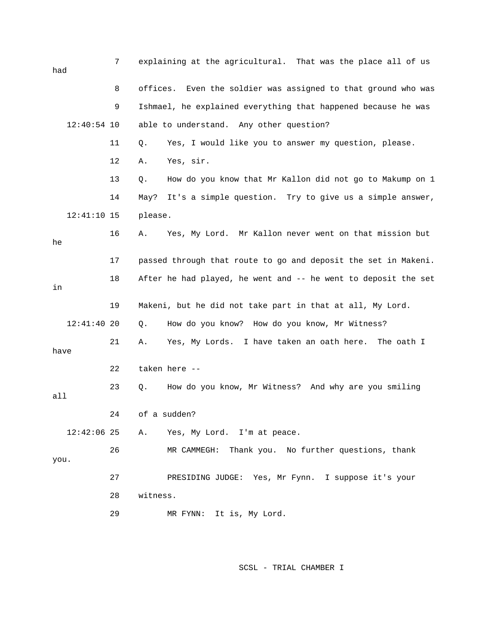| had           | 7  |          | explaining at the agricultural. That was the place all of us   |
|---------------|----|----------|----------------------------------------------------------------|
|               | 8  |          | offices. Even the soldier was assigned to that ground who was  |
|               | 9  |          | Ishmael, he explained everything that happened because he was  |
| $12:40:54$ 10 |    |          | able to understand. Any other question?                        |
|               | 11 | Q.       | Yes, I would like you to answer my question, please.           |
|               | 12 | Α.       | Yes, sir.                                                      |
|               | 13 | Q.       | How do you know that Mr Kallon did not go to Makump on 1       |
|               | 14 | May?     | It's a simple question. Try to give us a simple answer,        |
| $12:41:10$ 15 |    | please.  |                                                                |
| he            | 16 | Α.       | Yes, My Lord. Mr Kallon never went on that mission but         |
|               | 17 |          | passed through that route to go and deposit the set in Makeni. |
| in            | 18 |          | After he had played, he went and -- he went to deposit the set |
|               |    |          |                                                                |
|               | 19 |          | Makeni, but he did not take part in that at all, My Lord.      |
| $12:41:40$ 20 |    | Q.       | How do you know? How do you know, Mr Witness?                  |
| have          | 21 | Α.       | Yes, My Lords. I have taken an oath here. The oath I           |
|               | 22 |          | taken here --                                                  |
| all           | 23 | Q.       | How do you know, Mr Witness? And why are you smiling           |
|               | 24 |          | of a sudden?                                                   |
| $12:42:06$ 25 |    | Α.       | Yes, My Lord. I'm at peace.                                    |
| you.          | 26 |          | MR CAMMEGH: Thank you. No further questions, thank             |
|               | 27 |          | PRESIDING JUDGE: Yes, Mr Fynn. I suppose it's your             |
|               | 28 | witness. |                                                                |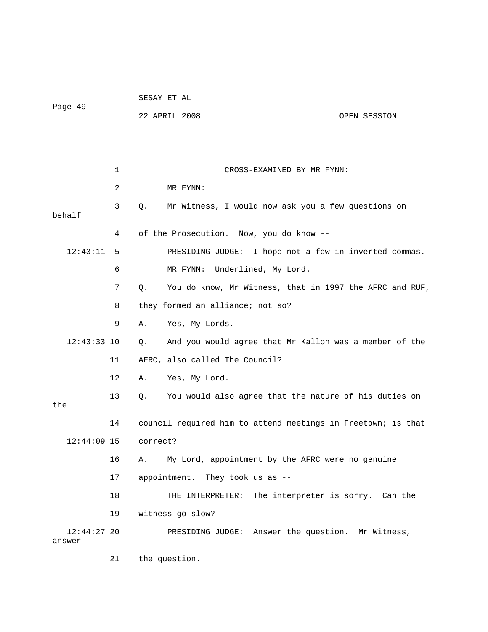|         | SESAY ET AL   |  |              |
|---------|---------------|--|--------------|
| Page 49 |               |  |              |
|         | 22 APRIL 2008 |  | OPEN SESSION |

 1 CROSS-EXAMINED BY MR FYNN: 2 MR FYNN: 3 Q. Mr Witness, I would now ask you a few questions on behalf 4 of the Prosecution. Now, you do know -- 12:43:11 5 PRESIDING JUDGE: I hope not a few in inverted commas. 6 MR FYNN: Underlined, My Lord. 7 Q. You do know, Mr Witness, that in 1997 the AFRC and RUF, 8 they formed an alliance; not so? 9 A. Yes, My Lords. 12:43:33 10 Q. And you would agree that Mr Kallon was a member of the 11 AFRC, also called The Council? 12 A. Yes, My Lord. 13 Q. You would also agree that the nature of his duties on the 14 council required him to attend meetings in Freetown; is that 12:44:09 15 correct? 16 A. My Lord, appointment by the AFRC were no genuine 17 appointment. They took us as -- 18 THE INTERPRETER: The interpreter is sorry. Can the 19 witness go slow? 12:44:27 20 PRESIDING JUDGE: Answer the question. Mr Witness, answer 21 the question.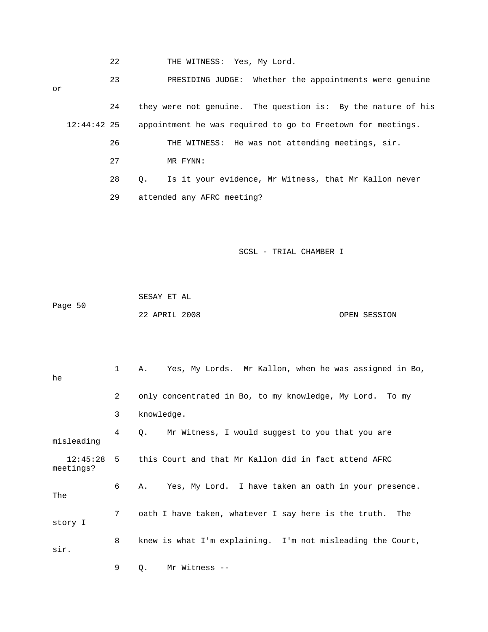|    |               | 22 | THE WITNESS: Yes, My Lord.                                         |
|----|---------------|----|--------------------------------------------------------------------|
| or |               | 23 | PRESIDING JUDGE: Whether the appointments were genuine             |
|    |               | 24 | they were not genuine. The question is: By the nature of his       |
|    | $12:44:42$ 25 |    | appointment he was required to go to Freetown for meetings.        |
|    |               | 26 | THE WITNESS: He was not attending meetings, sir.                   |
|    |               | 27 | MR FYNN:                                                           |
|    |               | 28 | Is it your evidence, Mr Witness, that Mr Kallon never<br>$\circ$ . |
|    |               | 29 | attended any AFRC meeting?                                         |

 SESAY ET AL Page 50 22 APRIL 2008 OPEN SESSION

| he                    | 1              | Yes, My Lords. Mr Kallon, when he was assigned in Bo,<br>Α. |
|-----------------------|----------------|-------------------------------------------------------------|
|                       | $\overline{2}$ | only concentrated in Bo, to my knowledge, My Lord. To my    |
|                       | 3              | knowledge.                                                  |
| misleading            | 4              | Mr Witness, I would suggest to you that you are<br>Q.       |
| 12:45:28<br>meetings? |                | 5 this Court and that Mr Kallon did in fact attend AFRC     |
| The                   | 6              | Yes, My Lord. I have taken an oath in your presence.<br>Α.  |
| story I               | $7^{\circ}$    | oath I have taken, whatever I say here is the truth. The    |
| sir.                  | 8              | knew is what I'm explaining. I'm not misleading the Court,  |
|                       | 9              | Mr Witness --<br>Q.                                         |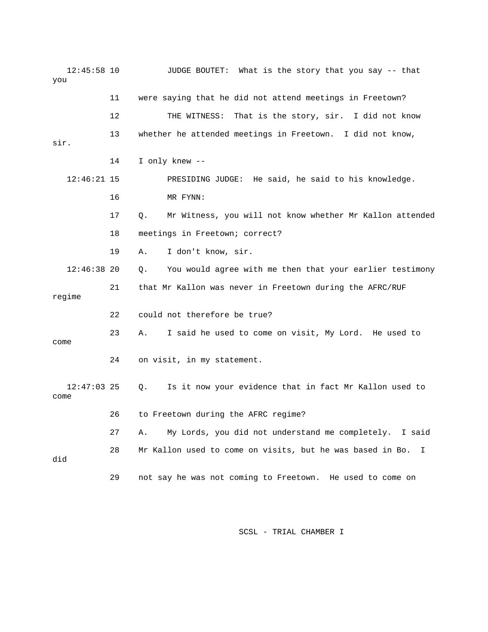| $12:45:58$ 10<br>you  |    | JUDGE BOUTET: What is the story that you say -- that            |
|-----------------------|----|-----------------------------------------------------------------|
|                       | 11 | were saying that he did not attend meetings in Freetown?        |
|                       | 12 | THE WITNESS:<br>That is the story, sir. I did not know          |
| sir.                  | 13 | whether he attended meetings in Freetown. I did not know,       |
|                       | 14 | I only knew --                                                  |
| $12:46:21$ 15         |    | PRESIDING JUDGE: He said, he said to his knowledge.             |
|                       | 16 | MR FYNN:                                                        |
|                       | 17 | Mr Witness, you will not know whether Mr Kallon attended<br>О.  |
|                       | 18 | meetings in Freetown; correct?                                  |
|                       | 19 | I don't know, sir.<br>Α.                                        |
| $12:46:38$ 20         |    | You would agree with me then that your earlier testimony<br>Q.  |
| regime                | 21 | that Mr Kallon was never in Freetown during the AFRC/RUF        |
|                       | 22 | could not therefore be true?                                    |
| come                  | 23 | I said he used to come on visit, My Lord. He used to<br>Α.      |
|                       | 24 | on visit, in my statement.                                      |
| $12:47:03$ 25<br>come |    | Is it now your evidence that in fact Mr Kallon used to<br>Q.    |
|                       | 26 | to Freetown during the AFRC regime?                             |
|                       | 27 | My Lords, you did not understand me completely.<br>I said<br>Α. |
| did                   | 28 | Mr Kallon used to come on visits, but he was based in Bo.<br>I  |
|                       | 29 | not say he was not coming to Freetown. He used to come on       |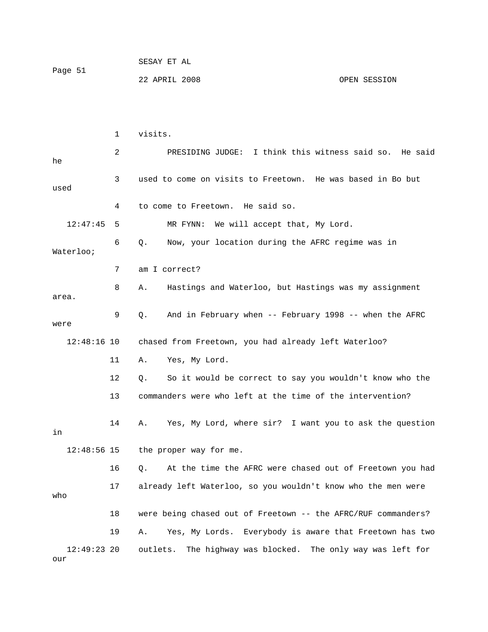| Page 51 | SESAY ET AL   |              |
|---------|---------------|--------------|
|         | 22 APRIL 2008 | OPEN SESSION |

|                      | 1  | visits.                                                        |
|----------------------|----|----------------------------------------------------------------|
| he                   | 2  | PRESIDING JUDGE: I think this witness said so. He said         |
| used                 | 3  | used to come on visits to Freetown. He was based in Bo but     |
|                      | 4  | to come to Freetown. He said so.                               |
| 12:47:45             | 5  | We will accept that, My Lord.<br>MR FYNN:                      |
| Waterloo;            | 6  | Now, your location during the AFRC regime was in<br>Q.         |
|                      | 7  | am I correct?                                                  |
| area.                | 8  | Hastings and Waterloo, but Hastings was my assignment<br>Α.    |
| were                 | 9  | And in February when -- February 1998 -- when the AFRC<br>Q.   |
| $12:48:16$ 10        |    | chased from Freetown, you had already left Waterloo?           |
|                      | 11 | Yes, My Lord.<br>Α.                                            |
|                      | 12 | So it would be correct to say you wouldn't know who the<br>Q.  |
|                      | 13 | commanders were who left at the time of the intervention?      |
| in                   | 14 | Yes, My Lord, where sir? I want you to ask the question<br>Α.  |
| $12:48:56$ 15        |    | the proper way for me.                                         |
|                      | 16 | At the time the AFRC were chased out of Freetown you had<br>Q. |
| who                  | 17 | already left Waterloo, so you wouldn't know who the men were   |
|                      | 18 | were being chased out of Freetown -- the AFRC/RUF commanders?  |
|                      | 19 | Yes, My Lords. Everybody is aware that Freetown has two<br>Α.  |
| $12:49:23$ 20<br>our |    | outlets.<br>The highway was blocked. The only way was left for |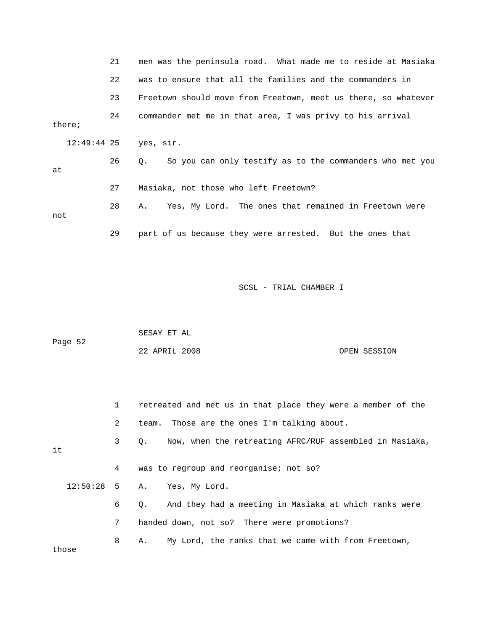|        |               | 21 | men was the peninsula road. What made me to reside at Masiaka         |
|--------|---------------|----|-----------------------------------------------------------------------|
|        |               | 22 | was to ensure that all the families and the commanders in             |
|        |               | 23 | Freetown should move from Freetown, meet us there, so whatever        |
| there; |               | 24 | commander met me in that area, I was privy to his arrival             |
|        | $12:49:44$ 25 |    | yes, sir.                                                             |
| at     |               | 26 | So you can only testify as to the commanders who met you<br>$\circ$ . |
|        |               | 27 | Masiaka, not those who left Freetown?                                 |
| not    |               | 28 | Yes, My Lord. The ones that remained in Freetown were<br>Α.           |
|        |               | 29 | part of us because they were arrested. But the ones that              |

|         | SESAY ET AL   |  |              |
|---------|---------------|--|--------------|
| Page 52 |               |  |              |
|         | 22 APRIL 2008 |  | OPEN SESSION |

|       | $1 \quad$       | retreated and met us in that place they were a member of the         |
|-------|-----------------|----------------------------------------------------------------------|
|       | 2               | team. Those are the ones I'm talking about.                          |
| it    | 3 <sup>7</sup>  | Now, when the retreating AFRC/RUF assembled in Masiaka,<br>$\circ$ . |
|       | 4               | was to regroup and reorganise; not so?                               |
|       |                 | 12:50:28 5 A. Yes, My Lord.                                          |
|       | 6               | And they had a meeting in Masiaka at which ranks were<br>0.          |
|       | $7\overline{ }$ | handed down, not so? There were promotions?                          |
| those | 8               | My Lord, the ranks that we came with from Freetown,<br>Α.            |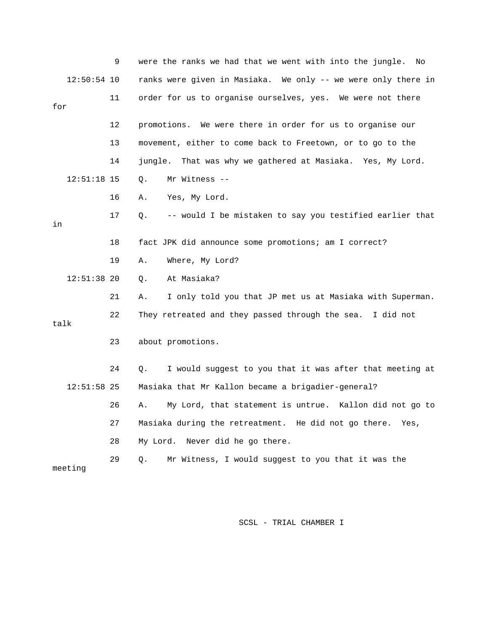|      |               | 9  | were the ranks we had that we went with into the jungle. No    |
|------|---------------|----|----------------------------------------------------------------|
|      | $12:50:54$ 10 |    | ranks were given in Masiaka. We only -- we were only there in  |
| for  |               | 11 | order for us to organise ourselves, yes. We were not there     |
|      |               | 12 | promotions. We were there in order for us to organise our      |
|      |               | 13 | movement, either to come back to Freetown, or to go to the     |
|      |               | 14 | jungle. That was why we gathered at Masiaka. Yes, My Lord.     |
|      | $12:51:18$ 15 |    | Mr Witness --<br>Q.                                            |
|      |               | 16 | Yes, My Lord.<br>Α.                                            |
| in   |               | 17 | -- would I be mistaken to say you testified earlier that<br>О. |
|      |               | 18 | fact JPK did announce some promotions; am I correct?           |
|      |               | 19 | Α.<br>Where, My Lord?                                          |
|      | $12:51:38$ 20 |    | At Masiaka?<br>Q.                                              |
|      |               | 21 | I only told you that JP met us at Masiaka with Superman.<br>Α. |
| talk |               | 22 | They retreated and they passed through the sea. I did not      |
|      |               | 23 | about promotions.                                              |
|      |               | 24 | I would suggest to you that it was after that meeting at<br>Q. |
|      | $12:51:58$ 25 |    | Masiaka that Mr Kallon became a brigadier-general?             |
|      |               | 26 | My Lord, that statement is untrue. Kallon did not go to<br>Α.  |
|      |               | 27 | Masiaka during the retreatment. He did not go there. Yes,      |
|      |               | 28 | My Lord. Never did he go there.                                |
|      | meeting       | 29 | Q.<br>Mr Witness, I would suggest to you that it was the       |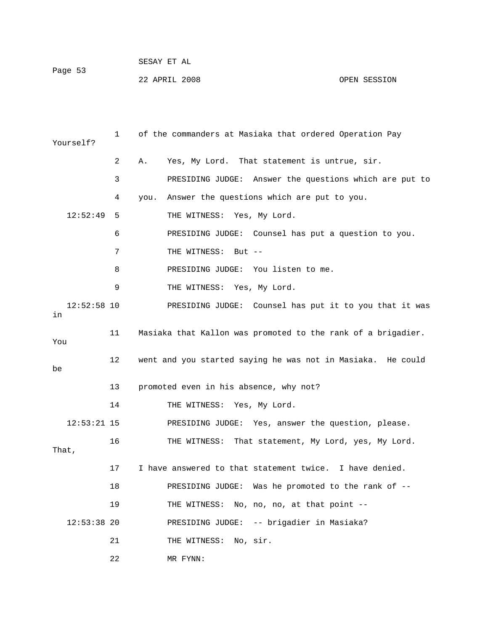| Page 53 | SESAY ET AL   |              |
|---------|---------------|--------------|
|         | 22 APRIL 2008 | OPEN SESSION |

| Yourself?           | 1  | of the commanders at Masiaka that ordered Operation Pay      |
|---------------------|----|--------------------------------------------------------------|
|                     | 2  | Yes, My Lord. That statement is untrue, sir.<br>Α.           |
|                     | 3  | PRESIDING JUDGE: Answer the questions which are put to       |
|                     | 4  | you. Answer the questions which are put to you.              |
| 12:52:49            | 5  | THE WITNESS: Yes, My Lord.                                   |
|                     | 6  | PRESIDING JUDGE: Counsel has put a question to you.          |
|                     | 7  | THE WITNESS: But --                                          |
|                     | 8  | PRESIDING JUDGE: You listen to me.                           |
|                     | 9  | THE WITNESS: Yes, My Lord.                                   |
| $12:52:58$ 10<br>in |    | PRESIDING JUDGE: Counsel has put it to you that it was       |
| You                 | 11 | Masiaka that Kallon was promoted to the rank of a brigadier. |
| be                  | 12 | went and you started saying he was not in Masiaka. He could  |
|                     | 13 | promoted even in his absence, why not?                       |
|                     | 14 | THE WITNESS: Yes, My Lord.                                   |
| $12:53:21$ 15       |    | PRESIDING JUDGE: Yes, answer the question, please.           |
| That,               | 16 | That statement, My Lord, yes, My Lord.<br>THE WITNESS:       |
|                     | 17 | I have answered to that statement twice. I have denied.      |
|                     | 18 | PRESIDING JUDGE: Was he promoted to the rank of --           |
|                     | 19 | No, no, no, at that point --<br>THE WITNESS:                 |
| $12:53:38$ 20       |    | PRESIDING JUDGE: -- brigadier in Masiaka?                    |
|                     | 21 | No, sir.<br>THE WITNESS:                                     |
|                     | 22 | MR FYNN:                                                     |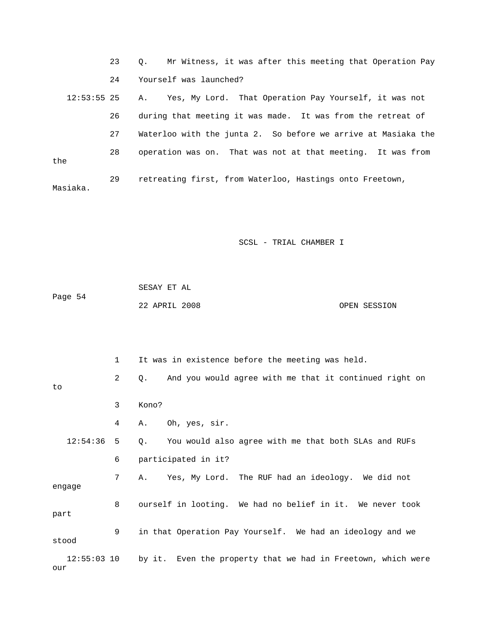23 Q. Mr Witness, it was after this meeting that Operation Pay 24 Yourself was launched? 12:53:55 25 A. Yes, My Lord. That Operation Pay Yourself, it was not 26 during that meeting it was made. It was from the retreat of 27 Waterloo with the junta 2. So before we arrive at Masiaka the 28 operation was on. That was not at that meeting. It was from the 29 retreating first, from Waterloo, Hastings onto Freetown, Masiaka.

SCSL - TRIAL CHAMBER I

|         | SESAY ET AL   |  |              |
|---------|---------------|--|--------------|
| Page 54 |               |  |              |
|         | 22 APRIL 2008 |  | OPEN SESSION |

 1 It was in existence before the meeting was held. 2 Q. And you would agree with me that it continued right on to 3 Kono? 4 A. Oh, yes, sir. 12:54:36 5 Q. You would also agree with me that both SLAs and RUFs 6 participated in it? 7 A. Yes, My Lord. The RUF had an ideology. We did not engage 8 ourself in looting. We had no belief in it. We never took part 9 in that Operation Pay Yourself. We had an ideology and we stood 12:55:03 10 by it. Even the property that we had in Freetown, which were our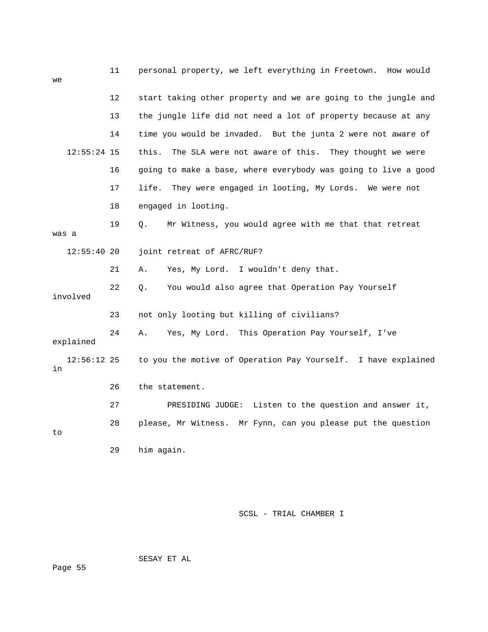| we                  | 11 | personal property, we left everything in Freetown. How would   |
|---------------------|----|----------------------------------------------------------------|
|                     | 12 | start taking other property and we are going to the jungle and |
|                     | 13 | the jungle life did not need a lot of property because at any  |
|                     | 14 | time you would be invaded. But the junta 2 were not aware of   |
| $12:55:24$ 15       |    | The SLA were not aware of this. They thought we were<br>this.  |
|                     | 16 | going to make a base, where everybody was going to live a good |
|                     | 17 | life.<br>They were engaged in looting, My Lords. We were not   |
|                     | 18 | engaged in looting.                                            |
| was a               | 19 | Mr Witness, you would agree with me that that retreat<br>Q.    |
| $12:55:40$ 20       |    | joint retreat of AFRC/RUF?                                     |
|                     | 21 | Yes, My Lord. I wouldn't deny that.<br>Α.                      |
| involved            | 22 | You would also agree that Operation Pay Yourself<br>Q.         |
|                     | 23 | not only looting but killing of civilians?                     |
| explained           | 24 | Yes, My Lord. This Operation Pay Yourself, I've<br>Α.          |
| $12:56:12$ 25<br>in |    | to you the motive of Operation Pay Yourself. I have explained  |
|                     | 26 | the statement.                                                 |
|                     | 27 | Listen to the question and answer it,<br>PRESIDING JUDGE:      |
| to                  | 28 | please, Mr Witness. Mr Fynn, can you please put the question   |
|                     | 29 | him again.                                                     |

SESAY ET AL

Page 55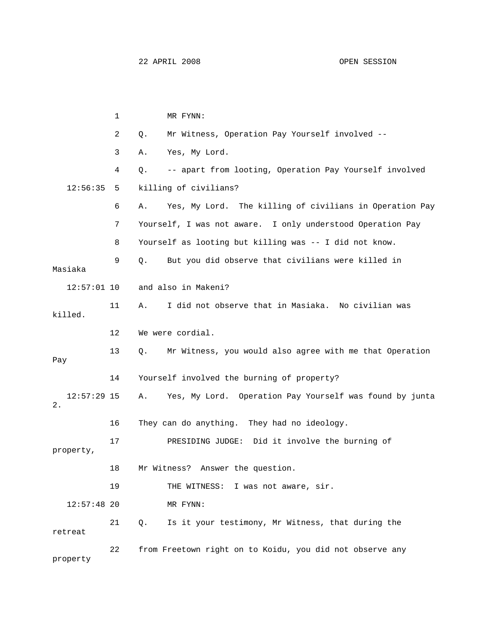1 MR FYNN: 2 Q. Mr Witness, Operation Pay Yourself involved -- 3 A. Yes, My Lord. 4 Q. -- apart from looting, Operation Pay Yourself involved 12:56:35 5 killing of civilians? 6 A. Yes, My Lord. The killing of civilians in Operation Pay 7 Yourself, I was not aware. I only understood Operation Pay 8 Yourself as looting but killing was -- I did not know. 9 Q. But you did observe that civilians were killed in Masiaka 12:57:01 10 and also in Makeni? 11 A. I did not observe that in Masiaka. No civilian was killed. 12 We were cordial. 13 Q. Mr Witness, you would also agree with me that Operation Pay 14 Yourself involved the burning of property? 12:57:29 15 A. Yes, My Lord. Operation Pay Yourself was found by junta 2. 16 They can do anything. They had no ideology. 17 PRESIDING JUDGE: Did it involve the burning of property, 18 Mr Witness? Answer the question. 19 THE WITNESS: I was not aware, sir. 12:57:48 20 MR FYNN: 21 Q. Is it your testimony, Mr Witness, that during the retreat 22 from Freetown right on to Koidu, you did not observe any property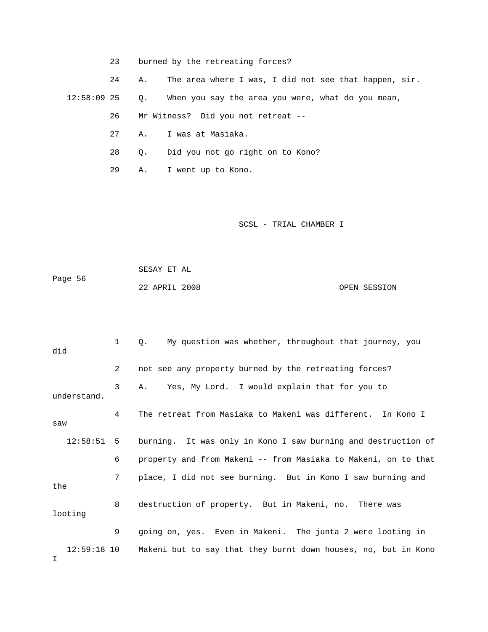23 burned by the retreating forces?

 24 A. The area where I was, I did not see that happen, sir. 12:58:09 25 Q. When you say the area you were, what do you mean, 26 Mr Witness? Did you not retreat --

- 27 A. I was at Masiaka.
- 28 Q. Did you not go right on to Kono?
- 29 A. I went up to Kono.

SCSL - TRIAL CHAMBER I

 SESAY ET AL Page 56 22 APRIL 2008 OPEN SESSION

 1 Q. My question was whether, throughout that journey, you did 2 not see any property burned by the retreating forces? 3 A. Yes, My Lord. I would explain that for you to understand. 4 The retreat from Masiaka to Makeni was different. In Kono I saw 12:58:51 5 burning. It was only in Kono I saw burning and destruction of 6 property and from Makeni -- from Masiaka to Makeni, on to that 7 place, I did not see burning. But in Kono I saw burning and the 8 destruction of property. But in Makeni, no. There was looting 9 going on, yes. Even in Makeni. The junta 2 were looting in 12:59:18 10 Makeni but to say that they burnt down houses, no, but in Kono I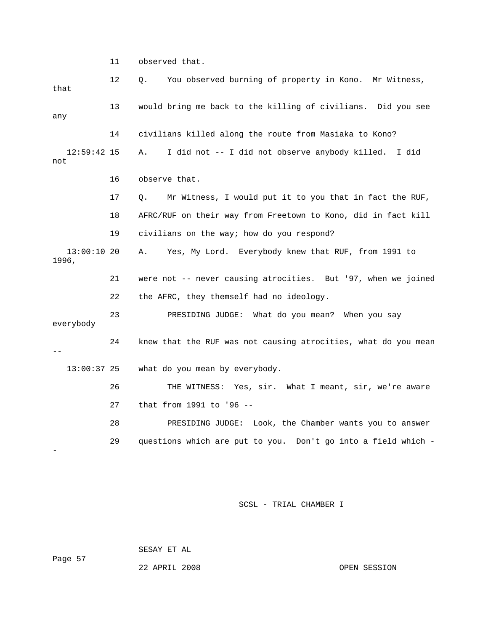11 observed that.

| that                 | 12 | You observed burning of property in Kono. Mr Witness,<br>Q.    |
|----------------------|----|----------------------------------------------------------------|
| any                  | 13 | would bring me back to the killing of civilians. Did you see   |
|                      | 14 | civilians killed along the route from Masiaka to Kono?         |
| $12:59:42$ 15<br>not |    | I did not -- I did not observe anybody killed. I did<br>Α.     |
|                      | 16 | observe that.                                                  |
|                      | 17 | Mr Witness, I would put it to you that in fact the RUF,<br>Q.  |
|                      | 18 | AFRC/RUF on their way from Freetown to Kono, did in fact kill  |
|                      | 19 | civilians on the way; how do you respond?                      |
| 13:00:1020<br>1996,  |    | Yes, My Lord. Everybody knew that RUF, from 1991 to<br>Α.      |
|                      |    |                                                                |
|                      | 21 | were not -- never causing atrocities. But '97, when we joined  |
|                      | 22 | the AFRC, they themself had no ideology.                       |
| everybody            | 23 | PRESIDING JUDGE: What do you mean? When you say                |
|                      | 24 | knew that the RUF was not causing atrocities, what do you mean |
| $13:00:37$ 25        |    | what do you mean by everybody.                                 |
|                      | 26 | THE WITNESS: Yes, sir. What I meant, sir, we're aware          |
|                      | 27 | that from 1991 to '96 --                                       |
|                      | 28 | PRESIDING JUDGE: Look, the Chamber wants you to answer         |

SCSL - TRIAL CHAMBER I

SESAY ET AL

22 APRIL 2008 OPEN SESSION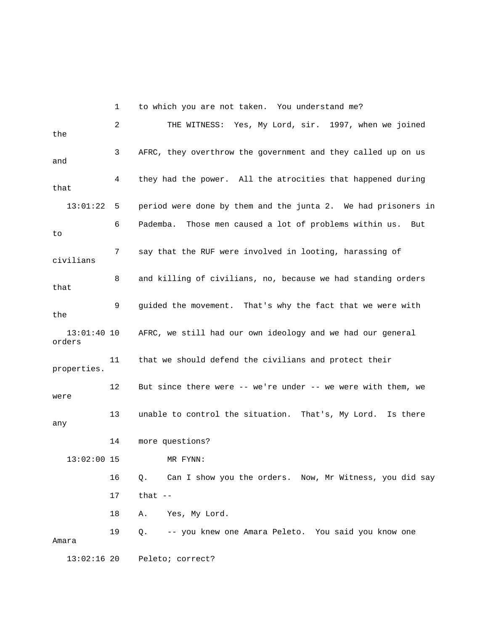1 to which you are not taken. You understand me? 2 THE WITNESS: Yes, My Lord, sir. 1997, when we joined the 3 AFRC, they overthrow the government and they called up on us and 4 they had the power. All the atrocities that happened during that 13:01:22 5 period were done by them and the junta 2. We had prisoners in 6 Pademba. Those men caused a lot of problems within us. But to 7 say that the RUF were involved in looting, harassing of civilians 8 and killing of civilians, no, because we had standing orders that 9 guided the movement. That's why the fact that we were with the 13:01:40 10 AFRC, we still had our own ideology and we had our general orders 11 that we should defend the civilians and protect their properties. 12 But since there were -- we're under -- we were with them, we were 13 unable to control the situation. That's, My Lord. Is there any 14 more questions? 13:02:00 15 MR FYNN: 16 Q. Can I show you the orders. Now, Mr Witness, you did say 17 that -- 18 A. Yes, My Lord. 19 Q. -- you knew one Amara Peleto. You said you know one Amara 13:02:16 20 Peleto; correct?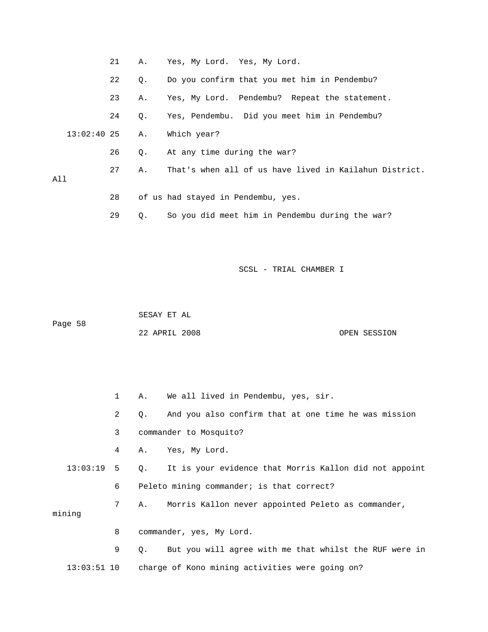|     |               | 21 | Α.        | Yes, My Lord. Yes, My Lord.                            |
|-----|---------------|----|-----------|--------------------------------------------------------|
|     |               | 22 | О.        | Do you confirm that you met him in Pendembu?           |
|     |               | 23 | Α.        | Yes, My Lord. Pendembu? Repeat the statement.          |
|     |               | 24 | $\circ$ . | Yes, Pendembu. Did you meet him in Pendembu?           |
|     | $13:02:40$ 25 |    | Α.        | Which year?                                            |
|     |               | 26 | 0.        | At any time during the war?                            |
| All |               | 27 | Α.        | That's when all of us have lived in Kailahun District. |
|     |               | 28 |           | of us had stayed in Pendembu, yes.                     |
|     |               | 29 | Q.        | So you did meet him in Pendembu during the war?        |

 SESAY ET AL Page 58 22 APRIL 2008 OPEN SESSION

 1 A. We all lived in Pendembu, yes, sir. 2 Q. And you also confirm that at one time he was mission 3 commander to Mosquito? 4 A. Yes, My Lord. 13:03:19 5 Q. It is your evidence that Morris Kallon did not appoint 6 Peleto mining commander; is that correct? 7 A. Morris Kallon never appointed Peleto as commander, mining 8 commander, yes, My Lord. 9 Q. But you will agree with me that whilst the RUF were in 13:03:51 10 charge of Kono mining activities were going on?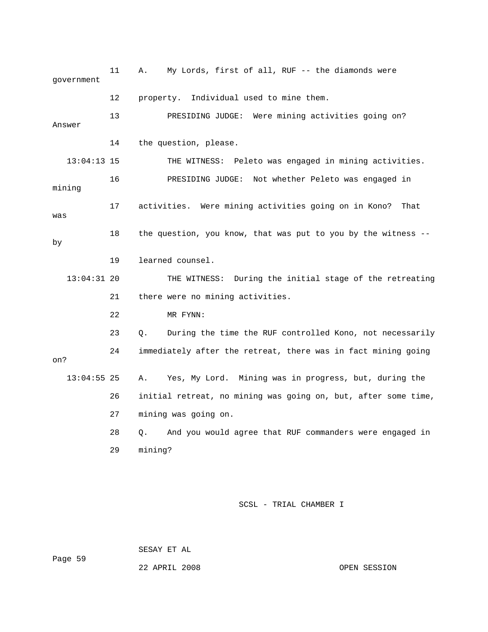11 A. My Lords, first of all, RUF -- the diamonds were government 12 property. Individual used to mine them. 13 PRESIDING JUDGE: Were mining activities going on? Answer 14 the question, please. 13:04:13 15 THE WITNESS: Peleto was engaged in mining activities. 16 PRESIDING JUDGE: Not whether Peleto was engaged in mining 17 activities. Were mining activities going on in Kono? That was 18 the question, you know, that was put to you by the witness - by 19 learned counsel. 13:04:31 20 THE WITNESS: During the initial stage of the retreating 21 there were no mining activities. 22 MR FYNN: 23 Q. During the time the RUF controlled Kono, not necessarily 24 immediately after the retreat, there was in fact mining going on? 13:04:55 25 A. Yes, My Lord. Mining was in progress, but, during the 26 initial retreat, no mining was going on, but, after some time, 27 mining was going on. 28 Q. And you would agree that RUF commanders were engaged in 29 mining?

SCSL - TRIAL CHAMBER I

SESAY ET AL

22 APRIL 2008 OPEN SESSION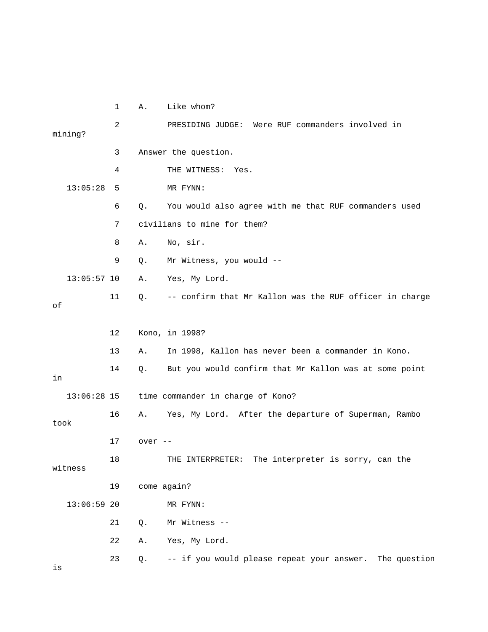1 A. Like whom? 2 PRESIDING JUDGE: Were RUF commanders involved in mining? 3 Answer the question. 4 THE WITNESS: Yes. 13:05:28 5 MR FYNN: 6 Q. You would also agree with me that RUF commanders used 7 civilians to mine for them? 8 A. No, sir. 9 Q. Mr Witness, you would -- 13:05:57 10 A. Yes, My Lord. 11 Q. -- confirm that Mr Kallon was the RUF officer in charge of 12 Kono, in 1998? 13 A. In 1998, Kallon has never been a commander in Kono. 14 Q. But you would confirm that Mr Kallon was at some point in 13:06:28 15 time commander in charge of Kono? 16 A. Yes, My Lord. After the departure of Superman, Rambo took 17 over -- 18 THE INTERPRETER: The interpreter is sorry, can the witness 19 come again? 13:06:59 20 MR FYNN: 21 Q. Mr Witness -- 22 A. Yes, My Lord. 23 Q. -- if you would please repeat your answer. The question is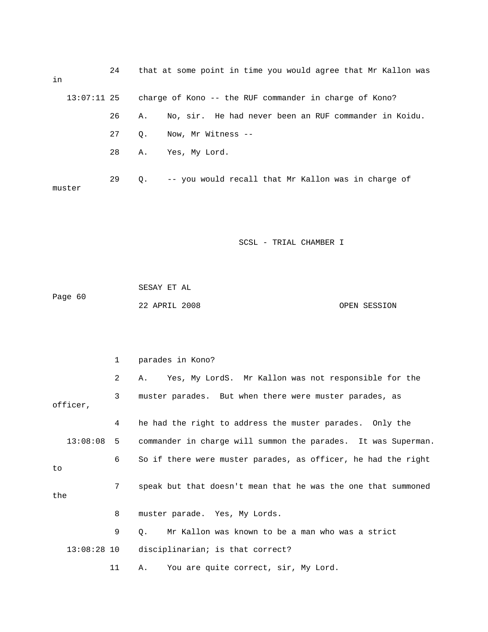| in     | 24 | that at some point in time you would agree that Mr Kallon was      |
|--------|----|--------------------------------------------------------------------|
|        |    | 13:07:11 25 charge of Kono -- the RUF commander in charge of Kono? |
|        | 26 | No, sir. He had never been an RUF commander in Koidu.<br>A.,       |
|        | 27 | Now, Mr Witness --<br>О.                                           |
|        | 28 | A. Yes, My Lord.                                                   |
| muster | 29 | -- you would recall that Mr Kallon was in charge of<br>0.          |

|         | SESAY ET AL   |              |
|---------|---------------|--------------|
| Page 60 |               |              |
|         | 22 APRIL 2008 | OPEN SESSION |

|              | $\mathbf{1}$ | parades in Kono?                                              |
|--------------|--------------|---------------------------------------------------------------|
|              | 2            | Yes, My LordS. Mr Kallon was not responsible for the<br>A.    |
| officer,     | 3            | muster parades. But when there were muster parades, as        |
|              | 4            | he had the right to address the muster parades. Only the      |
| $13:08:08$ 5 |              | commander in charge will summon the parades. It was Superman. |
| to           | 6            | So if there were muster parades, as officer, he had the right |
| the          | 7            | speak but that doesn't mean that he was the one that summoned |
|              | 8            | muster parade. Yes, My Lords.                                 |
|              | 9            | Mr Kallon was known to be a man who was a strict<br>$\circ$ . |
| 13:08:28 10  |              | disciplinarian; is that correct?                              |
|              | 11           | You are quite correct, sir, My Lord.<br>Α.                    |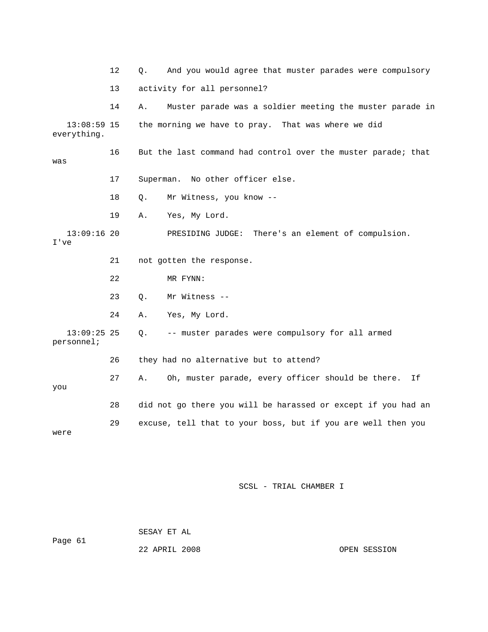|                              | 12 | And you would agree that muster parades were compulsory<br>Q.  |
|------------------------------|----|----------------------------------------------------------------|
|                              | 13 | activity for all personnel?                                    |
|                              | 14 | Muster parade was a soldier meeting the muster parade in<br>Α. |
| $13:08:59$ 15<br>everything. |    | the morning we have to pray. That was where we did             |
| was                          | 16 | But the last command had control over the muster parade; that  |
|                              | 17 | Superman. No other officer else.                               |
|                              | 18 | Mr Witness, you know --<br>$Q$ .                               |
|                              | 19 | Yes, My Lord.<br>Α.                                            |
| $13:09:16$ 20<br>I've        |    | PRESIDING JUDGE: There's an element of compulsion.             |
|                              |    |                                                                |
|                              | 21 | not gotten the response.                                       |
|                              | 22 | MR FYNN:                                                       |
|                              | 23 | Mr Witness --<br>Ο.                                            |
|                              | 24 | Α.<br>Yes, My Lord.                                            |
| $13:09:25$ 25<br>personnel;  |    | -- muster parades were compulsory for all armed<br>Q.          |
|                              | 26 | they had no alternative but to attend?                         |
| you                          | 27 | Oh, muster parade, every officer should be there.<br>Α.<br>Ιf  |
|                              | 28 | did not go there you will be harassed or except if you had an  |

 SESAY ET AL Page 61 22 APRIL 2008 OPEN SESSION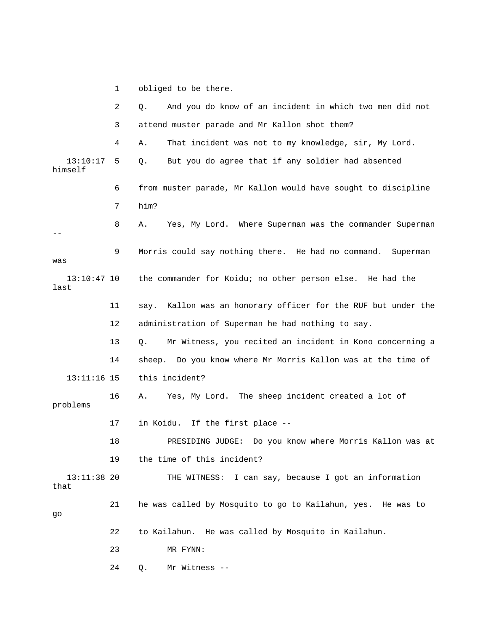1 obliged to be there.

|                       | 2  | And you do know of an incident in which two men did not<br>Q.  |
|-----------------------|----|----------------------------------------------------------------|
|                       | 3  | attend muster parade and Mr Kallon shot them?                  |
|                       | 4  | That incident was not to my knowledge, sir, My Lord.<br>Α.     |
| 13:10:17<br>himself   | 5  | But you do agree that if any soldier had absented<br>$Q$ .     |
|                       | 6  | from muster parade, Mr Kallon would have sought to discipline  |
|                       | 7  | him?                                                           |
|                       | 8  | Yes, My Lord. Where Superman was the commander Superman<br>Α.  |
| was                   | 9  | Morris could say nothing there. He had no command.<br>Superman |
| $13:10:47$ 10<br>last |    | the commander for Koidu; no other person else. He had the      |
|                       | 11 | say. Kallon was an honorary officer for the RUF but under the  |
|                       | 12 | administration of Superman he had nothing to say.              |
|                       | 13 | Mr Witness, you recited an incident in Kono concerning a<br>Q. |
|                       | 14 | sheep. Do you know where Mr Morris Kallon was at the time of   |
| $13:11:16$ 15         |    | this incident?                                                 |
| problems              | 16 | Yes, My Lord. The sheep incident created a lot of<br>Α.        |
|                       | 17 | in Koidu. If the first place --                                |
|                       | 18 | PRESIDING JUDGE: Do you know where Morris Kallon was at        |
|                       | 19 | the time of this incident?                                     |
| $13:11:38$ 20<br>that |    | THE WITNESS: I can say, because I got an information           |
| go                    | 21 | he was called by Mosquito to go to Kailahun, yes. He was to    |
|                       | 22 | to Kailahun. He was called by Mosquito in Kailahun.            |
|                       | 23 | MR FYNN:                                                       |
|                       | 24 | Mr Witness --<br>Q.                                            |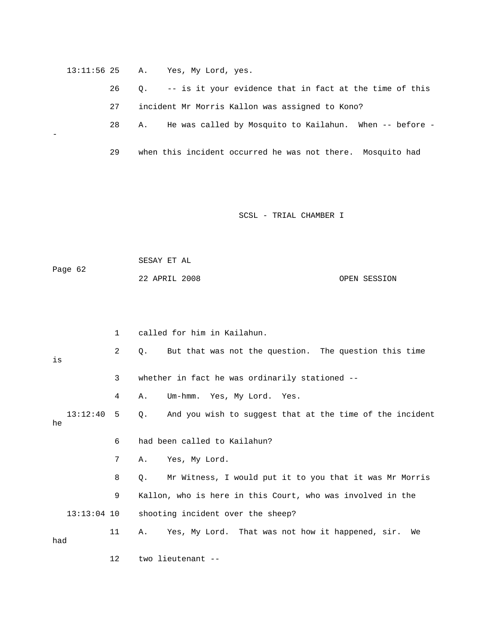| $13:11:56$ 25 |  |  |  |  | Yes, My Lord, yes. |  |  |
|---------------|--|--|--|--|--------------------|--|--|
|---------------|--|--|--|--|--------------------|--|--|

-

 26 Q. -- is it your evidence that in fact at the time of this 27 incident Mr Morris Kallon was assigned to Kono?

28 A. He was called by Mosquito to Kailahun. When -- before -

29 when this incident occurred he was not there. Mosquito had

SCSL - TRIAL CHAMBER I

 SESAY ET AL Page 62 22 APRIL 2008 OPEN SESSION

 1 called for him in Kailahun. 2 Q. But that was not the question. The question this time is 3 whether in fact he was ordinarily stationed -- 4 A. Um-hmm. Yes, My Lord. Yes. 13:12:40 5 Q. And you wish to suggest that at the time of the incident he 6 had been called to Kailahun? 7 A. Yes, My Lord. 8 Q. Mr Witness, I would put it to you that it was Mr Morris 9 Kallon, who is here in this Court, who was involved in the 13:13:04 10 shooting incident over the sheep? 11 A. Yes, My Lord. That was not how it happened, sir. We had 12 two lieutenant --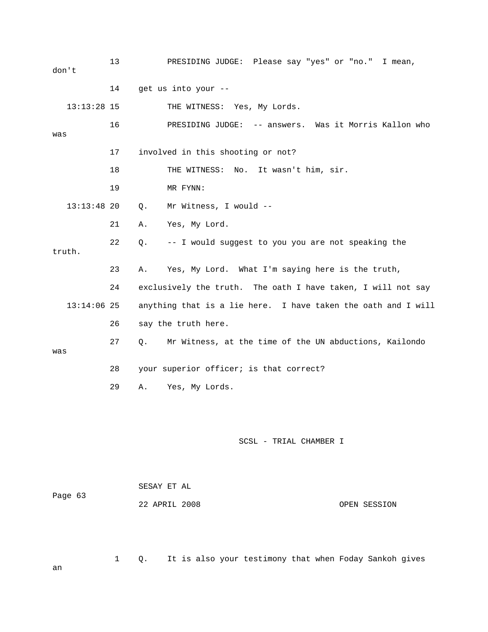13 PRESIDING JUDGE: Please say "yes" or "no." I mean, don't 14 get us into your -- 13:13:28 15 THE WITNESS: Yes, My Lords. 16 PRESIDING JUDGE: -- answers. Was it Morris Kallon who was 17 involved in this shooting or not? 18 THE WITNESS: No. It wasn't him, sir. 19 MR FYNN: 13:13:48 20 Q. Mr Witness, I would -- 21 A. Yes, My Lord. 22 Q. -- I would suggest to you you are not speaking the truth. 23 A. Yes, My Lord. What I'm saying here is the truth, 24 exclusively the truth. The oath I have taken, I will not say 13:14:06 25 anything that is a lie here. I have taken the oath and I will 26 say the truth here. 27 Q. Mr Witness, at the time of the UN abductions, Kailondo was 28 your superior officer; is that correct? 29 A. Yes, My Lords. SCSL - TRIAL CHAMBER I SESAY ET AL Page 63 22 APRIL 2008 OPEN SESSION

1 Q. It is also your testimony that when Foday Sankoh gives

an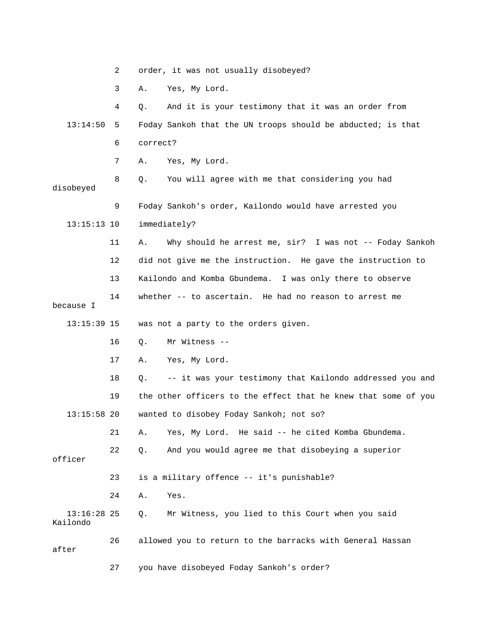|                           | 2  | order, it was not usually disobeyed?                           |
|---------------------------|----|----------------------------------------------------------------|
|                           | 3  | Yes, My Lord.<br>Α.                                            |
|                           | 4  | And it is your testimony that it was an order from<br>Q.       |
| 13:14:50                  | 5  | Foday Sankoh that the UN troops should be abducted; is that    |
|                           | 6  | correct?                                                       |
|                           | 7  | Yes, My Lord.<br>Α.                                            |
| disobeyed                 | 8  | You will agree with me that considering you had<br>Q.          |
|                           | 9  | Foday Sankoh's order, Kailondo would have arrested you         |
| $13:15:13$ 10             |    | immediately?                                                   |
|                           | 11 | Why should he arrest me, sir? I was not -- Foday Sankoh<br>Α.  |
|                           | 12 | did not give me the instruction. He gave the instruction to    |
|                           | 13 | Kailondo and Komba Gbundema. I was only there to observe       |
| because I                 | 14 | whether -- to ascertain. He had no reason to arrest me         |
| $13:15:39$ 15             |    | was not a party to the orders given.                           |
|                           | 16 | Mr Witness --<br>Q.                                            |
|                           | 17 | Yes, My Lord.<br>Α.                                            |
|                           | 18 | -- it was your testimony that Kailondo addressed you and<br>Q. |
|                           | 19 | the other officers to the effect that he knew that some of you |
| $13:15:58$ 20             |    | wanted to disobey Foday Sankoh; not so?                        |
|                           | 21 | Yes, My Lord. He said -- he cited Komba Gbundema.<br>Α.        |
| officer                   | 22 | And you would agree me that disobeying a superior<br>Q.        |
|                           | 23 | is a military offence -- it's punishable?                      |
|                           | 24 | Α.<br>Yes.                                                     |
| $13:16:28$ 25<br>Kailondo |    | Mr Witness, you lied to this Court when you said<br>Q.         |
| after                     | 26 | allowed you to return to the barracks with General Hassan      |
|                           | 27 | you have disobeyed Foday Sankoh's order?                       |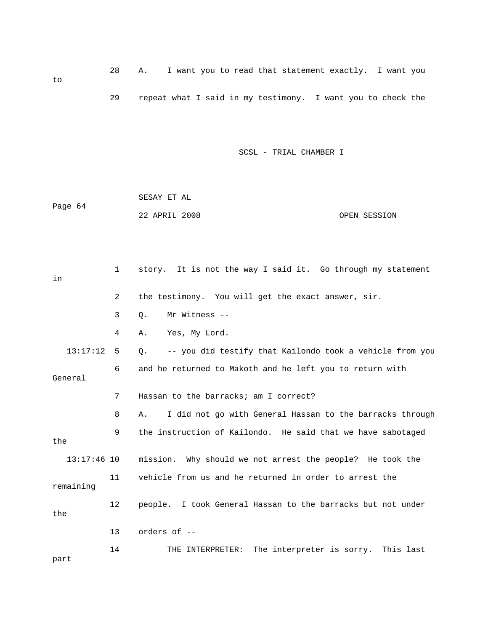28 A. I want you to read that statement exactly. I want you to 29 repeat what I said in my testimony. I want you to check the

|         | SESAY ET AL   |              |
|---------|---------------|--------------|
| Page 64 |               |              |
|         | 22 APRIL 2008 | OPEN SESSION |

| in            | $\mathbf 1$ | story. It is not the way I said it. Go through my statement           |
|---------------|-------------|-----------------------------------------------------------------------|
|               | 2           | the testimony. You will get the exact answer, sir.                    |
|               | 3           | Mr Witness --<br>Q.                                                   |
|               | 4           | Yes, My Lord.<br>Α.                                                   |
| 13:17:12      | -5          | -- you did testify that Kailondo took a vehicle from you<br>$\circ$ . |
| General       | 6           | and he returned to Makoth and he left you to return with              |
|               | 7           | Hassan to the barracks; am I correct?                                 |
|               | 8           | I did not go with General Hassan to the barracks through<br>Α.        |
| the           | 9           | the instruction of Kailondo. He said that we have sabotaged           |
| $13:17:46$ 10 |             | mission. Why should we not arrest the people? He took the             |
| remaining     | 11          | vehicle from us and he returned in order to arrest the                |
| the           | 12          | people. I took General Hassan to the barracks but not under           |
|               | 13          | orders of --                                                          |
| part          | 14          | THE INTERPRETER: The interpreter is sorry. This last                  |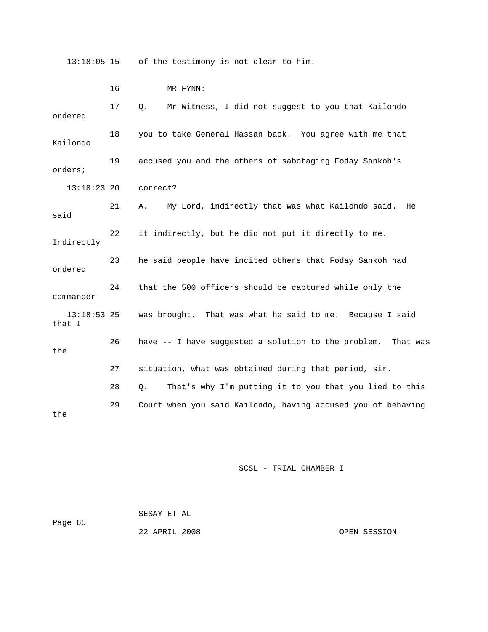13:18:05 15 of the testimony is not clear to him.

|                         | 16 | MR FYNN:                                                     |
|-------------------------|----|--------------------------------------------------------------|
| ordered                 | 17 | Mr Witness, I did not suggest to you that Kailondo<br>Q.     |
| Kailondo                | 18 | you to take General Hassan back. You agree with me that      |
| orders;                 | 19 | accused you and the others of sabotaging Foday Sankoh's      |
| $13:18:23$ 20           |    | correct?                                                     |
| said                    | 21 | My Lord, indirectly that was what Kailondo said. He<br>Α.    |
| Indirectly              | 22 | it indirectly, but he did not put it directly to me.         |
| ordered                 | 23 | he said people have incited others that Foday Sankoh had     |
| commander               | 24 | that the 500 officers should be captured while only the      |
| $13:18:53$ 25<br>that I |    | was brought. That was what he said to me. Because I said     |
| the                     | 26 | have -- I have suggested a solution to the problem. That was |
|                         | 27 | situation, what was obtained during that period, sir.        |
|                         | 28 | That's why I'm putting it to you that you lied to this<br>Q. |
| the                     | 29 | Court when you said Kailondo, having accused you of behaving |

| Page 65 | SESAY ET AL   |              |
|---------|---------------|--------------|
|         | 22 APRIL 2008 | OPEN SESSION |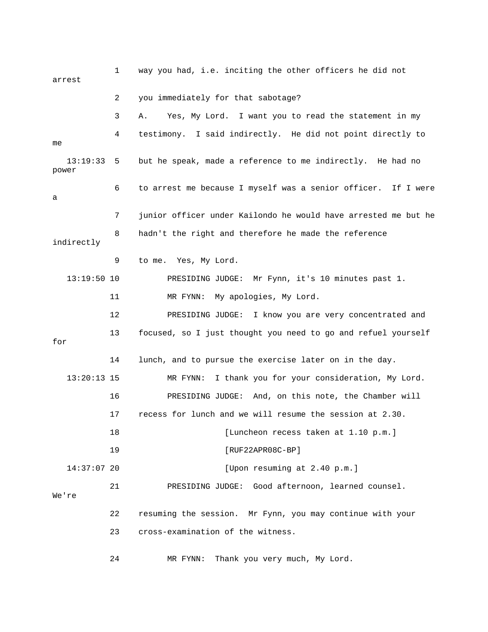1 way you had, i.e. inciting the other officers he did not arrest 2 you immediately for that sabotage? 3 A. Yes, My Lord. I want you to read the statement in my 4 testimony. I said indirectly. He did not point directly to me 13:19:33 5 but he speak, made a reference to me indirectly. He had no power 6 to arrest me because I myself was a senior officer. If I were a 7 junior officer under Kailondo he would have arrested me but he 8 hadn't the right and therefore he made the reference indirectly 9 to me. Yes, My Lord. 13:19:50 10 PRESIDING JUDGE: Mr Fynn, it's 10 minutes past 1. 11 MR FYNN: My apologies, My Lord. 12 PRESIDING JUDGE: I know you are very concentrated and 13 focused, so I just thought you need to go and refuel yourself for 14 lunch, and to pursue the exercise later on in the day. 13:20:13 15 MR FYNN: I thank you for your consideration, My Lord. 16 PRESIDING JUDGE: And, on this note, the Chamber will 17 recess for lunch and we will resume the session at 2.30. 18 **I** [Luncheon recess taken at 1.10 p.m.] 19 [RUF22APR08C-BP] 14:37:07 20 [Upon resuming at 2.40 p.m.] 21 PRESIDING JUDGE: Good afternoon, learned counsel. We're 22 resuming the session. Mr Fynn, you may continue with your 23 cross-examination of the witness.

24 MR FYNN: Thank you very much, My Lord.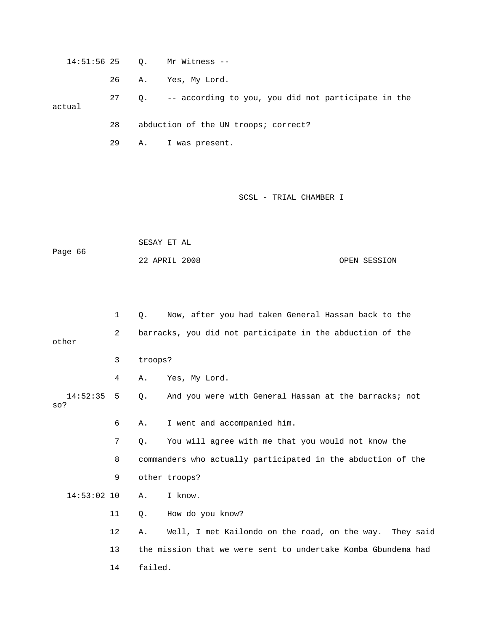14:51:56 25 Q. Mr Witness --

26 A. Yes, My Lord.

 27 Q. -- according to you, you did not participate in the actual

28 abduction of the UN troops; correct?

29 A. I was present.

## SCSL - TRIAL CHAMBER I

 SESAY ET AL Page 66 22 APRIL 2008 OPEN SESSION

 1 Q. Now, after you had taken General Hassan back to the 2 barracks, you did not participate in the abduction of the other 3 troops? 4 A. Yes, My Lord. 14:52:35 5 Q. And you were with General Hassan at the barracks; not so? 6 A. I went and accompanied him. 7 Q. You will agree with me that you would not know the 8 commanders who actually participated in the abduction of the 9 other troops? 14:53:02 10 A. I know. 11 Q. How do you know? 12 A. Well, I met Kailondo on the road, on the way. They said 13 the mission that we were sent to undertake Komba Gbundema had 14 failed.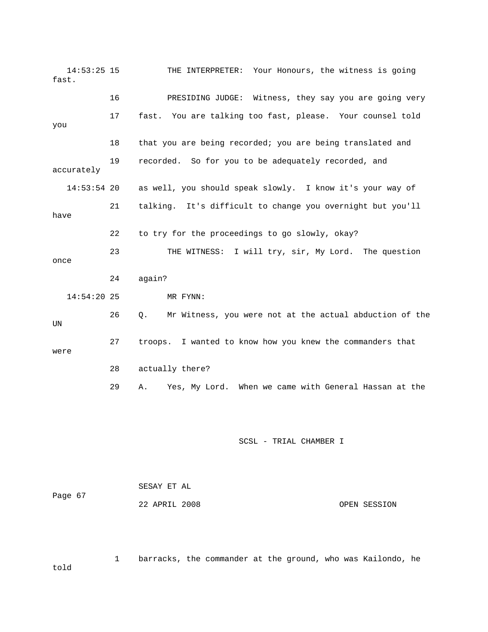14:53:25 15 THE INTERPRETER: Your Honours, the witness is going fast. 16 PRESIDING JUDGE: Witness, they say you are going very 17 fast. You are talking too fast, please. Your counsel told you 18 that you are being recorded; you are being translated and 19 recorded. So for you to be adequately recorded, and accurately 14:53:54 20 as well, you should speak slowly. I know it's your way of 21 talking. It's difficult to change you overnight but you'll have 22 to try for the proceedings to go slowly, okay? 23 THE WITNESS: I will try, sir, My Lord. The question once 24 again? 14:54:20 25 MR FYNN: 26 Q. Mr Witness, you were not at the actual abduction of the UN 27 troops. I wanted to know how you knew the commanders that were 28 actually there? 29 A. Yes, My Lord. When we came with General Hassan at the SCSL - TRIAL CHAMBER I

 SESAY ET AL Page 67 22 APRIL 2008 OPEN SESSION

 1 barracks, the commander at the ground, who was Kailondo, he told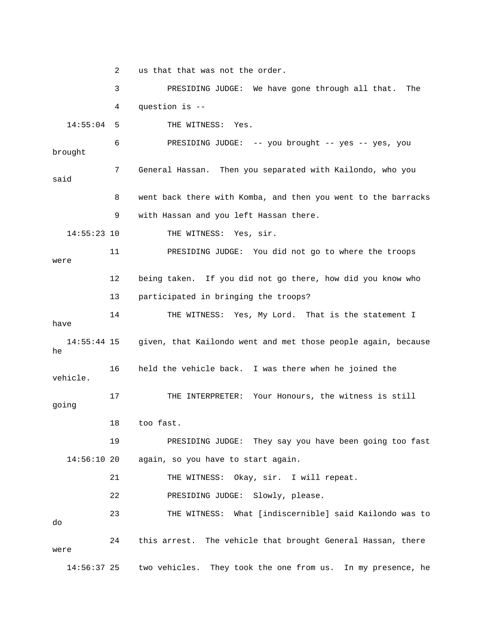2 us that that was not the order. 3 PRESIDING JUDGE: We have gone through all that. The 4 question is -- 14:55:04 5 THE WITNESS: Yes. 6 PRESIDING JUDGE: -- you brought -- yes -- yes, you brought 7 General Hassan. Then you separated with Kailondo, who you said 8 went back there with Komba, and then you went to the barracks 9 with Hassan and you left Hassan there. 14:55:23 10 THE WITNESS: Yes, sir. 11 PRESIDING JUDGE: You did not go to where the troops were 12 being taken. If you did not go there, how did you know who 13 participated in bringing the troops? 14 THE WITNESS: Yes, My Lord. That is the statement I have 14:55:44 15 given, that Kailondo went and met those people again, because he 16 held the vehicle back. I was there when he joined the vehicle. 17 THE INTERPRETER: Your Honours, the witness is still going 18 too fast. 19 PRESIDING JUDGE: They say you have been going too fast 14:56:10 20 again, so you have to start again. 21 THE WITNESS: Okay, sir. I will repeat. 22 PRESIDING JUDGE: Slowly, please. 23 THE WITNESS: What [indiscernible] said Kailondo was to do 24 this arrest. The vehicle that brought General Hassan, there were 14:56:37 25 two vehicles. They took the one from us. In my presence, he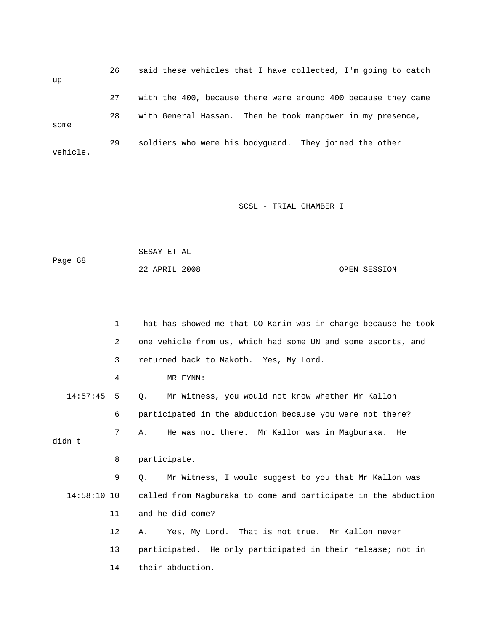26 said these vehicles that I have collected, I'm going to catch up 27 with the 400, because there were around 400 because they came 28 with General Hassan. Then he took manpower in my presence, some 29 soldiers who were his bodyguard. They joined the other vehicle.

## SCSL - TRIAL CHAMBER I

 SESAY ET AL Page 68 22 APRIL 2008 OPEN SESSION

|               | $\mathbf{1}$ | That has showed me that CO Karim was in charge because he took |  |  |
|---------------|--------------|----------------------------------------------------------------|--|--|
|               | 2            | one vehicle from us, which had some UN and some escorts, and   |  |  |
|               | 3            | returned back to Makoth. Yes, My Lord.                         |  |  |
|               | 4            | MR FYNN:                                                       |  |  |
| 14:57:45      | 5            | Mr Witness, you would not know whether Mr Kallon<br>0.         |  |  |
|               | 6            | participated in the abduction because you were not there?      |  |  |
|               | 7            | He was not there. Mr Kallon was in Magburaka.<br>Α.<br>He      |  |  |
| didn't        |              |                                                                |  |  |
|               | 8            | participate.                                                   |  |  |
|               | 9            | Mr Witness, I would suggest to you that Mr Kallon was<br>О.    |  |  |
| $14:58:10$ 10 |              | called from Magburaka to come and participate in the abduction |  |  |
|               | 11           | and he did come?                                               |  |  |
|               |              |                                                                |  |  |
|               | 12           | Yes, My Lord. That is not true. Mr Kallon never<br>Α.          |  |  |
|               | 13           | participated. He only participated in their release; not in    |  |  |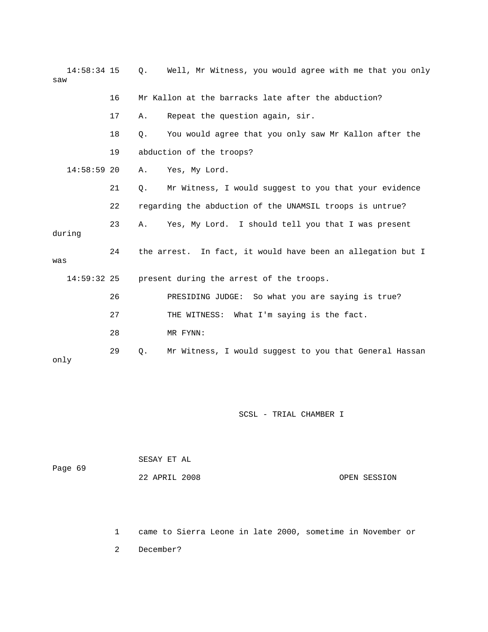| $14:58:34$ 15<br>saw |    | О.    | Well, Mr Witness, you would agree with me that you only     |
|----------------------|----|-------|-------------------------------------------------------------|
|                      | 16 |       | Mr Kallon at the barracks late after the abduction?         |
|                      | 17 | Α.    | Repeat the question again, sir.                             |
|                      | 18 | $Q$ . | You would agree that you only saw Mr Kallon after the       |
|                      | 19 |       | abduction of the troops?                                    |
| $14:58:59$ 20        |    | Α.    | Yes, My Lord.                                               |
|                      | 21 | $Q$ . | Mr Witness, I would suggest to you that your evidence       |
|                      | 22 |       | regarding the abduction of the UNAMSIL troops is untrue?    |
| during               | 23 | Α.    | Yes, My Lord. I should tell you that I was present          |
| was                  | 24 |       | the arrest. In fact, it would have been an allegation but I |
| $14:59:32$ 25        |    |       | present during the arrest of the troops.                    |
|                      | 26 |       | PRESIDING JUDGE: So what you are saying is true?            |
|                      | 27 |       | THE WITNESS: What I'm saying is the fact.                   |
|                      | 28 |       | MR FYNN:                                                    |
| only                 | 29 | Q.    | Mr Witness, I would suggest to you that General Hassan      |

| Page 69 | SESAY ET AL   |              |
|---------|---------------|--------------|
|         | 22 APRIL 2008 | OPEN SESSION |

1 came to Sierra Leone in late 2000, sometime in November or

2 December?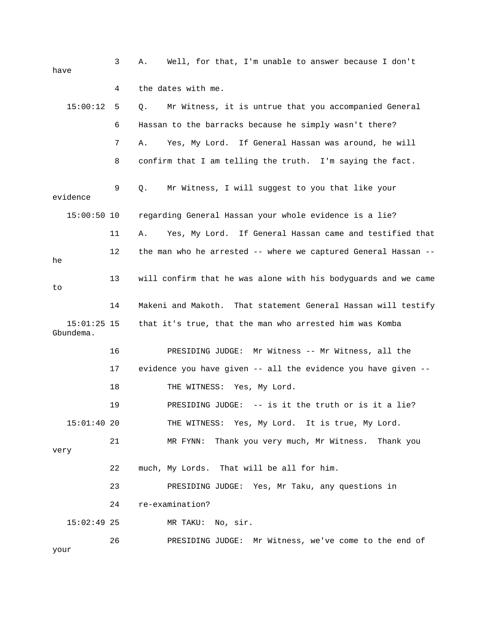| have |                            | 3  | Well, for that, I'm unable to answer because I don't<br>Α.     |
|------|----------------------------|----|----------------------------------------------------------------|
|      |                            | 4  | the dates with me.                                             |
|      | 15:00:12                   | 5  | Mr Witness, it is untrue that you accompanied General<br>Q.    |
|      |                            | 6  | Hassan to the barracks because he simply wasn't there?         |
|      |                            | 7  | Yes, My Lord. If General Hassan was around, he will<br>Α.      |
|      |                            | 8  | confirm that I am telling the truth. I'm saying the fact.      |
|      | evidence                   | 9  | Mr Witness, I will suggest to you that like your<br>Q.         |
|      | $15:00:50$ 10              |    | regarding General Hassan your whole evidence is a lie?         |
|      |                            | 11 | Yes, My Lord. If General Hassan came and testified that<br>Α.  |
| he   |                            | 12 | the man who he arrested -- where we captured General Hassan -- |
| to   |                            | 13 | will confirm that he was alone with his bodyguards and we came |
|      |                            | 14 | Makeni and Makoth. That statement General Hassan will testify  |
|      | $15:01:25$ 15<br>Gbundema. |    | that it's true, that the man who arrested him was Komba        |
|      |                            | 16 | PRESIDING JUDGE: Mr Witness -- Mr Witness, all the             |
|      |                            | 17 | evidence you have given -- all the evidence you have given --  |
|      |                            | 18 | THE WITNESS: Yes, My Lord.                                     |
|      |                            | 19 | PRESIDING JUDGE: -- is it the truth or is it a lie?            |
|      | 15:01:4020                 |    | THE WITNESS: Yes, My Lord. It is true, My Lord.                |
| very |                            | 21 | Thank you very much, Mr Witness. Thank you<br>MR FYNN:         |
|      |                            | 22 | much, My Lords. That will be all for him.                      |
|      |                            | 23 | PRESIDING JUDGE: Yes, Mr Taku, any questions in                |
|      |                            | 24 | re-examination?                                                |
|      | $15:02:49$ 25              |    | MR TAKU: No, sir.                                              |
| your |                            | 26 | PRESIDING JUDGE: Mr Witness, we've come to the end of          |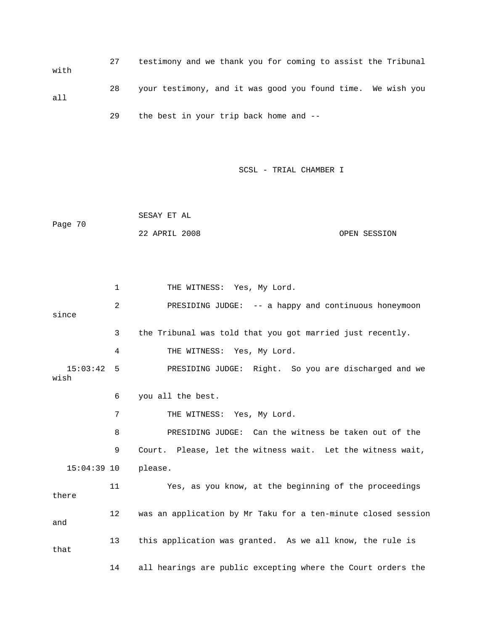27 testimony and we thank you for coming to assist the Tribunal with 28 your testimony, and it was good you found time. We wish you all 29 the best in your trip back home and --

SCSL - TRIAL CHAMBER I

 SESAY ET AL Page 70 22 APRIL 2008 OPEN SESSION

1 THE WITNESS: Yes, My Lord. 2 PRESIDING JUDGE: -- a happy and continuous honeymoon since 3 the Tribunal was told that you got married just recently. 4 THE WITNESS: Yes, My Lord. 15:03:42 5 PRESIDING JUDGE: Right. So you are discharged and we wish 6 you all the best. 7 THE WITNESS: Yes, My Lord. 8 PRESIDING JUDGE: Can the witness be taken out of the 9 Court. Please, let the witness wait. Let the witness wait, 15:04:39 10 please. 11 Yes, as you know, at the beginning of the proceedings there 12 was an application by Mr Taku for a ten-minute closed session and 13 this application was granted. As we all know, the rule is that 14 all hearings are public excepting where the Court orders the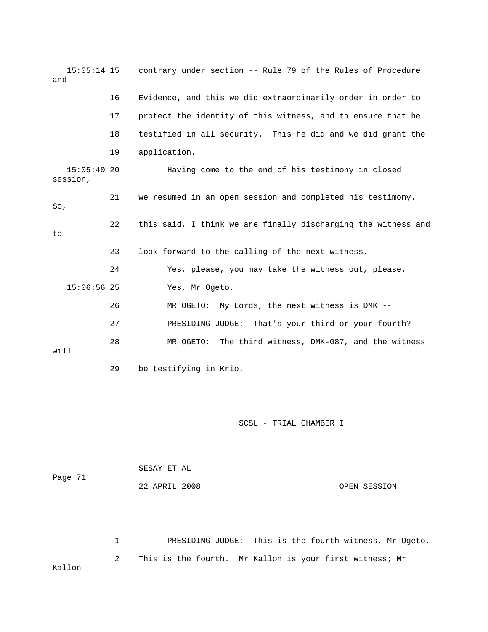| $15:05:14$ 15<br>and   |    | contrary under section -- Rule 79 of the Rules of Procedure   |
|------------------------|----|---------------------------------------------------------------|
|                        | 16 | Evidence, and this we did extraordinarily order in order to   |
|                        | 17 | protect the identity of this witness, and to ensure that he   |
|                        | 18 | testified in all security. This he did and we did grant the   |
|                        | 19 | application.                                                  |
| 15:05:4020<br>session, |    | Having come to the end of his testimony in closed             |
| So,                    | 21 | we resumed in an open session and completed his testimony.    |
| to                     | 22 | this said, I think we are finally discharging the witness and |
|                        | 23 | look forward to the calling of the next witness.              |
|                        | 24 | Yes, please, you may take the witness out, please.            |
| $15:06:56$ 25          |    | Yes, Mr Ogeto.                                                |
|                        | 26 | MR OGETO: My Lords, the next witness is DMK --                |
|                        | 27 | PRESIDING JUDGE: That's your third or your fourth?            |
| will                   | 28 | The third witness, DMK-087, and the witness<br>MR OGETO:      |
|                        | 29 | be testifying in Krio.                                        |

| Page 71 | SESAY ET AL   |              |  |
|---------|---------------|--------------|--|
|         | 22 APRIL 2008 | OPEN SESSION |  |

 1 PRESIDING JUDGE: This is the fourth witness, Mr Ogeto. 2 This is the fourth. Mr Kallon is your first witness; Mr Kallon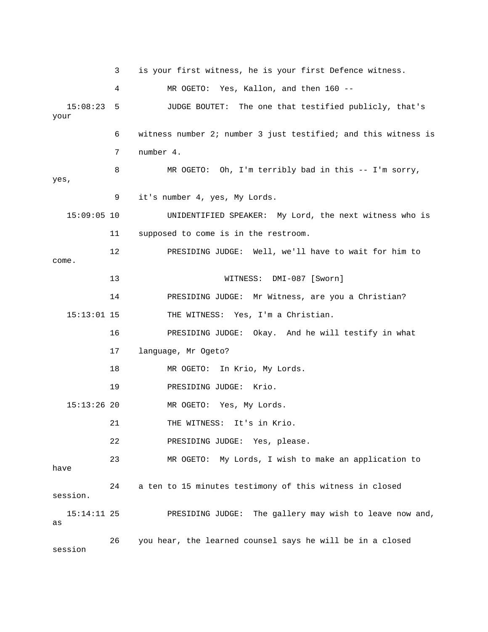3 is your first witness, he is your first Defence witness. 4 MR OGETO: Yes, Kallon, and then 160 -- 15:08:23 5 JUDGE BOUTET: The one that testified publicly, that's your 6 witness number 2; number 3 just testified; and this witness is 7 number 4. 8 MR OGETO: Oh, I'm terribly bad in this -- I'm sorry, yes, 9 it's number 4, yes, My Lords. 15:09:05 10 UNIDENTIFIED SPEAKER: My Lord, the next witness who is 11 supposed to come is in the restroom. 12 PRESIDING JUDGE: Well, we'll have to wait for him to come. 13 WITNESS: DMI-087 [Sworn] 14 PRESIDING JUDGE: Mr Witness, are you a Christian? 15:13:01 15 THE WITNESS: Yes, I'm a Christian. 16 PRESIDING JUDGE: Okay. And he will testify in what 17 language, Mr Ogeto? 18 MR OGETO: In Krio, My Lords. 19 PRESIDING JUDGE: Krio. 15:13:26 20 MR OGETO: Yes, My Lords. 21 THE WITNESS: It's in Krio. 22 PRESIDING JUDGE: Yes, please. 23 MR OGETO: My Lords, I wish to make an application to have 24 a ten to 15 minutes testimony of this witness in closed session. 15:14:11 25 PRESIDING JUDGE: The gallery may wish to leave now and, as 26 you hear, the learned counsel says he will be in a closed session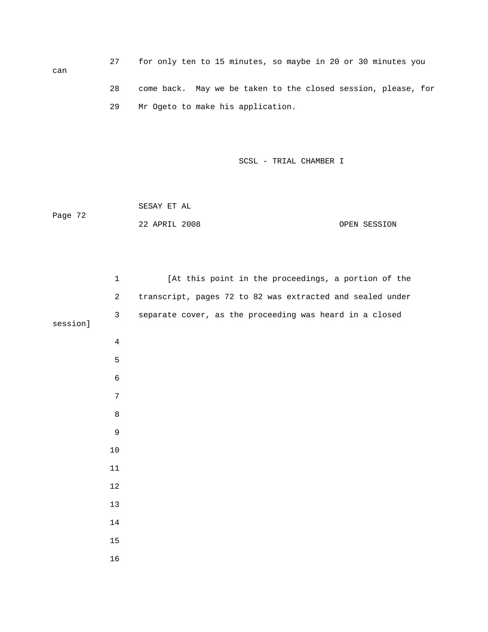27 for only ten to 15 minutes, so maybe in 20 or 30 minutes you 28 come back. May we be taken to the closed session, please, for 29 Mr Ogeto to make his application.

SCSL - TRIAL CHAMBER I

 SESAY ET AL Page 72 22 APRIL 2008 OPEN SESSION

can

|          | $\mathbf 1$    | [At this point in the proceedings, a portion of the       |
|----------|----------------|-----------------------------------------------------------|
|          | $\overline{2}$ | transcript, pages 72 to 82 was extracted and sealed under |
| session] | $\mathbf{3}$   | separate cover, as the proceeding was heard in a closed   |
|          |                |                                                           |
|          | $\overline{4}$ |                                                           |
|          | 5              |                                                           |
|          | 6              |                                                           |
|          | $\overline{7}$ |                                                           |
|          | $\,8\,$        |                                                           |
|          | $\mathsf 9$    |                                                           |
|          | $10$           |                                                           |
|          | $11\,$         |                                                           |
|          | $12\,$         |                                                           |
|          | 13             |                                                           |
|          | $14$           |                                                           |
|          | $15\,$         |                                                           |
|          | 16             |                                                           |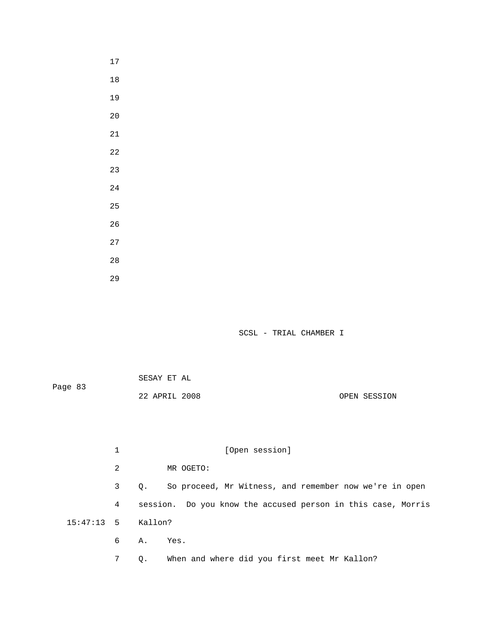17 18 19 20 21 22 23 24 25 26 27 28 29

|         | SESAY ET AL   |              |
|---------|---------------|--------------|
| Page 83 |               |              |
|         | 22 APRIL 2008 | OPEN SESSION |

|                    | 1 | [Open session]                                               |
|--------------------|---|--------------------------------------------------------------|
|                    | 2 | MR OGETO:                                                    |
|                    | 3 | So proceed, Mr Witness, and remember now we're in open<br>0. |
|                    | 4 | session. Do you know the accused person in this case, Morris |
| 15:47:13 5 Kallon? |   |                                                              |
|                    | 6 | A. Yes.                                                      |
|                    | 7 | When and where did you first meet Mr Kallon?<br>$\circ$ .    |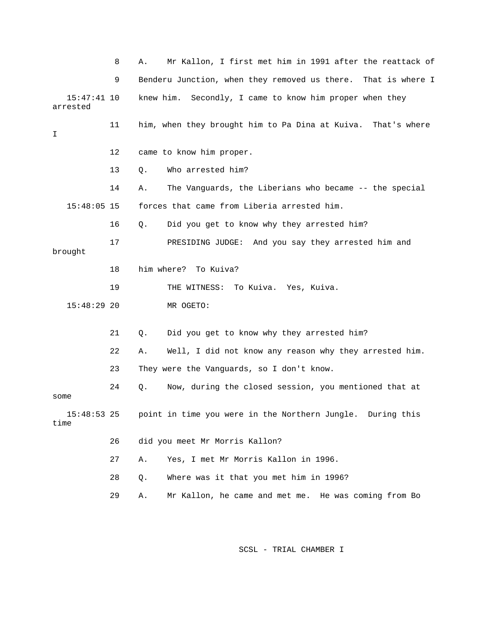|                           | 8  | Mr Kallon, I first met him in 1991 after the reattack of<br>Α. |
|---------------------------|----|----------------------------------------------------------------|
|                           | 9  | Benderu Junction, when they removed us there. That is where I  |
| $15:47:41$ 10<br>arrested |    | Secondly, I came to know him proper when they<br>knew him.     |
| I                         | 11 | him, when they brought him to Pa Dina at Kuiva. That's where   |
|                           | 12 | came to know him proper.                                       |
|                           | 13 | Who arrested him?<br>Q.                                        |
|                           | 14 | The Vanguards, the Liberians who became -- the special<br>Α.   |
| $15:48:05$ 15             |    | forces that came from Liberia arrested him.                    |
|                           | 16 | Did you get to know why they arrested him?<br>Q.               |
| brought                   | 17 | PRESIDING JUDGE: And you say they arrested him and             |
|                           | 18 | him where?<br>To Kuiva?                                        |
|                           | 19 | THE WITNESS: To Kuiva. Yes, Kuiva.                             |
| $15:48:29$ 20             |    | MR OGETO:                                                      |
|                           | 21 | Did you get to know why they arrested him?<br>Q.               |
|                           | 22 | Well, I did not know any reason why they arrested him.<br>Α.   |
|                           | 23 | They were the Vanguards, so I don't know.                      |
| some                      | 24 | Now, during the closed session, you mentioned that at<br>О.    |
| 15:48:53<br>time          | 25 | point in time you were in the Northern Jungle. During this     |
|                           | 26 | did you meet Mr Morris Kallon?                                 |
|                           | 27 | Yes, I met Mr Morris Kallon in 1996.<br>Α.                     |
|                           | 28 | Where was it that you met him in 1996?<br>$Q$ .                |
|                           | 29 | Mr Kallon, he came and met me. He was coming from Bo<br>Α.     |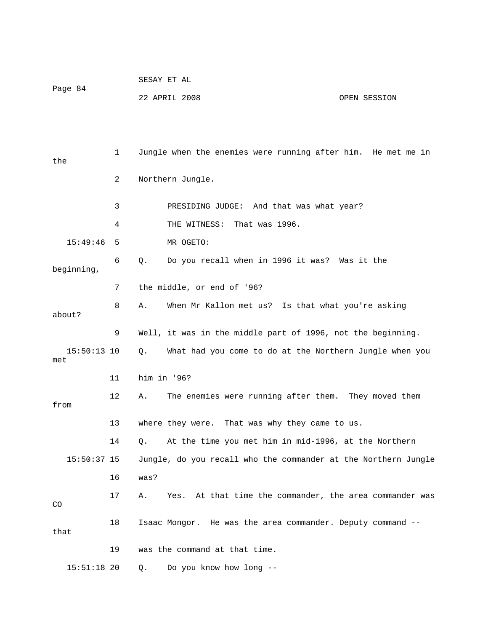| Page 84 | SESAY ET AL   |              |
|---------|---------------|--------------|
|         | 22 APRIL 2008 | OPEN SESSION |

 1 Jungle when the enemies were running after him. He met me in the 2 Northern Jungle. 3 PRESIDING JUDGE: And that was what year? 4 THE WITNESS: That was 1996. 15:49:46 5 MR OGETO: 6 Q. Do you recall when in 1996 it was? Was it the beginning, 7 the middle, or end of '96? 8 A. When Mr Kallon met us? Is that what you're asking about? 9 Well, it was in the middle part of 1996, not the beginning. 15:50:13 10 Q. What had you come to do at the Northern Jungle when you met 11 him in '96? 12 A. The enemies were running after them. They moved them from 13 where they were. That was why they came to us. 14 Q. At the time you met him in mid-1996, at the Northern 15:50:37 15 Jungle, do you recall who the commander at the Northern Jungle 16 was? 17 A. Yes. At that time the commander, the area commander was CO 18 Isaac Mongor. He was the area commander. Deputy command - that 19 was the command at that time. 15:51:18 20 Q. Do you know how long --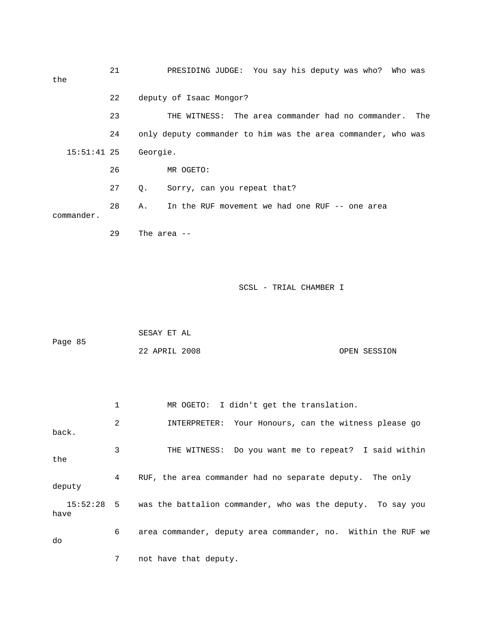21 PRESIDING JUDGE: You say his deputy was who? Who was the 22 deputy of Isaac Mongor? 23 THE WITNESS: The area commander had no commander. The 24 only deputy commander to him was the area commander, who was 15:51:41 25 Georgie. 26 MR OGETO: 27 Q. Sorry, can you repeat that? 28 A. In the RUF movement we had one RUF -- one area commander. 29 The area -- SCSL - TRIAL CHAMBER I SESAY ET AL Page 85 22 APRIL 2008 OPEN SESSION 1 MR OGETO: I didn't get the translation. 2 INTERPRETER: Your Honours, can the witness please go back. 3 THE WITNESS: Do you want me to repeat? I said within the 4 RUF, the area commander had no separate deputy. The only deputy 15:52:28 5 was the battalion commander, who was the deputy. To say you have 6 area commander, deputy area commander, no. Within the RUF we do 7 not have that deputy.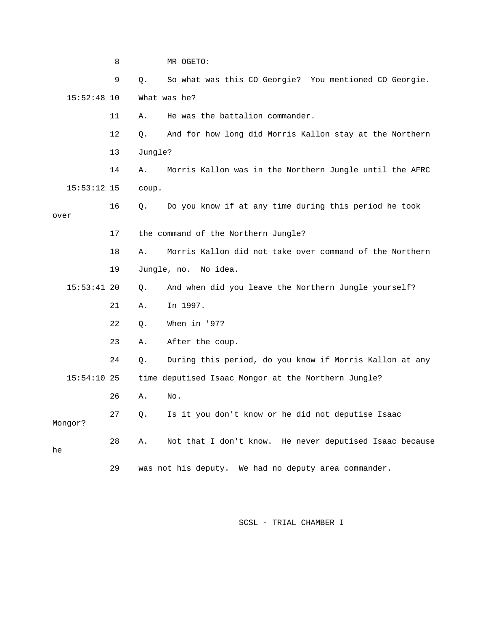|      |               | 8  |         | MR OGETO:                                               |
|------|---------------|----|---------|---------------------------------------------------------|
|      |               | 9  | $Q$ .   | So what was this CO Georgie? You mentioned CO Georgie.  |
|      | $15:52:48$ 10 |    |         | What was he?                                            |
|      |               | 11 | Α.      | He was the battalion commander.                         |
|      |               | 12 | Q.      | And for how long did Morris Kallon stay at the Northern |
|      |               | 13 | Jungle? |                                                         |
|      |               | 14 | Α.      | Morris Kallon was in the Northern Jungle until the AFRC |
|      | $15:53:12$ 15 |    | coup.   |                                                         |
| over |               | 16 | Q.      | Do you know if at any time during this period he took   |
|      |               | 17 |         | the command of the Northern Jungle?                     |
|      |               |    |         |                                                         |
|      |               | 18 | Α.      | Morris Kallon did not take over command of the Northern |
|      |               | 19 |         | Jungle, no. No idea.                                    |
|      | $15:53:41$ 20 |    | Q.      | And when did you leave the Northern Jungle yourself?    |
|      |               | 21 | Α.      | In 1997.                                                |
|      |               | 22 | Q.      | When in '97?                                            |
|      |               | 23 | Α.      | After the coup.                                         |
|      |               | 24 | Q.      | During this period, do you know if Morris Kallon at any |
|      | $15:54:10$ 25 |    |         | time deputised Isaac Mongor at the Northern Jungle?     |
|      |               | 26 | Α.      | No.                                                     |
|      | Mongor?       | 27 | Q.      | Is it you don't know or he did not deputise Isaac       |
| he   |               | 28 | Α.      | Not that I don't know. He never deputised Isaac because |
|      |               | 29 |         | was not his deputy. We had no deputy area commander.    |
|      |               |    |         |                                                         |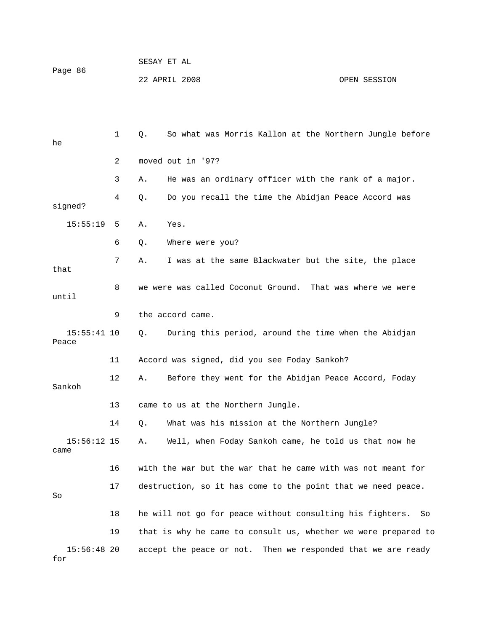| Page 86 | SESAY ET AL   |              |
|---------|---------------|--------------|
|         | 22 APRIL 2008 | OPEN SESSION |

| he                     | 1  | So what was Morris Kallon at the Northern Jungle before<br>Q.   |
|------------------------|----|-----------------------------------------------------------------|
|                        | 2  | moved out in '97?                                               |
|                        | 3  | He was an ordinary officer with the rank of a major.<br>Α.      |
| signed?                | 4  | Do you recall the time the Abidjan Peace Accord was<br>Q.       |
| 15:55:19               | 5  | Yes.<br>Α.                                                      |
|                        | 6  | Where were you?<br>Q.                                           |
| that                   | 7  | I was at the same Blackwater but the site, the place<br>Α.      |
| until                  | 8  | we were was called Coconut Ground. That was where we were       |
|                        | 9  | the accord came.                                                |
| $15:55:41$ 10<br>Peace |    | During this period, around the time when the Abidjan<br>Q.      |
|                        | 11 | Accord was signed, did you see Foday Sankoh?                    |
| Sankoh                 | 12 | Before they went for the Abidjan Peace Accord, Foday<br>Α.      |
|                        | 13 | came to us at the Northern Jungle.                              |
|                        | 14 | What was his mission at the Northern Jungle?<br>Q.              |
| $15:56:12$ 15<br>came  |    | Well, when Foday Sankoh came, he told us that now he<br>Α.      |
|                        | 16 | with the war but the war that he came with was not meant for    |
| So                     | 17 | destruction, so it has come to the point that we need peace.    |
|                        | 18 | he will not go for peace without consulting his fighters.<br>So |
|                        | 19 | that is why he came to consult us, whether we were prepared to  |
| $15:56:48$ 20<br>for   |    | Then we responded that we are ready<br>accept the peace or not. |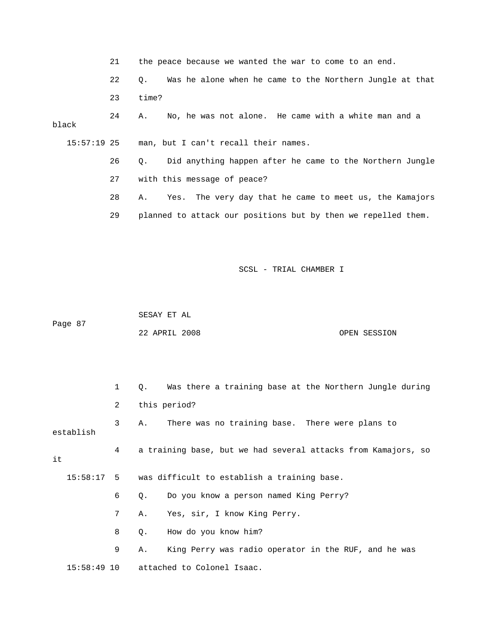|               | 21 | the peace because we wanted the war to come to an end.         |
|---------------|----|----------------------------------------------------------------|
|               | 22 | Was he alone when he came to the Northern Jungle at that<br>О. |
|               | 23 | time?                                                          |
| black         | 24 | No, he was not alone. He came with a white man and a<br>Α.     |
| $15:57:19$ 25 |    | man, but I can't recall their names.                           |
|               | 26 | Did anything happen after he came to the Northern Jungle<br>О. |
|               | 27 | with this message of peace?                                    |
|               | 28 | Yes. The very day that he came to meet us, the Kamajors<br>Α.  |
|               | 29 | planned to attack our positions but by then we repelled them.  |

 SESAY ET AL Page 87 22 APRIL 2008 OPEN SESSION

|           | $\mathbf{1}$   | 0. Was there a training base at the Northern Jungle during    |
|-----------|----------------|---------------------------------------------------------------|
|           | 2              | this period?                                                  |
| establish | 3              | There was no training base. There were plans to<br>Α.         |
| it        | 4              | a training base, but we had several attacks from Kamajors, so |
|           |                | 15:58:17 5 was difficult to establish a training base.        |
|           | 6              | Do you know a person named King Perry?<br>$\circ$ .           |
|           | 7 <sup>7</sup> | Yes, sir, I know King Perry.<br>Α.                            |
|           | 8              | How do you know him?<br>$\circ$ .                             |
|           | 9              | King Perry was radio operator in the RUF, and he was<br>Α.    |
|           |                | $15:58:49$ 10 attached to Colonel Isaac.                      |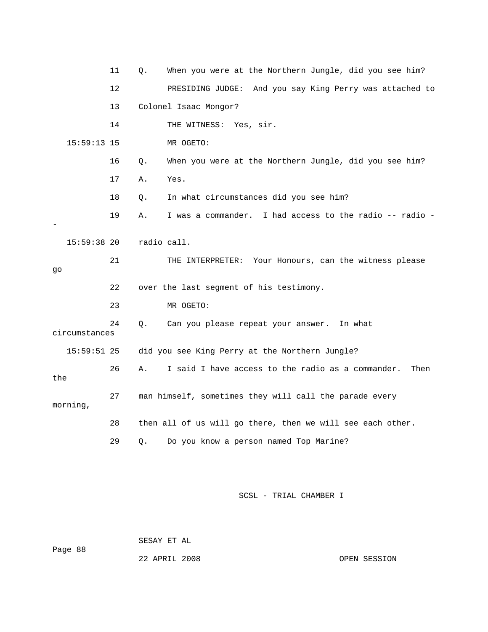|               | 11 | Q.          | When you were at the Northern Jungle, did you see him?     |
|---------------|----|-------------|------------------------------------------------------------|
|               | 12 |             | PRESIDING JUDGE:<br>And you say King Perry was attached to |
|               | 13 |             | Colonel Isaac Mongor?                                      |
|               | 14 |             | THE WITNESS: Yes, sir.                                     |
| 15:59:13 15   |    |             | MR OGETO:                                                  |
|               | 16 | Q.          | When you were at the Northern Jungle, did you see him?     |
|               | 17 | Α.          | Yes.                                                       |
|               | 18 | Q.          | In what circumstances did you see him?                     |
|               | 19 | Α.          | I was a commander. I had access to the radio -- radio -    |
| $15:59:38$ 20 |    | radio call. |                                                            |
| go            | 21 |             | THE INTERPRETER: Your Honours, can the witness please      |
|               | 22 |             | over the last segment of his testimony.                    |
|               | 23 |             | MR OGETO:                                                  |
| circumstances | 24 | Q.          | Can you please repeat your answer.<br>In what              |
| $15:59:51$ 25 |    |             | did you see King Perry at the Northern Jungle?             |
| the           | 26 | Α.          | I said I have access to the radio as a commander.<br>Then  |
| morning,      | 27 |             | man himself, sometimes they will call the parade every     |
|               | 28 |             | then all of us will go there, then we will see each other. |
|               | 29 | Q.          | Do you know a person named Top Marine?                     |

Page 88

SESAY ET AL

22 APRIL 2008 CPEN SESSION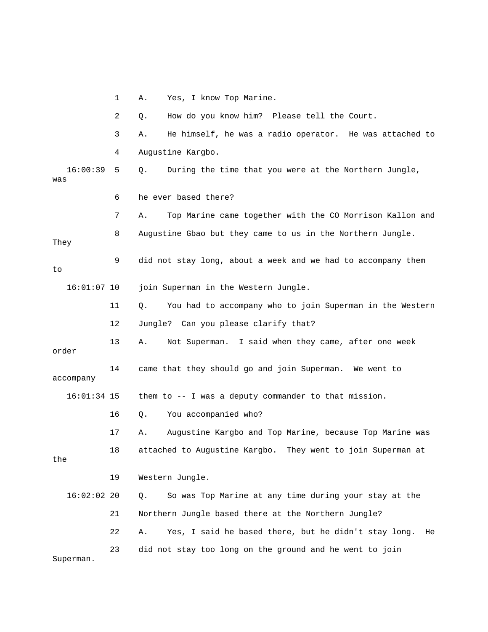1 A. Yes, I know Top Marine.

 2 Q. How do you know him? Please tell the Court. 3 A. He himself, he was a radio operator. He was attached to 4 Augustine Kargbo. 16:00:39 5 Q. During the time that you were at the Northern Jungle, was 6 he ever based there? 7 A. Top Marine came together with the CO Morrison Kallon and 8 Augustine Gbao but they came to us in the Northern Jungle. They 9 did not stay long, about a week and we had to accompany them to 16:01:07 10 join Superman in the Western Jungle. 11 Q. You had to accompany who to join Superman in the Western 12 Jungle? Can you please clarify that? 13 A. Not Superman. I said when they came, after one week order 14 came that they should go and join Superman. We went to accompany 16:01:34 15 them to -- I was a deputy commander to that mission. 16 Q. You accompanied who? 17 A. Augustine Kargbo and Top Marine, because Top Marine was 18 attached to Augustine Kargbo. They went to join Superman at the 19 Western Jungle. 16:02:02 20 Q. So was Top Marine at any time during your stay at the 21 Northern Jungle based there at the Northern Jungle? 22 A. Yes, I said he based there, but he didn't stay long. He 23 did not stay too long on the ground and he went to join Superman.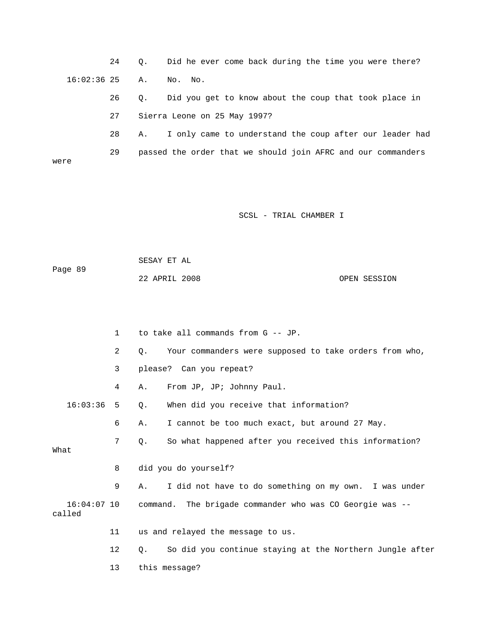24 Q. Did he ever come back during the time you were there? 16:02:36 25 A. No. No.

> 26 Q. Did you get to know about the coup that took place in 27 Sierra Leone on 25 May 1997?

 28 A. I only came to understand the coup after our leader had 29 passed the order that we should join AFRC and our commanders were

SCSL - TRIAL CHAMBER I

 SESAY ET AL Page 89 22 APRIL 2008 OPEN SESSION

|                         | $\mathbf{1}$ | to take all commands from G -- JP.                                    |
|-------------------------|--------------|-----------------------------------------------------------------------|
|                         | 2            | Your commanders were supposed to take orders from who,<br>$Q$ .       |
|                         | 3            | please? Can you repeat?                                               |
|                         | 4            | From JP, JP; Johnny Paul.<br>Α.                                       |
| $16:03:36$ 5            |              | When did you receive that information?<br>Q.                          |
|                         | 6            | I cannot be too much exact, but around 27 May.<br>Α.                  |
| What                    | 7            | So what happened after you received this information?<br>Q.           |
|                         |              |                                                                       |
|                         | 8            | did you do yourself?                                                  |
|                         | 9            | I did not have to do something on my own. I was under<br>Α.           |
| $16:04:07$ 10<br>called |              | command. The brigade commander who was CO Georgie was --              |
|                         | 11           | us and relayed the message to us.                                     |
|                         | $12 \,$      | So did you continue staying at the Northern Jungle after<br>$\circ$ . |
|                         | 13           | this message?                                                         |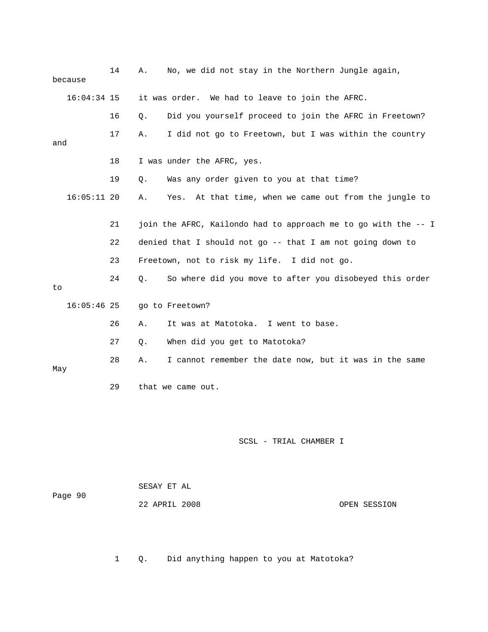| it was order. We had to leave to join the AFRC.<br>Did you yourself proceed to join the AFRC in Freetown?<br>Q.<br>I did not go to Freetown, but I was within the country<br>Α.<br>I was under the AFRC, yes.<br>Was any order given to you at that time?<br>Q. |
|-----------------------------------------------------------------------------------------------------------------------------------------------------------------------------------------------------------------------------------------------------------------|
|                                                                                                                                                                                                                                                                 |
|                                                                                                                                                                                                                                                                 |
|                                                                                                                                                                                                                                                                 |
|                                                                                                                                                                                                                                                                 |
|                                                                                                                                                                                                                                                                 |
| At that time, when we came out from the jungle to<br>Yes.<br>Α.                                                                                                                                                                                                 |
| join the AFRC, Kailondo had to approach me to go with the -- I                                                                                                                                                                                                  |
| denied that I should not go -- that I am not going down to                                                                                                                                                                                                      |
| Freetown, not to risk my life. I did not go.                                                                                                                                                                                                                    |
| So where did you move to after you disobeyed this order<br>Q.                                                                                                                                                                                                   |
| go to Freetown?                                                                                                                                                                                                                                                 |
| It was at Matotoka. I went to base.<br>Α.                                                                                                                                                                                                                       |
| When did you get to Matotoka?<br>Q.                                                                                                                                                                                                                             |
| I cannot remember the date now, but it was in the same<br>Α.                                                                                                                                                                                                    |
| that we came out.                                                                                                                                                                                                                                               |
| SCSL - TRIAL CHAMBER I                                                                                                                                                                                                                                          |
| SESAY ET AL<br>22 APRIL 2008<br>OPEN SESSION                                                                                                                                                                                                                    |
|                                                                                                                                                                                                                                                                 |

1 Q. Did anything happen to you at Matotoka?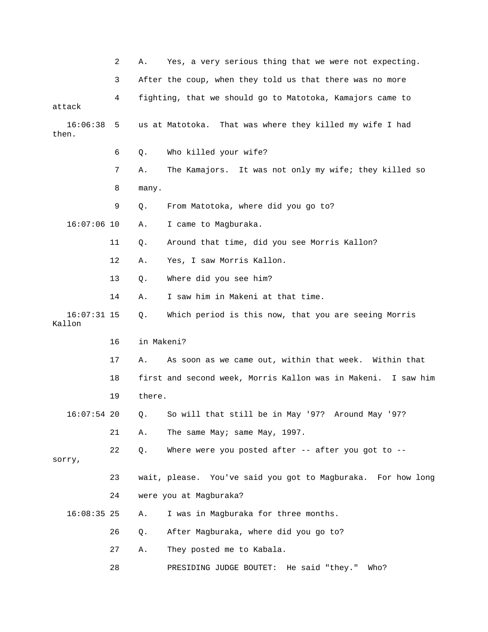|                         | 2  | Α.         | Yes, a very serious thing that we were not expecting.         |
|-------------------------|----|------------|---------------------------------------------------------------|
|                         | 3  |            | After the coup, when they told us that there was no more      |
| attack                  | 4  |            | fighting, that we should go to Matotoka, Kamajors came to     |
| 16:06:38<br>then.       | 5  |            | us at Matotoka. That was where they killed my wife I had      |
|                         | 6  | Q.         | Who killed your wife?                                         |
|                         | 7  | Α.         | The Kamajors. It was not only my wife; they killed so         |
|                         | 8  | many.      |                                                               |
|                         | 9  | Q.         | From Matotoka, where did you go to?                           |
| $16:07:06$ 10           |    | Α.         | I came to Magburaka.                                          |
|                         | 11 | Q.         | Around that time, did you see Morris Kallon?                  |
|                         | 12 | Α.         | Yes, I saw Morris Kallon.                                     |
|                         | 13 | Q.         | Where did you see him?                                        |
|                         | 14 | Α.         | I saw him in Makeni at that time.                             |
| $16:07:31$ 15<br>Kallon |    | Q.         | Which period is this now, that you are seeing Morris          |
|                         | 16 | in Makeni? |                                                               |
|                         | 17 | Α.         | As soon as we came out, within that week. Within that         |
|                         | 18 |            | first and second week, Morris Kallon was in Makeni. I saw him |
|                         | 19 | there.     |                                                               |
| $16:07:54$ 20           |    | Q.         | So will that still be in May '97? Around May '97?             |
|                         | 21 | Α.         | The same May; same May, 1997.                                 |
| sorry,                  | 22 | Q.         | Where were you posted after -- after you got to --            |
|                         | 23 |            | wait, please. You've said you got to Magburaka. For how long  |
|                         | 24 |            | were you at Magburaka?                                        |
| $16:08:35$ 25           |    | Α.         | I was in Magburaka for three months.                          |
|                         | 26 | Q.         | After Magburaka, where did you go to?                         |
|                         | 27 | Α.         | They posted me to Kabala.                                     |
|                         | 28 |            | He said "they."<br>PRESIDING JUDGE BOUTET:<br>Who?            |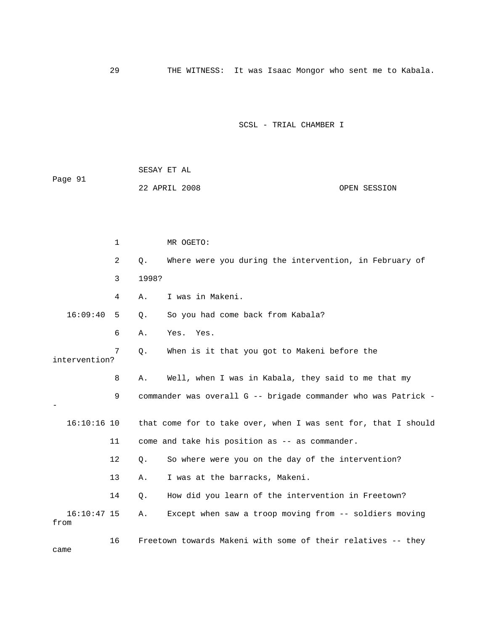29 THE WITNESS: It was Isaac Mongor who sent me to Kabala.

## SCSL - TRIAL CHAMBER I

|         | SESAY ET AL   |              |
|---------|---------------|--------------|
| Page 91 |               |              |
|         | 22 APRIL 2008 | OPEN SESSION |

|                       | 1  | MR OGETO:                                                       |
|-----------------------|----|-----------------------------------------------------------------|
|                       | 2  | Where were you during the intervention, in February of<br>Q.    |
|                       | 3  | 1998?                                                           |
|                       | 4  | I was in Makeni.<br>Α.                                          |
| 16:09:40              | -5 | So you had come back from Kabala?<br>Q.                         |
|                       | 6  | Yes. Yes.<br>Α.                                                 |
| intervention?         | 7  | When is it that you got to Makeni before the<br>Q.              |
|                       | 8  | Well, when I was in Kabala, they said to me that my<br>Α.       |
|                       | 9  | commander was overall G -- brigade commander who was Patrick -  |
| $16:10:16$ 10         |    | that come for to take over, when I was sent for, that I should  |
|                       | 11 | come and take his position as -- as commander.                  |
|                       | 12 | So where were you on the day of the intervention?<br>Q.         |
|                       | 13 | I was at the barracks, Makeni.<br>Α.                            |
|                       | 14 | How did you learn of the intervention in Freetown?<br>$\circ$ . |
| $16:10:47$ 15<br>from |    | Except when saw a troop moving from -- soldiers moving<br>Α.    |
|                       | 16 | Freetown towards Makeni with some of their relatives -- they    |

came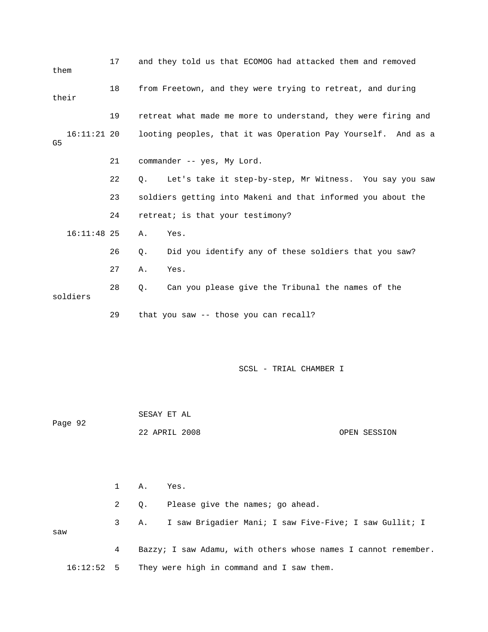| them  |               | 17 | and they told us that ECOMOG had attacked them and removed                |
|-------|---------------|----|---------------------------------------------------------------------------|
| their |               | 18 | from Freetown, and they were trying to retreat, and during                |
|       |               | 19 | retreat what made me more to understand, they were firing and             |
| G5    | $16:11:21$ 20 |    | looting peoples, that it was Operation Pay Yourself. And as a             |
|       |               | 21 | commander -- yes, My Lord.                                                |
|       |               | 22 | Let's take it step-by-step, Mr Witness. You say you saw<br>Q <sub>z</sub> |
|       |               | 23 | soldiers getting into Makeni and that informed you about the              |
|       |               | 24 | retreat; is that your testimony?                                          |
|       | $16:11:48$ 25 |    | Yes.<br>Α.                                                                |
|       |               | 26 | Did you identify any of these soldiers that you saw?<br>Q.                |
|       |               | 27 | Yes.<br>Α.                                                                |
|       | soldiers      | 28 | Can you please give the Tribunal the names of the<br>Q.                   |
|       |               | 29 | that you saw -- those you can recall?                                     |

 SESAY ET AL Page 92 22 APRIL 2008 OPEN SESSION

 1 A. Yes. 2 Q. Please give the names; go ahead. 3 A. I saw Brigadier Mani; I saw Five-Five; I saw Gullit; I saw 4 Bazzy; I saw Adamu, with others whose names I cannot remember. 16:12:52 5 They were high in command and I saw them.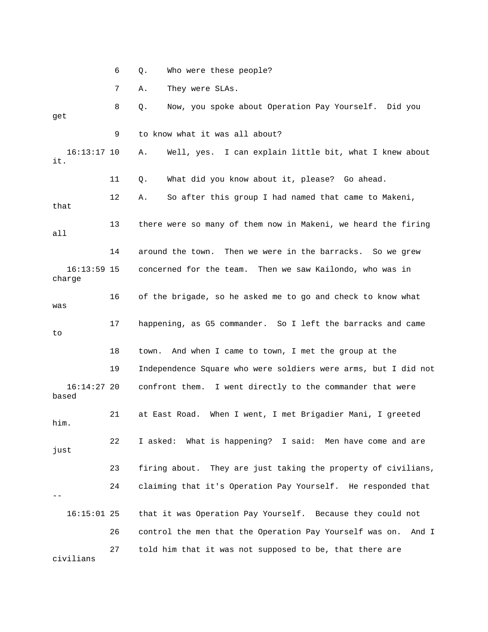6 Q. Who were these people? 7 A. They were SLAs. 8 Q. Now, you spoke about Operation Pay Yourself. Did you get 9 to know what it was all about? 16:13:17 10 A. Well, yes. I can explain little bit, what I knew about it. 11 Q. What did you know about it, please? Go ahead. 12 A. So after this group I had named that came to Makeni, that 13 there were so many of them now in Makeni, we heard the firing all 14 around the town. Then we were in the barracks. So we grew 16:13:59 15 concerned for the team. Then we saw Kailondo, who was in charge 16 of the brigade, so he asked me to go and check to know what was 17 happening, as G5 commander. So I left the barracks and came to 18 town. And when I came to town, I met the group at the 19 Independence Square who were soldiers were arms, but I did not 16:14:27 20 confront them. I went directly to the commander that were based 21 at East Road. When I went, I met Brigadier Mani, I greeted him. 22 I asked: What is happening? I said: Men have come and are just 23 firing about. They are just taking the property of civilians, 24 claiming that it's Operation Pay Yourself. He responded that -- 16:15:01 25 that it was Operation Pay Yourself. Because they could not 26 control the men that the Operation Pay Yourself was on. And I 27 told him that it was not supposed to be, that there are civilians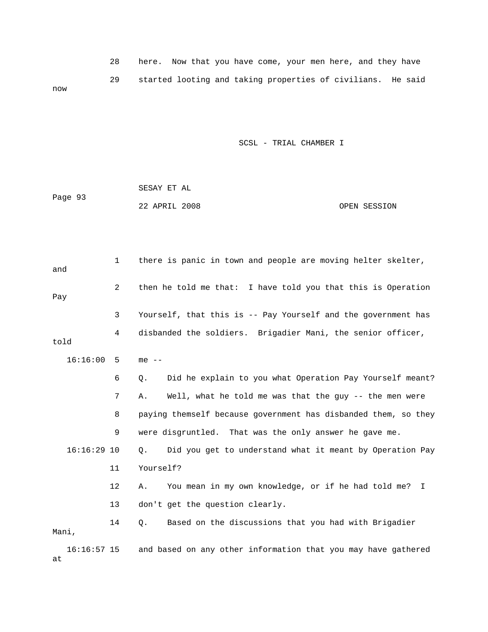|     | 28 | here. Now that you have come, your men here, and they have  |  |  |  |  |  |  |
|-----|----|-------------------------------------------------------------|--|--|--|--|--|--|
| now | 29 | started looting and taking properties of civilians. He said |  |  |  |  |  |  |

| Page 93 | SESAY ET AL   |  |              |
|---------|---------------|--|--------------|
|         | 22 APRIL 2008 |  | OPEN SESSION |

| and           | 1  | there is panic in town and people are moving helter skelter,   |
|---------------|----|----------------------------------------------------------------|
| Pay           | 2  | then he told me that: I have told you that this is Operation   |
|               | 3  | Yourself, that this is -- Pay Yourself and the government has  |
| told          | 4  | disbanded the soldiers. Brigadier Mani, the senior officer,    |
| $16:16:00$ 5  |    | $me$ $-$                                                       |
|               | 6  | Did he explain to you what Operation Pay Yourself meant?<br>Q. |
|               | 7  | Well, what he told me was that the guy -- the men were<br>Α.   |
|               | 8  | paying themself because government has disbanded them, so they |
|               | 9  | were disgruntled. That was the only answer he gave me.         |
| $16:16:29$ 10 |    | Did you get to understand what it meant by Operation Pay<br>Q. |
|               | 11 | Yourself?                                                      |
|               | 12 | You mean in my own knowledge, or if he had told me? I<br>Α.    |
|               | 13 | don't get the question clearly.                                |
| Mani,         | 14 | Based on the discussions that you had with Brigadier<br>Ο.     |
| $16:16:57$ 15 |    | and based on any other information that you may have gathered  |

at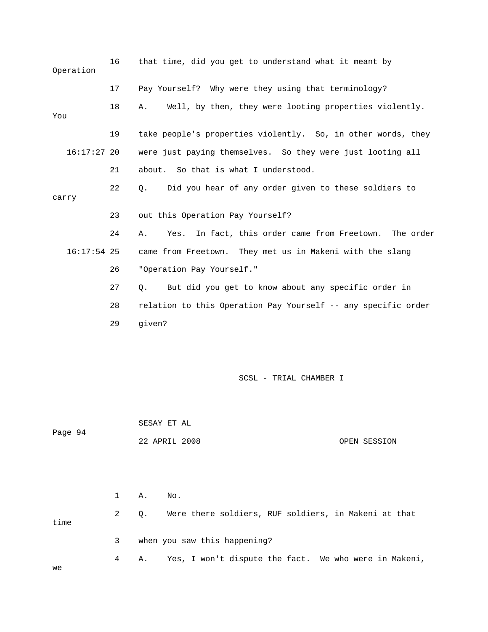| Operation     | 16 | that time, did you get to understand what it meant by           |
|---------------|----|-----------------------------------------------------------------|
|               | 17 | Pay Yourself? Why were they using that terminology?             |
| You           | 18 | Well, by then, they were looting properties violently.<br>Α.    |
|               | 19 | take people's properties violently. So, in other words, they    |
| $16:17:27$ 20 |    | were just paying themselves. So they were just looting all      |
|               | 21 | about. So that is what I understood.                            |
| carry         | 22 | Did you hear of any order given to these soldiers to<br>Q.      |
|               | 23 | out this Operation Pay Yourself?                                |
|               | 24 | In fact, this order came from Freetown. The order<br>Yes.<br>Α. |
| $16:17:54$ 25 |    | came from Freetown. They met us in Makeni with the slang        |
|               | 26 | "Operation Pay Yourself."                                       |
|               | 27 | But did you get to know about any specific order in<br>О.       |
|               | 28 | relation to this Operation Pay Yourself -- any specific order   |
|               | 29 | given?                                                          |
|               |    |                                                                 |
|               |    | SCSL - TRIAL CHAMBER I                                          |
|               |    | SESAY ET AL                                                     |
| Page 94       |    | 22 APRIL 2008<br>OPEN SESSION                                   |
|               |    |                                                                 |
|               | 1  | No.<br>Α.                                                       |
| time          | 2  | Were there soldiers, RUF soldiers, in Makeni at that<br>Q.      |
|               | 3  | when you saw this happening?                                    |

4 A. Yes, I won't dispute the fact. We who were in Makeni,

we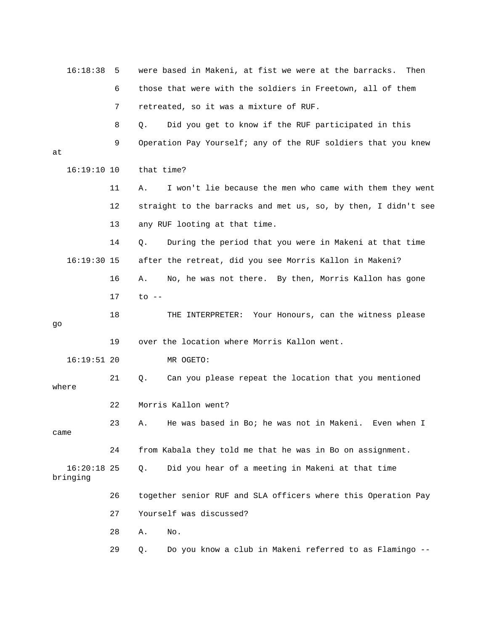| 16:18:38                  | -5 | were based in Makeni, at fist we were at the barracks.<br>Then |
|---------------------------|----|----------------------------------------------------------------|
|                           | 6  | those that were with the soldiers in Freetown, all of them     |
|                           | 7  | retreated, so it was a mixture of RUF.                         |
|                           | 8  | Did you get to know if the RUF participated in this<br>Q.      |
| at                        | 9  | Operation Pay Yourself; any of the RUF soldiers that you knew  |
| 16:19:10 10               |    | that time?                                                     |
|                           | 11 | I won't lie because the men who came with them they went<br>Α. |
|                           | 12 | straight to the barracks and met us, so, by then, I didn't see |
|                           | 13 | any RUF looting at that time.                                  |
|                           | 14 | During the period that you were in Makeni at that time<br>Q.   |
| $16:19:30$ 15             |    | after the retreat, did you see Morris Kallon in Makeni?        |
|                           | 16 | No, he was not there. By then, Morris Kallon has gone<br>Α.    |
|                           | 17 | $to$ $--$                                                      |
| go                        | 18 | THE INTERPRETER: Your Honours, can the witness please          |
|                           | 19 | over the location where Morris Kallon went.                    |
| $16:19:51$ 20             |    | MR OGETO:                                                      |
| where                     | 21 | Can you please repeat the location that you mentioned<br>Q.    |
|                           | 22 | Morris Kallon went?                                            |
| came                      | 23 | He was based in Bo; he was not in Makeni.<br>Fven when T<br>A  |
|                           | 24 | from Kabala they told me that he was in Bo on assignment.      |
| $16:20:18$ 25<br>bringing |    | Did you hear of a meeting in Makeni at that time<br>О.         |
|                           | 26 | together senior RUF and SLA officers where this Operation Pay  |
|                           | 27 | Yourself was discussed?                                        |
|                           | 28 | Α.<br>No.                                                      |
|                           | 29 | Do you know a club in Makeni referred to as Flamingo --<br>Q.  |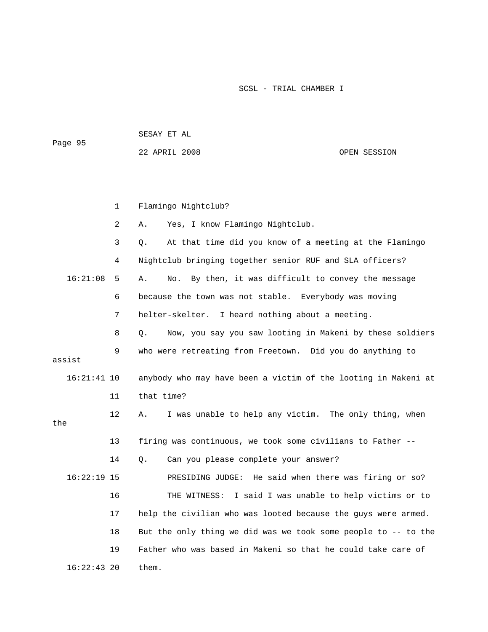| Page 95       |    | SESAY ET AL                                                    |                                      |  |  |
|---------------|----|----------------------------------------------------------------|--------------------------------------|--|--|
|               |    | 22 APRIL 2008                                                  | OPEN SESSION                         |  |  |
|               |    |                                                                |                                      |  |  |
|               |    |                                                                |                                      |  |  |
|               | 1  | Flamingo Nightclub?                                            |                                      |  |  |
|               | 2  | Yes, I know Flamingo Nightclub.<br>Α.                          |                                      |  |  |
|               | 3  | At that time did you know of a meeting at the Flamingo<br>Q.   |                                      |  |  |
|               | 4  | Nightclub bringing together senior RUF and SLA officers?       |                                      |  |  |
| 16:21:08      | 5  | By then, it was difficult to convey the message<br>No.<br>Α.   |                                      |  |  |
|               | 6  | because the town was not stable.                               | Everybody was moving                 |  |  |
|               | 7  | helter-skelter. I heard nothing about a meeting.               |                                      |  |  |
|               | 8  | Now, you say you saw looting in Makeni by these soldiers<br>О. |                                      |  |  |
| assist        | 9  | who were retreating from Freetown. Did you do anything to      |                                      |  |  |
| $16:21:41$ 10 |    | anybody who may have been a victim of the looting in Makeni at |                                      |  |  |
|               | 11 | that time?                                                     |                                      |  |  |
| the           | 12 | I was unable to help any victim. The only thing, when<br>Α.    |                                      |  |  |
|               | 13 | firing was continuous, we took some civilians to Father --     |                                      |  |  |
|               | 14 | Can you please complete your answer?<br>Q.                     |                                      |  |  |
| $16:22:19$ 15 |    | PRESIDING JUDGE:                                               | He said when there was firing or so? |  |  |
|               | 16 | THE WITNESS: I said I was unable to help victims or to         |                                      |  |  |
|               | 17 | help the civilian who was looted because the guys were armed.  |                                      |  |  |
|               | 18 | But the only thing we did was we took some people to -- to the |                                      |  |  |
|               | 19 | Father who was based in Makeni so that he could take care of   |                                      |  |  |
| $16:22:43$ 20 |    | them.                                                          |                                      |  |  |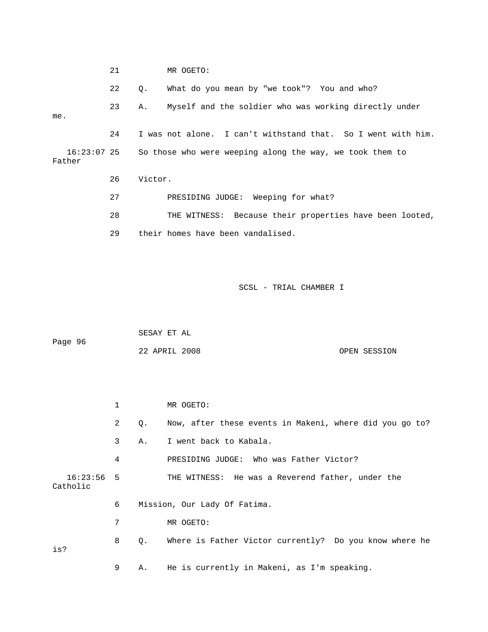|                       | 21 |         | MR OGETO:                                                    |
|-----------------------|----|---------|--------------------------------------------------------------|
|                       | 22 | Q.      | What do you mean by "we took"? You and who?                  |
| me.                   | 23 | Α.      | Myself and the soldier who was working directly under        |
|                       | 24 |         | I was not alone. I can't withstand that. So I went with him. |
| 16:23:07 25<br>Father |    |         | So those who were weeping along the way, we took them to     |
|                       | 26 | Victor. |                                                              |
|                       | 27 |         | PRESIDING JUDGE: Weeping for what?                           |
|                       | 28 |         | THE WITNESS: Because their properties have been looted,      |
|                       | 29 |         | their homes have been vandalised.                            |

|         | SESAY ET AL   |  |              |
|---------|---------------|--|--------------|
| Page 96 |               |  |              |
|         | 22 APRIL 2008 |  | OPEN SESSION |

|                          | 1              |           | MR OGETO:                                               |
|--------------------------|----------------|-----------|---------------------------------------------------------|
|                          | $\overline{2}$ | Q.        | Now, after these events in Makeni, where did you go to? |
|                          | 3              |           | A. I went back to Kabala.                               |
|                          | 4              |           | PRESIDING JUDGE: Who was Father Victor?                 |
| $16:23:56$ 5<br>Catholic |                |           | THE WITNESS: He was a Reverend father, under the        |
|                          | 6              |           | Mission, Our Lady Of Fatima.                            |
|                          | 7              |           | MR OGETO:                                               |
| is?                      | 8              | $\circ$ . | Where is Father Victor currently? Do you know where he  |
|                          | 9              | Α.        | He is currently in Makeni, as I'm speaking.             |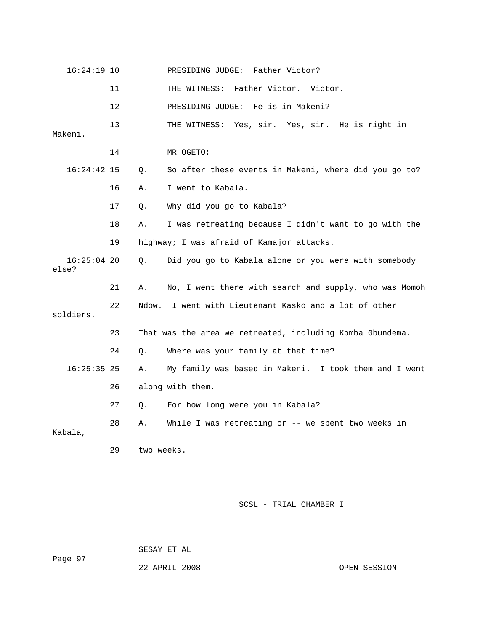| 16:24:19 10            |         |            | PRESIDING JUDGE:<br>Father Victor?                        |
|------------------------|---------|------------|-----------------------------------------------------------|
|                        | 11      |            | Father Victor. Victor.<br>THE WITNESS:                    |
|                        | $12 \,$ |            | PRESIDING JUDGE: He is in Makeni?                         |
| Makeni.                | 13      |            | Yes, sir. Yes, sir. He is right in<br>THE WITNESS:        |
|                        | 14      |            | MR OGETO:                                                 |
| $16:24:42$ 15          |         | Q.         | So after these events in Makeni, where did you go to?     |
|                        | 16      | Α.         | I went to Kabala.                                         |
|                        | 17      | Q.         | Why did you go to Kabala?                                 |
|                        | 18      | Α.         | I was retreating because I didn't want to go with the     |
|                        | 19      |            | highway; I was afraid of Kamajor attacks.                 |
| $16:25:04$ 20<br>else? |         | Q.         | Did you go to Kabala alone or you were with somebody      |
|                        | 21      | Α.         | No, I went there with search and supply, who was Momoh    |
| soldiers.              | 22      | Ndow.      | I went with Lieutenant Kasko and a lot of other           |
|                        | 23      |            | That was the area we retreated, including Komba Gbundema. |
|                        | 24      | Q.         | Where was your family at that time?                       |
| $16:25:35$ 25          |         | Α.         | My family was based in Makeni. I took them and I went     |
|                        | 26      |            | along with them.                                          |
|                        | 27      | О.         | For how long were you in Kabala?                          |
| Kabala,                | 28      | Α.         | While I was retreating or -- we spent two weeks in        |
|                        | 29      | two weeks. |                                                           |

SESAY ET AL

22 APRIL 2008 OPEN SESSION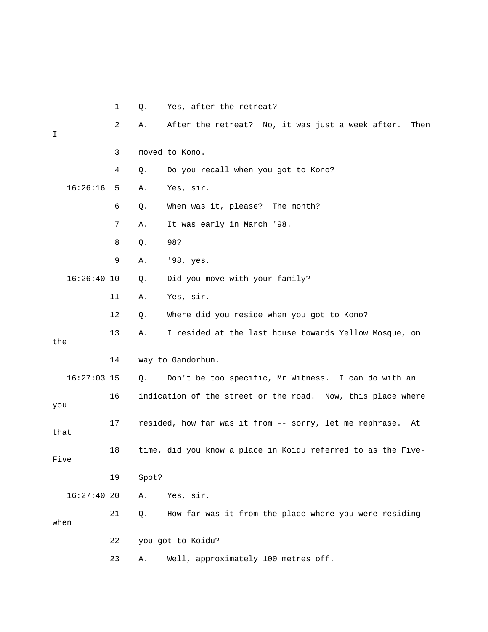|      |               | 1              | Q.    | Yes, after the retreat?                                       |
|------|---------------|----------------|-------|---------------------------------------------------------------|
| I    |               | $\overline{2}$ | Α.    | After the retreat? No, it was just a week after.<br>Then      |
|      |               | 3              |       | moved to Kono.                                                |
|      |               | 4              | Q.    | Do you recall when you got to Kono?                           |
|      | 16:26:16      | 5              | Α.    | Yes, sir.                                                     |
|      |               | 6              | Q.    | When was it, please? The month?                               |
|      |               | 7              | Α.    | It was early in March '98.                                    |
|      |               | 8              | Q.    | 98?                                                           |
|      |               | 9              | Α.    | '98, yes.                                                     |
|      | $16:26:40$ 10 |                | Q.    | Did you move with your family?                                |
|      |               | 11             | Α.    | Yes, sir.                                                     |
|      |               | 12             | Q.    | Where did you reside when you got to Kono?                    |
| the  |               | 13             | Α.    | I resided at the last house towards Yellow Mosque, on         |
|      |               | 14             |       | way to Gandorhun.                                             |
|      | $16:27:03$ 15 |                | Q.    | Don't be too specific, Mr Witness. I can do with an           |
| you  |               | 16             |       | indication of the street or the road. Now, this place where   |
| that |               | 17             |       | resided, how far was it from -- sorry, let me rephrase.<br>At |
| Five |               | 18             |       | time, did you know a place in Koidu referred to as the Five-  |
|      |               | 19             | Spot? |                                                               |
|      | 16:27:4020    |                | Α.    | Yes, sir.                                                     |
| when |               | 21             | Q.    | How far was it from the place where you were residing         |
|      |               | 22             |       | you got to Koidu?                                             |
|      |               | 23             | Α.    | Well, approximately 100 metres off.                           |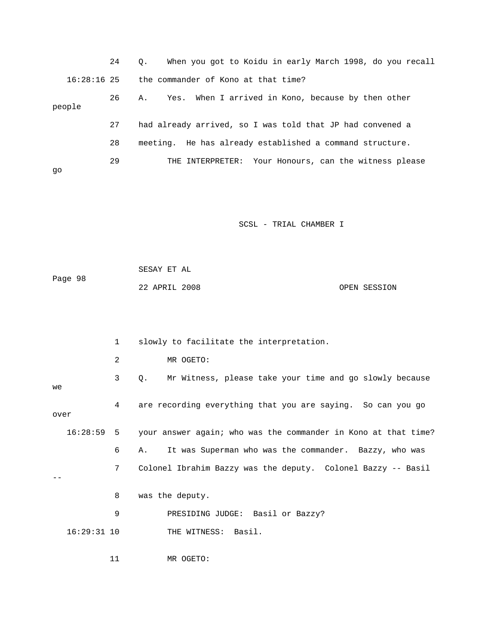|               | 24 | When you got to Koidu in early March 1998, do you recall<br>$\circ$ . |
|---------------|----|-----------------------------------------------------------------------|
| $16:28:16$ 25 |    | the commander of Kono at that time?                                   |
| people        | 26 | Yes. When I arrived in Kono, because by then other<br>Α.              |
|               | 27 | had already arrived, so I was told that JP had convened a             |
|               | 28 | meeting. He has already established a command structure.              |
| qo            | 29 | THE INTERPRETER: Your Honours, can the witness please                 |

|         | SESAY ET AL   |  |              |
|---------|---------------|--|--------------|
| Page 98 |               |  |              |
|         | 22 APRIL 2008 |  | OPEN SESSION |

|      |               | 1              | slowly to facilitate the interpretation.                                  |
|------|---------------|----------------|---------------------------------------------------------------------------|
|      |               | $\overline{a}$ | MR OGETO:                                                                 |
| we   |               | 3              | Mr Witness, please take your time and go slowly because<br>$Q_{\star}$    |
| over |               | 4              | are recording everything that you are saying. So can you go               |
|      |               |                | 16:28:59 5 your answer again; who was the commander in Kono at that time? |
|      |               | 6              | It was Superman who was the commander. Bazzy, who was<br>Α.               |
|      |               | 7              | Colonel Ibrahim Bazzy was the deputy. Colonel Bazzy -- Basil              |
|      |               | 8              | was the deputy.                                                           |
|      |               | 9              | PRESIDING JUDGE: Basil or Bazzy?                                          |
|      | $16:29:31$ 10 |                | THE WITNESS: Basil.                                                       |
|      |               | 11             | MR OGETO:                                                                 |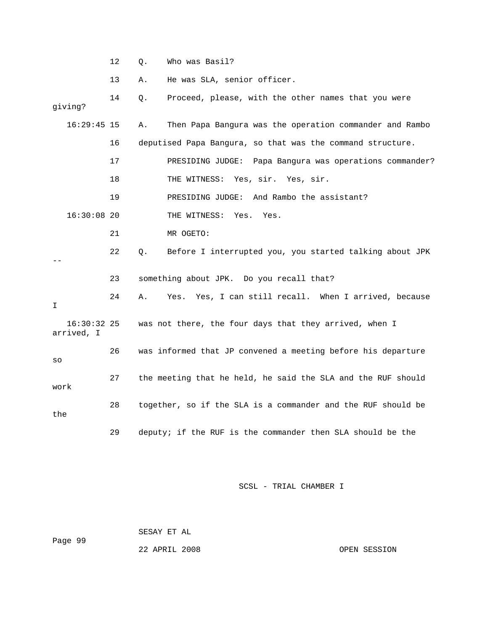12 Q. Who was Basil?

13 A. He was SLA, senior officer.

| giving?                     | 14 | Proceed, please, with the other names that you were<br>Q.     |
|-----------------------------|----|---------------------------------------------------------------|
| $16:29:45$ 15               |    | Then Papa Bangura was the operation commander and Rambo<br>Α. |
|                             | 16 | deputised Papa Bangura, so that was the command structure.    |
|                             | 17 | PRESIDING JUDGE: Papa Bangura was operations commander?       |
|                             | 18 | THE WITNESS: Yes, sir. Yes, sir.                              |
|                             | 19 | PRESIDING JUDGE: And Rambo the assistant?                     |
| $16:30:08$ 20               |    | THE WITNESS: Yes.<br>Yes.                                     |
|                             | 21 | MR OGETO:                                                     |
|                             | 22 | Before I interrupted you, you started talking about JPK<br>Q. |
|                             | 23 | something about JPK. Do you recall that?                      |
| I.                          | 24 | Yes. Yes, I can still recall. When I arrived, because<br>Α.   |
| $16:30:32$ 25<br>arrived, I |    | was not there, the four days that they arrived, when I        |
| SO                          | 26 | was informed that JP convened a meeting before his departure  |
| work                        | 27 | the meeting that he held, he said the SLA and the RUF should  |
| the                         | 28 | together, so if the SLA is a commander and the RUF should be  |
|                             | 29 | deputy; if the RUF is the commander then SLA should be the    |

SCSL - TRIAL CHAMBER I

 SESAY ET AL Page 99

22 APRIL 2008 OPEN SESSION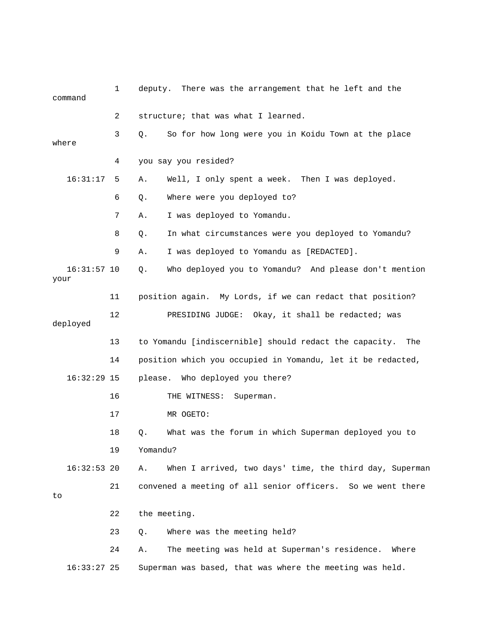|       | command       | 1  | deputy.      | There was the arrangement that he left and the                |
|-------|---------------|----|--------------|---------------------------------------------------------------|
|       |               | 2  |              | structure; that was what I learned.                           |
| where |               | 3  | О.           | So for how long were you in Koidu Town at the place           |
|       |               | 4  |              | you say you resided?                                          |
|       | 16:31:17      | 5  | Α.           | Well, I only spent a week. Then I was deployed.               |
|       |               | 6  | Q.           | Where were you deployed to?                                   |
|       |               | 7  | Α.           | I was deployed to Yomandu.                                    |
|       |               | 8  | Q.           | In what circumstances were you deployed to Yomandu?           |
|       |               | 9  | Α.           | I was deployed to Yomandu as [REDACTED].                      |
| your  | $16:31:57$ 10 |    | Q.           | Who deployed you to Yomandu? And please don't mention         |
|       |               | 11 |              | position again. My Lords, if we can redact that position?     |
|       | deployed      | 12 |              | PRESIDING JUDGE: Okay, it shall be redacted; was              |
|       |               | 13 |              | to Yomandu [indiscernible] should redact the capacity.<br>The |
|       |               | 14 |              | position which you occupied in Yomandu, let it be redacted,   |
|       | $16:32:29$ 15 |    |              | please. Who deployed you there?                               |
|       |               | 16 |              | THE WITNESS:<br>Superman.                                     |
|       |               | 17 |              | MR OGETO:                                                     |
|       |               | 18 | Q.           | What was the forum in which Superman deployed you to          |
|       |               | 19 | Yomandu?     |                                                               |
|       | $16:32:53$ 20 |    | Α.           | When I arrived, two days' time, the third day, Superman       |
| to    |               | 21 |              | convened a meeting of all senior officers. So we went there   |
|       |               | 22 | the meeting. |                                                               |
|       |               | 23 | Q.           | Where was the meeting held?                                   |
|       |               | 24 | Α.           | The meeting was held at Superman's residence. Where           |
|       | $16:33:27$ 25 |    |              | Superman was based, that was where the meeting was held.      |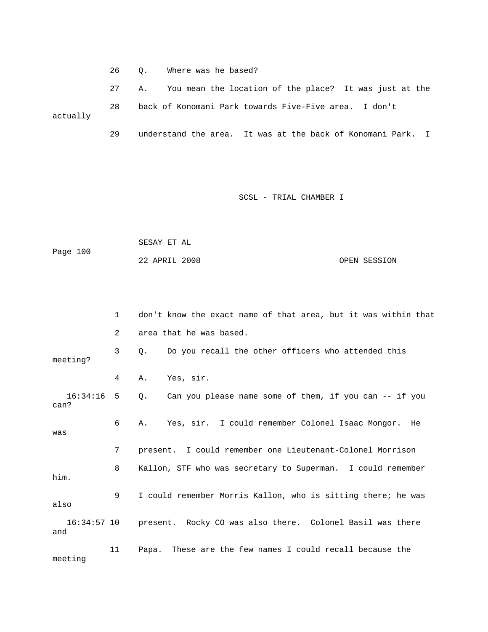26 Q. Where was he based?

 27 A. You mean the location of the place? It was just at the 28 back of Konomani Park towards Five-Five area. I don't actually 29 understand the area. It was at the back of Konomani Park. I

SCSL - TRIAL CHAMBER I

 SESAY ET AL Page 100 22 APRIL 2008 OPEN SESSION

|                      | $\mathbf{1}$    | don't know the exact name of that area, but it was within that        |
|----------------------|-----------------|-----------------------------------------------------------------------|
|                      | $\overline{2}$  | area that he was based.                                               |
| meeting?             | 3               | Do you recall the other officers who attended this<br>$\circ$ .       |
|                      | 4               | Yes, sir.<br>Α.                                                       |
| $16:34:16$ 5<br>can? |                 | 0. Can you please name some of them, if you can -- if you             |
| was                  | 6               | A. Yes, sir. I could remember Colonel Isaac Mongor. He                |
|                      | $7\overline{ }$ | present. I could remember one Lieutenant-Colonel Morrison             |
| him.                 | 8               | Kallon, STF who was secretary to Superman. I could remember           |
| also                 | 9               | I could remember Morris Kallon, who is sitting there; he was          |
| and                  |                 | 16:34:57 10 present. Rocky CO was also there. Colonel Basil was there |
| meeting              | 11              | Papa. These are the few names I could recall because the              |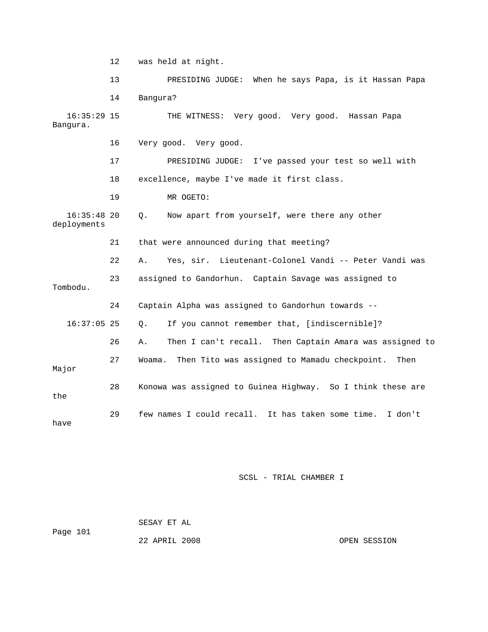12 was held at night. 13 PRESIDING JUDGE: When he says Papa, is it Hassan Papa 14 Bangura? 16:35:29 15 THE WITNESS: Very good. Very good. Hassan Papa Bangura. 16 Very good. Very good. 17 PRESIDING JUDGE: I've passed your test so well with 18 excellence, maybe I've made it first class. 19 MR OGETO: 16:35:48 20 Q. Now apart from yourself, were there any other deployments 21 that were announced during that meeting? 22 A. Yes, sir. Lieutenant-Colonel Vandi -- Peter Vandi was 23 assigned to Gandorhun. Captain Savage was assigned to Tombodu. 24 Captain Alpha was assigned to Gandorhun towards -- 16:37:05 25 Q. If you cannot remember that, [indiscernible]? 26 A. Then I can't recall. Then Captain Amara was assigned to 27 Woama. Then Tito was assigned to Mamadu checkpoint. Then Major 28 Konowa was assigned to Guinea Highway. So I think these are the 29 few names I could recall. It has taken some time. I don't have

SCSL - TRIAL CHAMBER I

 SESAY ET AL Page 101

22 APRIL 2008 OPEN SESSION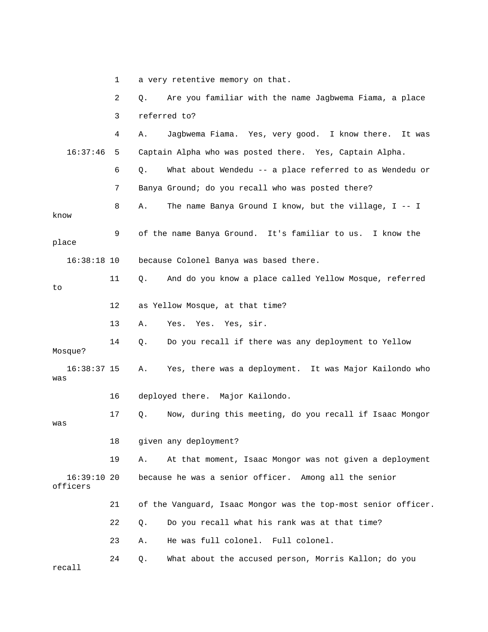|                        | 1  | a very retentive memory on that.                               |  |  |
|------------------------|----|----------------------------------------------------------------|--|--|
|                        | 2  | Are you familiar with the name Jagbwema Fiama, a place<br>Q.   |  |  |
|                        | 3  | referred to?                                                   |  |  |
|                        | 4  | Jagbwema Fiama. Yes, very good. I know there.<br>Α.<br>It was  |  |  |
| 16:37:46               | 5  | Captain Alpha who was posted there. Yes, Captain Alpha.        |  |  |
|                        | 6  | What about Wendedu -- a place referred to as Wendedu or<br>Q.  |  |  |
|                        | 7  | Banya Ground; do you recall who was posted there?              |  |  |
| know                   | 8  | The name Banya Ground I know, but the village, $I - I$<br>Α.   |  |  |
| place                  | 9  | of the name Banya Ground. It's familiar to us. I know the      |  |  |
| $16:38:18$ 10          |    | because Colonel Banya was based there.                         |  |  |
| to                     | 11 | And do you know a place called Yellow Mosque, referred<br>Q.   |  |  |
|                        | 12 | as Yellow Mosque, at that time?                                |  |  |
|                        | 13 | Yes. Yes, sir.<br>Α.<br>Yes.                                   |  |  |
| Mosque?                | 14 | Do you recall if there was any deployment to Yellow<br>Q.      |  |  |
| $16:38:37$ 15<br>was   |    | Yes, there was a deployment. It was Major Kailondo who<br>Α.   |  |  |
|                        | 16 | deployed there. Major Kailondo.                                |  |  |
| was                    | 17 | Now, during this meeting, do you recall if Isaac Mongor<br>Q.  |  |  |
|                        | 18 | given any deployment?                                          |  |  |
|                        | 19 | At that moment, Isaac Mongor was not given a deployment<br>Α.  |  |  |
| 16:39:1020<br>officers |    | because he was a senior officer. Among all the senior          |  |  |
|                        | 21 | of the Vanguard, Isaac Mongor was the top-most senior officer. |  |  |
|                        | 22 | Do you recall what his rank was at that time?<br>Q.            |  |  |
|                        | 23 | He was full colonel. Full colonel.<br>Α.                       |  |  |
| recall                 | 24 | What about the accused person, Morris Kallon; do you<br>Q.     |  |  |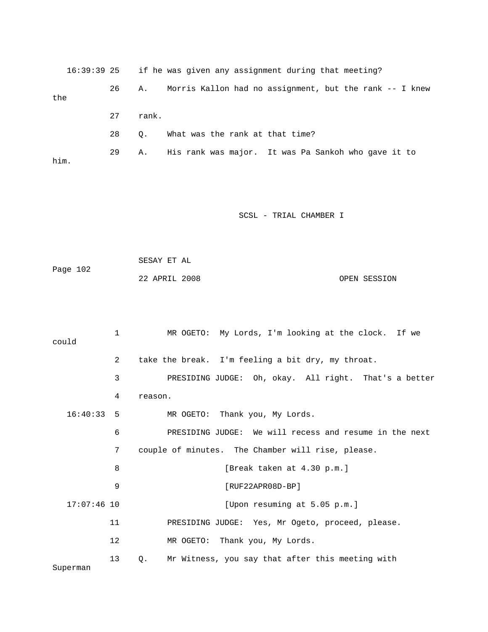16:39:39 25 if he was given any assignment during that meeting? 26 A. Morris Kallon had no assignment, but the rank -- I knew the 27 rank. 28 Q. What was the rank at that time? 29 A. His rank was major. It was Pa Sankoh who gave it to him.

SCSL - TRIAL CHAMBER I

| Page 102 | SESAY ET AL   |  |              |
|----------|---------------|--|--------------|
|          | 22 APRIL 2008 |  | OPEN SESSION |

| could         | 1  | MR OGETO: My Lords, I'm looking at the clock. If we    |
|---------------|----|--------------------------------------------------------|
|               | 2  | take the break. I'm feeling a bit dry, my throat.      |
|               | 3  | PRESIDING JUDGE: Oh, okay. All right. That's a better  |
|               | 4  | reason.                                                |
| $16:40:33$ 5  |    | MR OGETO: Thank you, My Lords.                         |
|               | 6  | PRESIDING JUDGE: We will recess and resume in the next |
|               | 7  | couple of minutes. The Chamber will rise, please.      |
|               | 8  | [Break taken at 4.30 p.m.]                             |
|               | 9  | $[RUF22APR08D-BP]$                                     |
| $17:07:46$ 10 |    | [Upon resuming at 5.05 p.m.]                           |
|               | 11 | PRESIDING JUDGE: Yes, Mr Ogeto, proceed, please.       |
|               | 12 | MR OGETO: Thank you, My Lords.                         |
| Superman      | 13 | Mr Witness, you say that after this meeting with<br>Q. |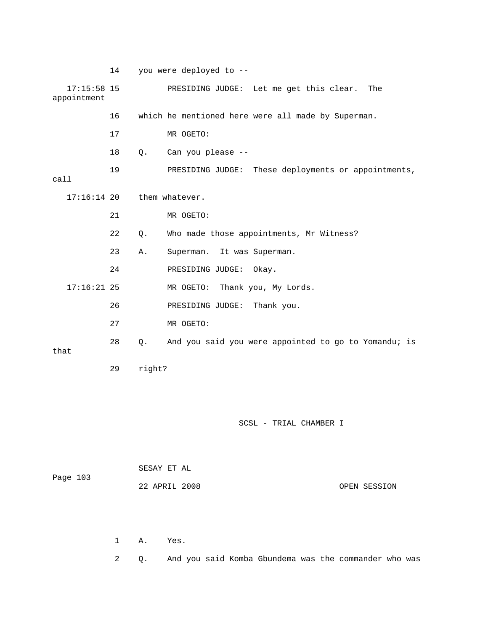|                              | 14           |        | you were deployed to --                                |
|------------------------------|--------------|--------|--------------------------------------------------------|
| $17:15:58$ 15<br>appointment |              |        | PRESIDING JUDGE: Let me get this clear.<br>The         |
|                              | 16           |        | which he mentioned here were all made by Superman.     |
|                              | 17           |        | MR OGETO:                                              |
|                              | 18           | Q.     | Can you please --                                      |
| call                         | 19           |        | PRESIDING JUDGE:<br>These deployments or appointments, |
| $17:16:14$ 20                |              |        | them whatever.                                         |
|                              | 21           |        | MR OGETO:                                              |
|                              | 22           | Q.     | Who made those appointments, Mr Witness?               |
|                              | 23           | Α.     | It was Superman.<br>Superman.                          |
|                              | 24           |        | PRESIDING JUDGE:<br>Okay.                              |
| $17:16:21$ 25                |              |        | MR OGETO: Thank you, My Lords.                         |
|                              | 26           |        | PRESIDING JUDGE: Thank you.                            |
|                              | 27           |        | MR OGETO:                                              |
| that                         | 28           | Q.     | And you said you were appointed to go to Yomandu; is   |
|                              | 29           | right? |                                                        |
|                              |              |        |                                                        |
|                              |              |        |                                                        |
|                              |              |        | SCSL - TRIAL CHAMBER I                                 |
|                              |              |        |                                                        |
|                              |              |        | SESAY ET AL                                            |
| Page 103                     |              |        | 22 APRIL 2008<br>OPEN SESSION                          |
|                              |              |        |                                                        |
|                              |              |        |                                                        |
|                              | $\mathbf{1}$ | Α.     | Yes.                                                   |
|                              | 2            | Q.     | And you said Komba Gbundema was the commander who was  |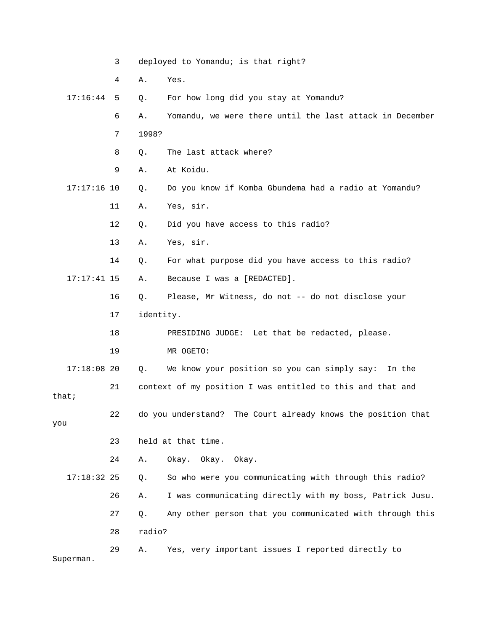|               | 3               | deployed to Yomandu; is that right? |                                                              |  |
|---------------|-----------------|-------------------------------------|--------------------------------------------------------------|--|
|               | 4               | Α.                                  | Yes.                                                         |  |
| 17:16:44      | 5               | Q.                                  | For how long did you stay at Yomandu?                        |  |
|               | 6               | Α.                                  | Yomandu, we were there until the last attack in December     |  |
|               | 7               | 1998?                               |                                                              |  |
|               | 8               | Q.                                  | The last attack where?                                       |  |
|               | 9               | Α.                                  | At Koidu.                                                    |  |
| $17:17:16$ 10 |                 | Q.                                  | Do you know if Komba Gbundema had a radio at Yomandu?        |  |
|               | 11              | Α.                                  | Yes, sir.                                                    |  |
|               | 12              | Q.                                  | Did you have access to this radio?                           |  |
|               | 13              | Α.                                  | Yes, sir.                                                    |  |
|               | 14              | Q.                                  | For what purpose did you have access to this radio?          |  |
| $17:17:41$ 15 |                 | Α.                                  | Because I was a [REDACTED].                                  |  |
|               | 16              | Q.                                  | Please, Mr Witness, do not -- do not disclose your           |  |
|               | identity.<br>17 |                                     |                                                              |  |
|               | 18              |                                     | PRESIDING JUDGE: Let that be redacted, please.               |  |
|               | 19              |                                     | MR OGETO:                                                    |  |
| $17:18:08$ 20 |                 | Q.                                  | We know your position so you can simply say: In the          |  |
| that;         | 21              |                                     | context of my position I was entitled to this and that and   |  |
| you           | 22              |                                     | do you understand? The Court already knows the position that |  |
|               | 23              |                                     | held at that time.                                           |  |
|               | 24              | Α.                                  | Okay. Okay.<br>Okay.                                         |  |
| $17:18:32$ 25 |                 | Q.                                  | So who were you communicating with through this radio?       |  |
|               | 26              | Α.                                  | I was communicating directly with my boss, Patrick Jusu.     |  |
|               | 27              | Q.                                  | Any other person that you communicated with through this     |  |
|               | 28              | radio?                              |                                                              |  |
| Superman.     | 29              | Α.                                  | Yes, very important issues I reported directly to            |  |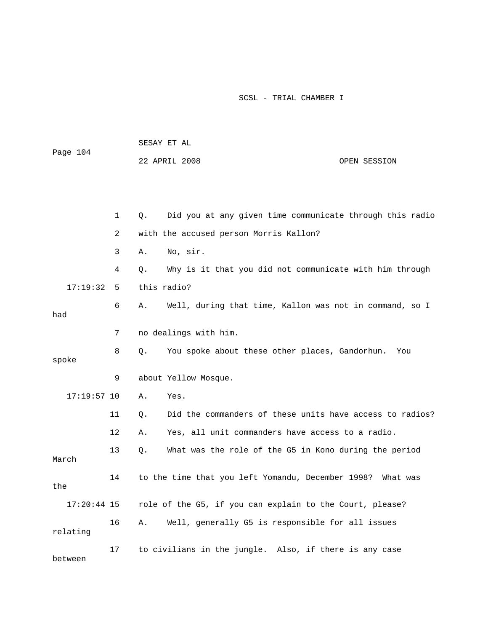| Page 104      |              |           | 22 APRIL 2008                                            | OPEN SESSION |
|---------------|--------------|-----------|----------------------------------------------------------|--------------|
|               |              |           |                                                          |              |
|               | $\mathbf{1}$ | $\circ$ . | Did you at any given time communicate through this radio |              |
|               | 2            |           | with the accused person Morris Kallon?                   |              |
|               | 3            | Α.        | No, sir.                                                 |              |
|               | 4            | О.        | Why is it that you did not communicate with him through  |              |
| 17:19:32      | 5            |           | this radio?                                              |              |
| had           | 6            | Α.        | Well, during that time, Kallon was not in command, so I  |              |
|               | 7            |           | no dealings with him.                                    |              |
| spoke         | 8            | Q.        | You spoke about these other places, Gandorhun.           | You          |
|               | 9            |           | about Yellow Mosque.                                     |              |
| $17:19:57$ 10 |              | Α.        | Yes.                                                     |              |
|               | 11           | Q.        | Did the commanders of these units have access to radios? |              |
|               | 12           | Α.        | Yes, all unit commanders have access to a radio.         |              |
| March         | 13           | Ο.        | What was the role of the G5 in Kono during the period    |              |
| the           | 14           |           | to the time that you left Yomandu, December 1998?        | What was     |
| $17:20:44$ 15 |              |           | role of the G5, if you can explain to the Court, please? |              |
| relating      | 16           | Α.        | Well, generally G5 is responsible for all issues         |              |
| between       | 17           |           | to civilians in the jungle. Also, if there is any case   |              |

SESAY ET AL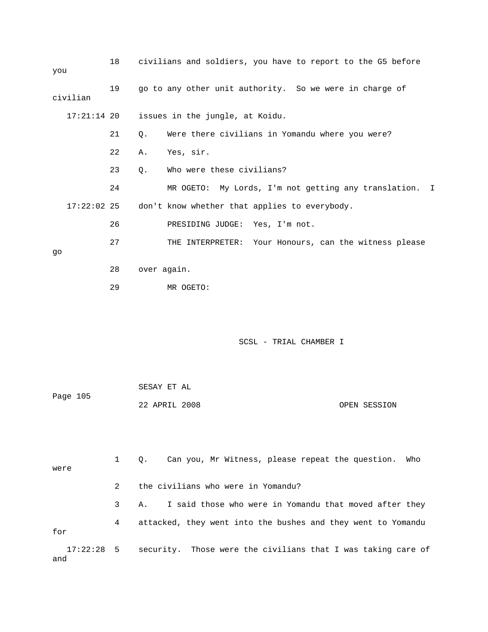| you           | 18 | civilians and soldiers, you have to report to the G5 before |
|---------------|----|-------------------------------------------------------------|
| civilian      | 19 | go to any other unit authority. So we were in charge of     |
| $17:21:14$ 20 |    | issues in the jungle, at Koidu.                             |
|               | 21 | Were there civilians in Yomandu where you were?<br>$Q$ .    |
|               | 22 | Yes, sir.<br>Α.                                             |
|               | 23 | Who were these civilians?<br>$Q$ .                          |
|               | 24 | MR OGETO: My Lords, I'm not getting any translation. I      |
| $17:22:02$ 25 |    | don't know whether that applies to everybody.               |
|               | 26 | PRESIDING JUDGE: Yes, I'm not.                              |
| qo            | 27 | THE INTERPRETER: Your Honours, can the witness please       |
|               | 28 | over again.                                                 |
|               | 29 | MR OGETO:                                                   |
|               |    |                                                             |
|               |    |                                                             |

| Page 105 | SESAY ET AL   |  |              |
|----------|---------------|--|--------------|
|          | 22 APRIL 2008 |  | OPEN SESSION |

 1 Q. Can you, Mr Witness, please repeat the question. Who were 2 the civilians who were in Yomandu? 3 A. I said those who were in Yomandu that moved after they 4 attacked, they went into the bushes and they went to Yomandu for 17:22:28 5 security. Those were the civilians that I was taking care of and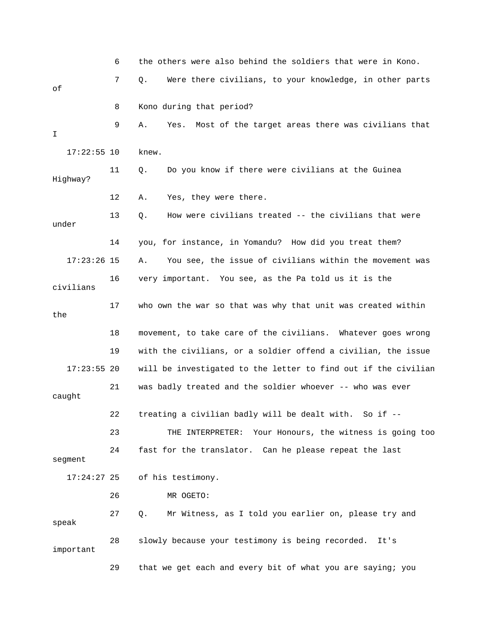6 the others were also behind the soldiers that were in Kono. 7 Q. Were there civilians, to your knowledge, in other parts of 8 Kono during that period? 9 A. Yes. Most of the target areas there was civilians that I 17:22:55 10 knew. 11 Q. Do you know if there were civilians at the Guinea Highway? 12 A. Yes, they were there. 13 Q. How were civilians treated -- the civilians that were under 14 you, for instance, in Yomandu? How did you treat them? 17:23:26 15 A. You see, the issue of civilians within the movement was 16 very important. You see, as the Pa told us it is the civilians 17 who own the war so that was why that unit was created within the 18 movement, to take care of the civilians. Whatever goes wrong 19 with the civilians, or a soldier offend a civilian, the issue 17:23:55 20 will be investigated to the letter to find out if the civilian 21 was badly treated and the soldier whoever -- who was ever caught 22 treating a civilian badly will be dealt with. So if -- 23 THE INTERPRETER: Your Honours, the witness is going too 24 fast for the translator. Can he please repeat the last segment 17:24:27 25 of his testimony. 26 MR OGETO: 27 Q. Mr Witness, as I told you earlier on, please try and speak 28 slowly because your testimony is being recorded. It's important 29 that we get each and every bit of what you are saying; you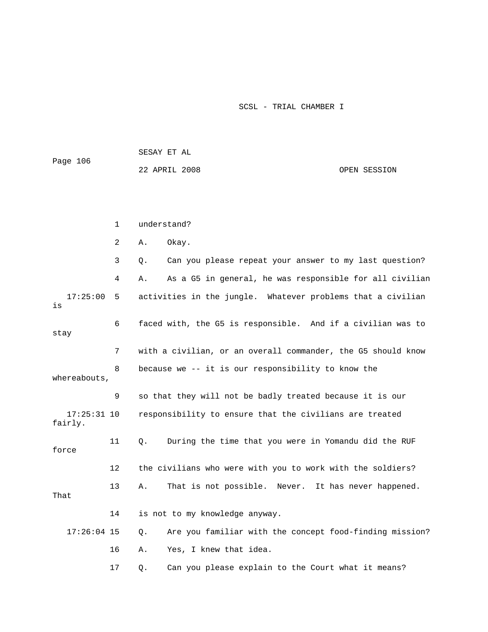| Page 106                 |    | SESAY ET AL |                                                              |              |  |  |  |  |
|--------------------------|----|-------------|--------------------------------------------------------------|--------------|--|--|--|--|
|                          |    |             | 22 APRIL 2008                                                | OPEN SESSION |  |  |  |  |
|                          |    |             |                                                              |              |  |  |  |  |
|                          |    |             |                                                              |              |  |  |  |  |
|                          | 1  |             | understand?                                                  |              |  |  |  |  |
|                          | 2  | Α.          | Okay.                                                        |              |  |  |  |  |
|                          | 3  | Q.          | Can you please repeat your answer to my last question?       |              |  |  |  |  |
|                          | 4  | Α.          | As a G5 in general, he was responsible for all civilian      |              |  |  |  |  |
| 17:25:00<br>is           | 5  |             | activities in the jungle. Whatever problems that a civilian  |              |  |  |  |  |
| stay                     | 6  |             | faced with, the G5 is responsible. And if a civilian was to  |              |  |  |  |  |
|                          | 7  |             | with a civilian, or an overall commander, the G5 should know |              |  |  |  |  |
| whereabouts,             | 8  |             | because we -- it is our responsibility to know the           |              |  |  |  |  |
|                          | 9  |             | so that they will not be badly treated because it is our     |              |  |  |  |  |
| $17:25:31$ 10<br>fairly. |    |             | responsibility to ensure that the civilians are treated      |              |  |  |  |  |
| force                    | 11 | $Q$ .       | During the time that you were in Yomandu did the RUF         |              |  |  |  |  |
|                          | 12 |             | the civilians who were with you to work with the soldiers?   |              |  |  |  |  |
| That                     | 13 | Α.          | That is not possible. Never. It has never happened.          |              |  |  |  |  |

| 14 | is not to my knowledge anyway.                                         |
|----|------------------------------------------------------------------------|
|    | 17:26:04 15 0. Are you familiar with the concept food-finding mission? |
|    | 16 A. Yes, I knew that idea.                                           |

17 Q. Can you please explain to the Court what it means?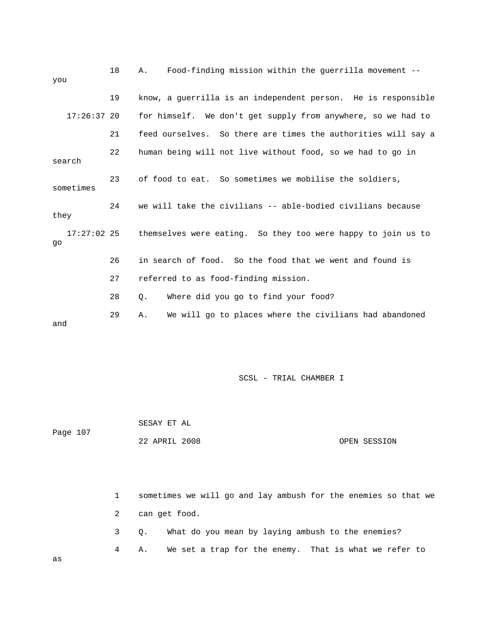| you                 | 18 | Food-finding mission within the guerrilla movement --<br>Α.   |
|---------------------|----|---------------------------------------------------------------|
|                     | 19 | know, a guerrilla is an independent person. He is responsible |
| $17:26:37$ 20       |    | for himself. We don't get supply from anywhere, so we had to  |
|                     | 21 | feed ourselves. So there are times the authorities will say a |
| search              | 22 | human being will not live without food, so we had to go in    |
| sometimes           | 23 | of food to eat. So sometimes we mobilise the soldiers,        |
| they                | 24 | we will take the civilians -- able-bodied civilians because   |
| $17:27:02$ 25<br>qo |    | themselves were eating. So they too were happy to join us to  |
|                     | 26 | in search of food. So the food that we went and found is      |
|                     | 27 | referred to as food-finding mission.                          |
|                     | 28 | Where did you go to find your food?<br>Q.                     |
| and                 | 29 | We will go to places where the civilians had abandoned<br>Α.  |

 SESAY ET AL Page 107 22 APRIL 2008 OPEN SESSION

 1 sometimes we will go and lay ambush for the enemies so that we 2 can get food. 3 Q. What do you mean by laying ambush to the enemies? 4 A. We set a trap for the enemy. That is what we refer to

as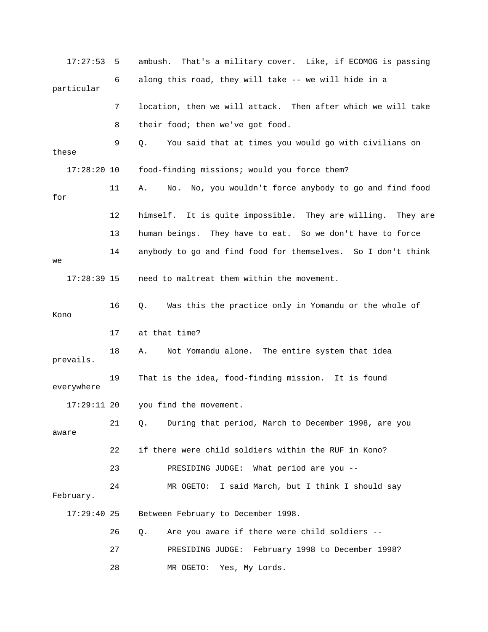| 17:27:53      | 5  | ambush. That's a military cover. Like, if ECOMOG is passing    |
|---------------|----|----------------------------------------------------------------|
| particular    | 6  | along this road, they will take -- we will hide in a           |
|               | 7  | location, then we will attack. Then after which we will take   |
|               | 8  | their food; then we've got food.                               |
| these         | 9  | You said that at times you would go with civilians on<br>Q.    |
| $17:28:20$ 10 |    | food-finding missions; would you force them?                   |
| for           | 11 | No. No, you wouldn't force anybody to go and find food<br>Α.   |
|               | 12 | himself. It is quite impossible. They are willing.<br>They are |
|               | 13 | human beings. They have to eat. So we don't have to force      |
| we            | 14 | anybody to go and find food for themselves. So I don't think   |
| $17:28:39$ 15 |    | need to maltreat them within the movement.                     |
| Kono          | 16 | Was this the practice only in Yomandu or the whole of<br>Q.    |
|               | 17 | at that time?                                                  |
| prevails.     | 18 | Not Yomandu alone. The entire system that idea<br>Α.           |
| everywhere    | 19 | That is the idea, food-finding mission. It is found            |
| 17:29:11 20   |    | you find the movement.                                         |
| aware         | 21 | During that period, March to December 1998, are you<br>Q.      |
|               | 22 | if there were child soldiers within the RUF in Kono?           |
|               | 23 | PRESIDING JUDGE: What period are you --                        |
| February.     | 24 | MR OGETO: I said March, but I think I should say               |
| $17:29:40$ 25 |    | Between February to December 1998.                             |
|               | 26 | Are you aware if there were child soldiers --<br>Q.            |
|               | 27 | PRESIDING JUDGE: February 1998 to December 1998?               |
|               | 28 | MR OGETO:<br>Yes, My Lords.                                    |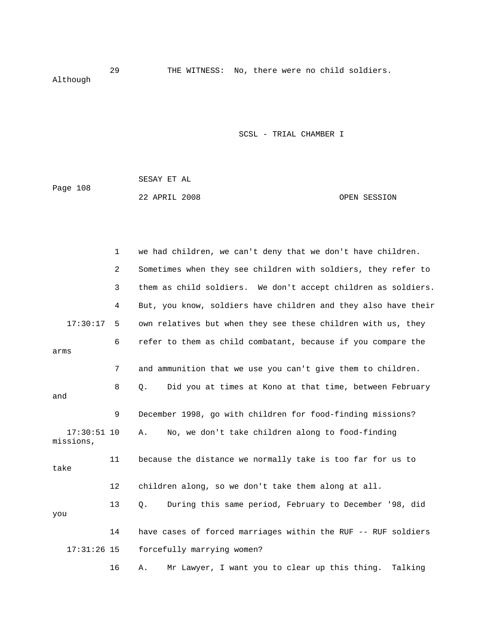29 THE WITNESS: No, there were no child soldiers. Although

SCSL - TRIAL CHAMBER I

|          | SESAY ET AL   |  |              |
|----------|---------------|--|--------------|
| Page 108 |               |  |              |
|          | 22 APRIL 2008 |  | OPEN SESSION |

|                            | $\mathbf 1$ | we had children, we can't deny that we don't have children.    |
|----------------------------|-------------|----------------------------------------------------------------|
|                            | 2           | Sometimes when they see children with soldiers, they refer to  |
|                            | 3           | them as child soldiers. We don't accept children as soldiers.  |
|                            | 4           | But, you know, soldiers have children and they also have their |
| 17:30:17                   | 5           | own relatives but when they see these children with us, they   |
| arms                       | 6           | refer to them as child combatant, because if you compare the   |
|                            | 7           | and ammunition that we use you can't give them to children.    |
| and                        | 8           | Q.<br>Did you at times at Kono at that time, between February  |
|                            | 9           | December 1998, go with children for food-finding missions?     |
| $17:30:51$ 10<br>missions, |             | No, we don't take children along to food-finding<br>Α.         |
| take                       | 11          | because the distance we normally take is too far for us to     |
|                            | 12          | children along, so we don't take them along at all.            |
| you                        | 13          | During this same period, February to December '98, did<br>Q.   |
|                            | 14          | have cases of forced marriages within the RUF -- RUF soldiers  |
| $17:31:26$ 15              |             | forcefully marrying women?                                     |
|                            | 16          | Mr Lawyer, I want you to clear up this thing.<br>Talking<br>Α. |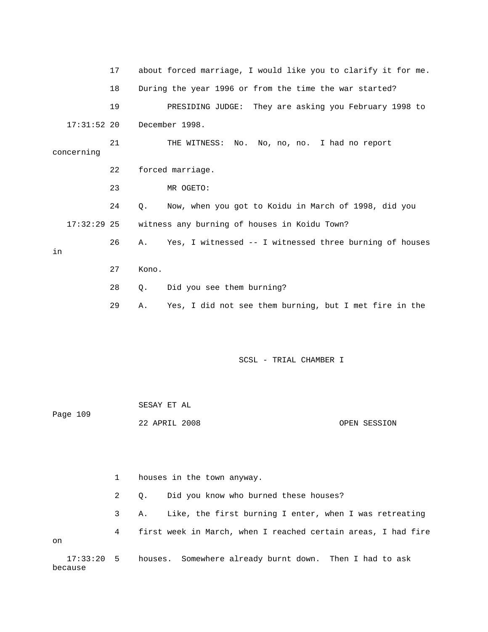17 about forced marriage, I would like you to clarify it for me. 18 During the year 1996 or from the time the war started? 19 PRESIDING JUDGE: They are asking you February 1998 to 17:31:52 20 December 1998. 21 THE WITNESS: No. No, no, no. I had no report concerning 22 forced marriage. 23 MR OGETO: 24 Q. Now, when you got to Koidu in March of 1998, did you 17:32:29 25 witness any burning of houses in Koidu Town? 26 A. Yes, I witnessed -- I witnessed three burning of houses in 27 Kono. 28 Q. Did you see them burning? 29 A. Yes, I did not see them burning, but I met fire in the

SCSL - TRIAL CHAMBER I

| Page 109 | SESAY ET AL   |  |              |
|----------|---------------|--|--------------|
|          | 22 APRIL 2008 |  | OPEN SESSION |

 1 houses in the town anyway. 2 Q. Did you know who burned these houses? 3 A. Like, the first burning I enter, when I was retreating 4 first week in March, when I reached certain areas, I had fire on 17:33:20 5 houses. Somewhere already burnt down. Then I had to ask

because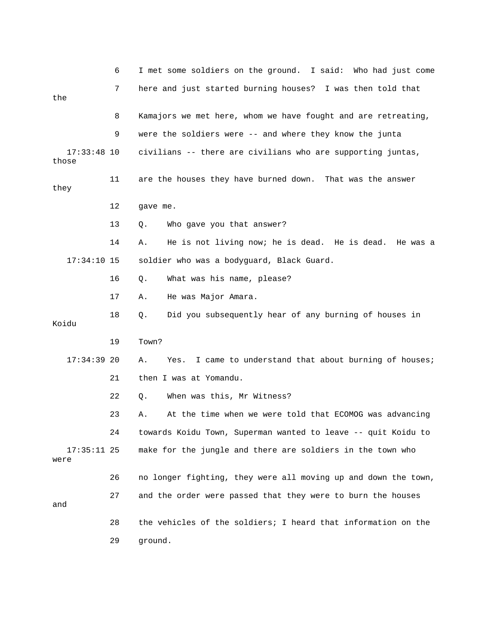|                        | 6  | I met some soldiers on the ground. I said: Who had just come     |
|------------------------|----|------------------------------------------------------------------|
|                        | 7  | here and just started burning houses? I was then told that       |
| the                    |    |                                                                  |
|                        | 8  | Kamajors we met here, whom we have fought and are retreating,    |
|                        | 9  | were the soldiers were -- and where they know the junta          |
| $17:33:48$ 10<br>those |    | civilians -- there are civilians who are supporting juntas,      |
| they                   | 11 | are the houses they have burned down. That was the answer        |
|                        | 12 | gave me.                                                         |
|                        | 13 | Who gave you that answer?<br>Q.                                  |
|                        | 14 | He is not living now; he is dead. He is dead.<br>Α.<br>He was a  |
| $17:34:10$ 15          |    | soldier who was a bodyguard, Black Guard.                        |
|                        | 16 | $Q$ .<br>What was his name, please?                              |
|                        | 17 | He was Major Amara.<br>Α.                                        |
| Koidu                  | 18 | Q.<br>Did you subsequently hear of any burning of houses in      |
|                        | 19 | Town?                                                            |
| $17:34:39$ 20          |    | I came to understand that about burning of houses;<br>Α.<br>Yes. |
|                        | 21 | then I was at Yomandu.                                           |
|                        | 22 | When was this, Mr Witness?<br>Q.                                 |
|                        | 23 | At the time when we were told that ECOMOG was advancing<br>Α.    |
|                        | 24 | towards Koidu Town, Superman wanted to leave -- quit Koidu to    |
| $17:35:11$ 25<br>were  |    | make for the jungle and there are soldiers in the town who       |
|                        | 26 | no longer fighting, they were all moving up and down the town,   |
| and                    | 27 | and the order were passed that they were to burn the houses      |
|                        | 28 | the vehicles of the soldiers; I heard that information on the    |
|                        | 29 | ground.                                                          |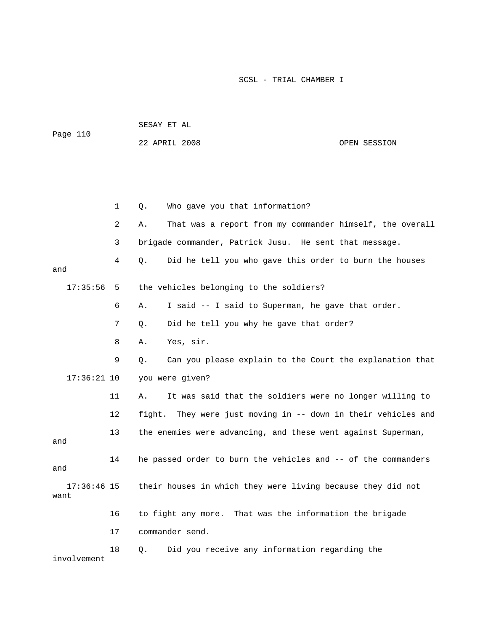|          | SESAY ET AL   |  |              |
|----------|---------------|--|--------------|
| Page 110 |               |  |              |
|          | 22 APRIL 2008 |  | OPEN SESSION |

|                       | 1              | Who gave you that information?<br>Q.                           |
|-----------------------|----------------|----------------------------------------------------------------|
|                       | $\overline{a}$ | That was a report from my commander himself, the overall<br>Α. |
|                       | 3              | brigade commander, Patrick Jusu. He sent that message.         |
| and                   | 4              | Did he tell you who gave this order to burn the houses<br>Q.   |
| 17:35:56              | 5              | the vehicles belonging to the soldiers?                        |
|                       | 6              | I said -- I said to Superman, he gave that order.<br>Α.        |
|                       | 7              | Did he tell you why he gave that order?<br>Q.                  |
|                       | 8              | Yes, sir.<br>Α.                                                |
|                       | 9              | Can you please explain to the Court the explanation that<br>Q. |
| $17:36:21$ 10         |                | you were given?                                                |
|                       | 11             | It was said that the soldiers were no longer willing to<br>Α.  |
|                       | 12             | fight. They were just moving in -- down in their vehicles and  |
| and                   | 13             | the enemies were advancing, and these went against Superman,   |
| and                   | 14             | he passed order to burn the vehicles and -- of the commanders  |
| $17:36:46$ 15<br>want |                | their houses in which they were living because they did not    |
|                       | 16             | to fight any more. That was the information the brigade        |
|                       | 17             | commander send.                                                |
| involvement           | 18             | Did you receive any information regarding the<br>Q.            |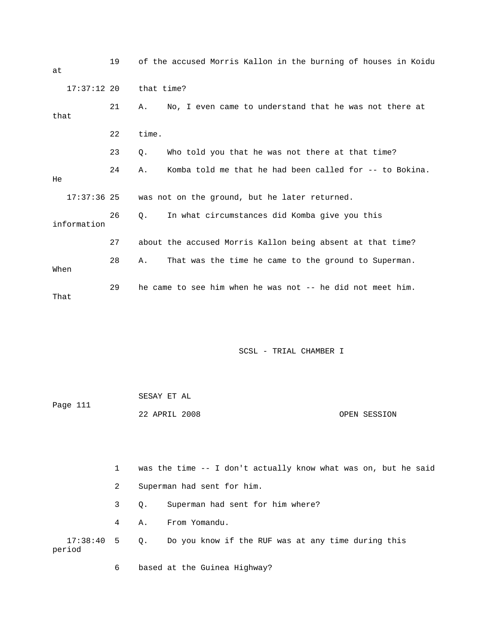| at   |               | 19 |            | of the accused Morris Kallon in the burning of houses in Koidu |
|------|---------------|----|------------|----------------------------------------------------------------|
|      | $17:37:12$ 20 |    | that time? |                                                                |
| that |               | 21 | Α.         | No, I even came to understand that he was not there at         |
|      |               | 22 | time.      |                                                                |
|      |               | 23 | О.         | Who told you that he was not there at that time?               |
| He   |               | 24 | Α.         | Komba told me that he had been called for -- to Bokina.        |
|      | $17:37:36$ 25 |    |            | was not on the ground, but he later returned.                  |
|      | information   | 26 | О.         | In what circumstances did Komba give you this                  |
|      |               | 27 |            | about the accused Morris Kallon being absent at that time?     |
| When |               | 28 | Α.         | That was the time he came to the ground to Superman.           |
| That |               | 29 |            | he came to see him when he was not -- he did not meet him.     |

| Page 111 | SESAY ET AL   |  |              |
|----------|---------------|--|--------------|
|          | 22 APRIL 2008 |  | OPEN SESSION |

 1 was the time -- I don't actually know what was on, but he said 2 Superman had sent for him. 3 Q. Superman had sent for him where? 4 A. From Yomandu. 17:38:40 5 Q. Do you know if the RUF was at any time during this period

6 based at the Guinea Highway?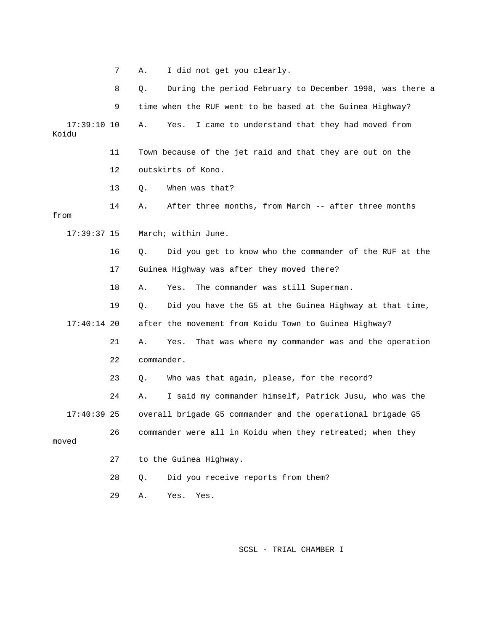|                        | 7  | I did not get you clearly.<br>Α.                                 |
|------------------------|----|------------------------------------------------------------------|
|                        | 8  | Q.<br>During the period February to December 1998, was there a   |
|                        | 9  | time when the RUF went to be based at the Guinea Highway?        |
| $17:39:10$ 10<br>Koidu |    | I came to understand that they had moved from<br>Yes.<br>Α.      |
|                        | 11 | Town because of the jet raid and that they are out on the        |
|                        | 12 | outskirts of Kono.                                               |
|                        | 13 | When was that?<br>Q.                                             |
| from                   | 14 | After three months, from March -- after three months<br>Α.       |
| $17:39:37$ 15          |    | March; within June.                                              |
|                        | 16 | Did you get to know who the commander of the RUF at the<br>$Q$ . |
|                        | 17 | Guinea Highway was after they moved there?                       |
|                        | 18 | The commander was still Superman.<br>Α.<br>Yes.                  |
|                        | 19 | Did you have the G5 at the Guinea Highway at that time,<br>Q.    |
| $17:40:14$ 20          |    | after the movement from Koidu Town to Guinea Highway?            |
|                        | 21 | That was where my commander was and the operation<br>Α.<br>Yes.  |
|                        | 22 | commander.                                                       |
|                        | 23 | Who was that again, please, for the record?<br>Q.                |
|                        | 24 | I said my commander himself, Patrick Jusu, who was the<br>Α.     |
| $17:40:39$ 25          |    | overall brigade G5 commander and the operational brigade G5      |
| moved                  | 26 | commander were all in Koidu when they retreated; when they       |
|                        | 27 | to the Guinea Highway.                                           |
|                        | 28 | Did you receive reports from them?<br>Q.                         |
|                        | 29 | Yes.<br>Α.<br>Yes.                                               |
|                        |    |                                                                  |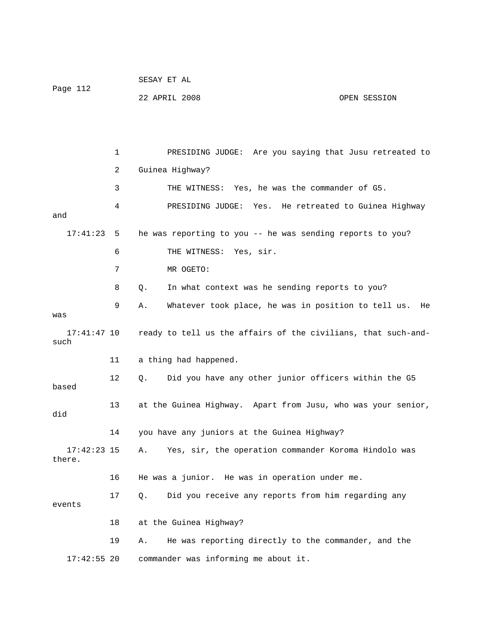| Page 112 | SESAY ET AL   |  |              |
|----------|---------------|--|--------------|
|          | 22 APRIL 2008 |  | OPEN SESSION |

 1 PRESIDING JUDGE: Are you saying that Jusu retreated to 2 Guinea Highway? 3 THE WITNESS: Yes, he was the commander of G5. 4 PRESIDING JUDGE: Yes. He retreated to Guinea Highway and 17:41:23 5 he was reporting to you -- he was sending reports to you? 6 THE WITNESS: Yes, sir. 7 MR OGETO: 8 Q. In what context was he sending reports to you? 9 A. Whatever took place, he was in position to tell us. He was 17:41:47 10 ready to tell us the affairs of the civilians, that such-andsuch 11 a thing had happened. 12 Q. Did you have any other junior officers within the G5 based 13 at the Guinea Highway. Apart from Jusu, who was your senior, did 14 you have any juniors at the Guinea Highway? 17:42:23 15 A. Yes, sir, the operation commander Koroma Hindolo was there. 16 He was a junior. He was in operation under me. 17 Q. Did you receive any reports from him regarding any events 18 at the Guinea Highway? 19 A. He was reporting directly to the commander, and the 17:42:55 20 commander was informing me about it.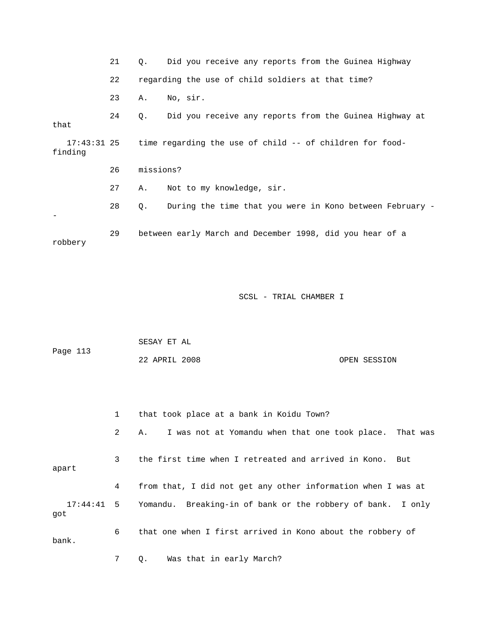21 Q. Did you receive any reports from the Guinea Highway 22 regarding the use of child soldiers at that time? 23 A. No, sir. 24 Q. Did you receive any reports from the Guinea Highway at that 17:43:31 25 time regarding the use of child -- of children for foodfinding 26 missions? 27 A. Not to my knowledge, sir. 28 Q. During the time that you were in Kono between February - - 29 between early March and December 1998, did you hear of a robbery

SCSL - TRIAL CHAMBER I

| Page 113 | SESAY ET AL   |  |              |
|----------|---------------|--|--------------|
|          | 22 APRIL 2008 |  | OPEN SESSION |

|                     | $\mathbf{1}$ | that took place at a bank in Koidu Town?                      |
|---------------------|--------------|---------------------------------------------------------------|
|                     | $2^{\circ}$  | I was not at Yomandu when that one took place. That was<br>Α. |
| apart               | 3            | the first time when I retreated and arrived in Kono. But      |
|                     | 4            | from that, I did not get any other information when I was at  |
| $17:44:41$ 5<br>qot |              | Yomandu. Breaking-in of bank or the robbery of bank. I only   |
| bank.               | 6            | that one when I first arrived in Kono about the robbery of    |

7 Q. Was that in early March?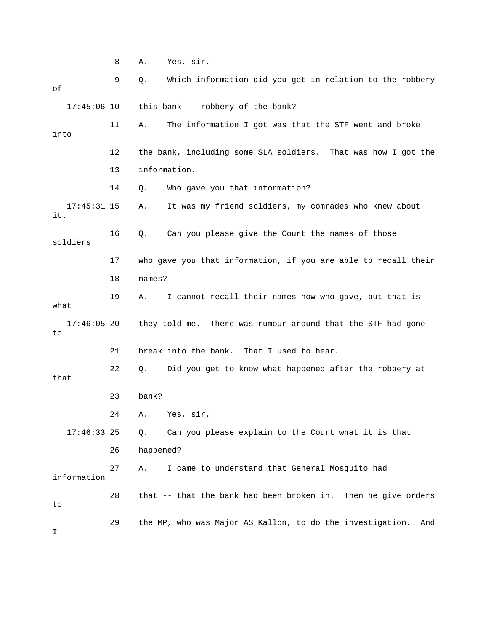8 A. Yes, sir. 9 Q. Which information did you get in relation to the robbery of 17:45:06 10 this bank -- robbery of the bank? 11 A. The information I got was that the STF went and broke into 12 the bank, including some SLA soldiers. That was how I got the 13 information. 14 Q. Who gave you that information? 17:45:31 15 A. It was my friend soldiers, my comrades who knew about it. 16 Q. Can you please give the Court the names of those soldiers 17 who gave you that information, if you are able to recall their 18 names? 19 A. I cannot recall their names now who gave, but that is what 17:46:05 20 they told me. There was rumour around that the STF had gone to 21 break into the bank. That I used to hear. 22 Q. Did you get to know what happened after the robbery at that 23 bank? 24 A. Yes, sir. 17:46:33 25 Q. Can you please explain to the Court what it is that 26 happened? 27 A. I came to understand that General Mosquito had information 28 that -- that the bank had been broken in. Then he give orders to 29 the MP, who was Major AS Kallon, to do the investigation. And I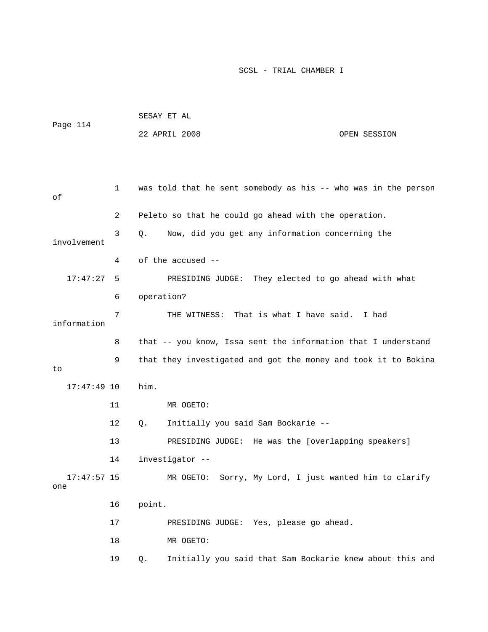| Page 114     |                | SESAY ET AL                                                      |              |
|--------------|----------------|------------------------------------------------------------------|--------------|
|              |                | 22 APRIL 2008                                                    | OPEN SESSION |
|              |                |                                                                  |              |
|              |                |                                                                  |              |
| οf           |                | 1 was told that he sent somebody as his -- who was in the person |              |
|              | $\overline{2}$ | Peleto so that he could go ahead with the operation.             |              |
| involvement  | 3              | Q. Now, did you get any information concerning the               |              |
|              | 4              | of the accused --                                                |              |
| $17:47:27$ 5 |                | PRESIDING JUDGE: They elected to go ahead with what              |              |
|              | 6              | operation?                                                       |              |
| information  | 7              | THE WITNESS: That is what I have said. I had                     |              |

 8 that -- you know, Issa sent the information that I understand 9 that they investigated and got the money and took it to Bokina to 17:47:49 10 him. 11 MR OGETO: 12 Q. Initially you said Sam Bockarie -- 13 PRESIDING JUDGE: He was the [overlapping speakers] 14 investigator --

 17:47:57 15 MR OGETO: Sorry, My Lord, I just wanted him to clarify one 16 point. 17 PRESIDING JUDGE: Yes, please go ahead.

18 MR OGETO:

19 Q. Initially you said that Sam Bockarie knew about this and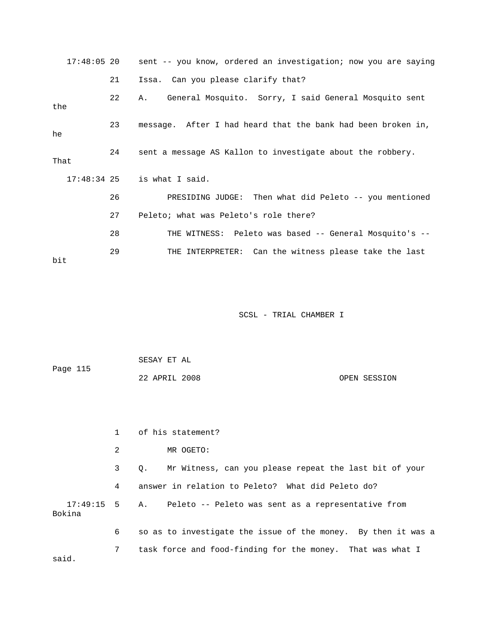| $17:48:05$ 20 |    | sent -- you know, ordered an investigation; now you are saying |
|---------------|----|----------------------------------------------------------------|
|               | 21 | Issa. Can you please clarify that?                             |
| the           | 22 | General Mosquito. Sorry, I said General Mosquito sent<br>A.    |
| he            | 23 | message. After I had heard that the bank had been broken in,   |
| That          | 24 | sent a message AS Kallon to investigate about the robbery.     |
|               |    | $17:48:34$ 25 is what I said.                                  |
|               | 26 | PRESIDING JUDGE: Then what did Peleto -- you mentioned         |
|               | 27 | Peleto; what was Peleto's role there?                          |
|               | 28 | THE WITNESS: Peleto was based -- General Mosquito's --         |
| bit           | 29 | THE INTERPRETER: Can the witness please take the last          |

| Page 115 | SESAY ET AL   |              |
|----------|---------------|--------------|
|          | 22 APRIL 2008 | OPEN SESSION |

|                | of his statement?                                                |
|----------------|------------------------------------------------------------------|
| 2              | MR OGETO:                                                        |
| 3 <sup>7</sup> | Mr Witness, can you please repeat the last bit of your<br>0.     |
| 4              | answer in relation to Peleto? What did Peleto do?                |
|                | 17:49:15 5 A. Peleto -- Peleto was sent as a representative from |
| 6              | so as to investigate the issue of the money. By then it was a    |
| 7              | task force and food-finding for the money. That was what I       |
|                |                                                                  |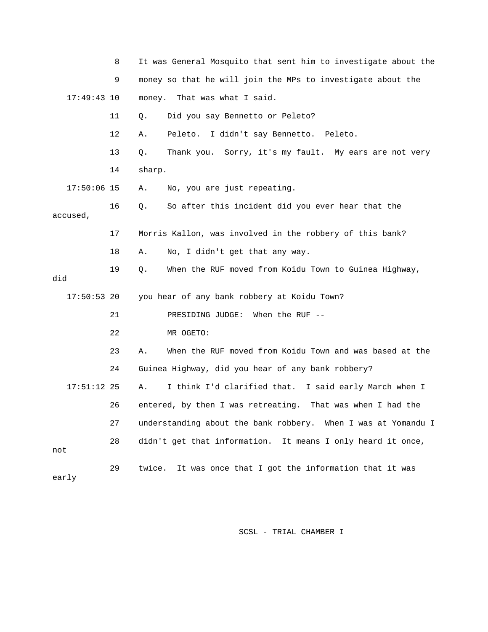|               | 8                                                            | It was General Mosquito that sent him to investigate about the |
|---------------|--------------------------------------------------------------|----------------------------------------------------------------|
|               | 9                                                            | money so that he will join the MPs to investigate about the    |
| $17:49:43$ 10 |                                                              | That was what I said.<br>money.                                |
|               | 11                                                           | Did you say Bennetto or Peleto?<br>Q.                          |
|               | 12                                                           | I didn't say Bennetto. Peleto.<br>Α.<br>Peleto.                |
|               | 13                                                           | Thank you. Sorry, it's my fault. My ears are not very<br>Q.    |
|               | 14                                                           | sharp.                                                         |
| $17:50:06$ 15 |                                                              | No, you are just repeating.<br>Α.                              |
| accused,      | 16                                                           | So after this incident did you ever hear that the<br>Q.        |
|               | 17                                                           | Morris Kallon, was involved in the robbery of this bank?       |
|               | 18                                                           | Α.<br>No, I didn't get that any way.                           |
| did           | 19                                                           | When the RUF moved from Koidu Town to Guinea Highway,<br>Q.    |
|               | $17:50:53$ 20<br>you hear of any bank robbery at Koidu Town? |                                                                |
|               | 21                                                           | PRESIDING JUDGE:<br>When the RUF $-$ -                         |
|               | 22                                                           | MR OGETO:                                                      |
|               | 23                                                           | When the RUF moved from Koidu Town and was based at the<br>Α.  |
|               | 24                                                           | Guinea Highway, did you hear of any bank robbery?              |
| $17:51:12$ 25 |                                                              | I think I'd clarified that. I said early March when I<br>Α.    |
|               | 26                                                           | entered, by then I was retreating. That was when I had the     |
|               | 27                                                           | understanding about the bank robbery. When I was at Yomandu I  |
| not           | 28                                                           | didn't get that information. It means I only heard it once,    |
| early         | 29                                                           | It was once that I got the information that it was<br>twice.   |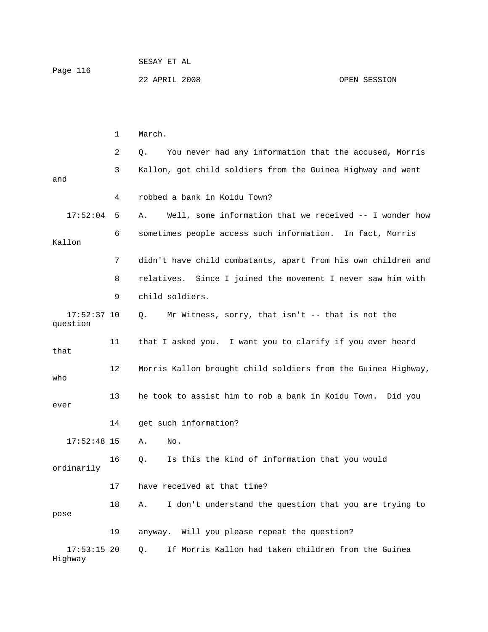|          | SESAY ET AL   |              |
|----------|---------------|--------------|
| Page 116 |               |              |
|          | 22 APRIL 2008 | OPEN SESSION |

 1 March. 2 Q. You never had any information that the accused, Morris 3 Kallon, got child soldiers from the Guinea Highway and went and 4 robbed a bank in Koidu Town? 17:52:04 5 A. Well, some information that we received -- I wonder how 6 sometimes people access such information. In fact, Morris Kallon 7 didn't have child combatants, apart from his own children and 8 relatives. Since I joined the movement I never saw him with 9 child soldiers. 17:52:37 10 Q. Mr Witness, sorry, that isn't -- that is not the question 11 that I asked you. I want you to clarify if you ever heard that 12 Morris Kallon brought child soldiers from the Guinea Highway, who 13 he took to assist him to rob a bank in Koidu Town. Did you ever 14 get such information? 17:52:48 15 A. No. 16 Q. Is this the kind of information that you would ordinarily 17 have received at that time? 18 A. I don't understand the question that you are trying to pose 19 anyway. Will you please repeat the question? 17:53:15 20 Q. If Morris Kallon had taken children from the Guinea Highway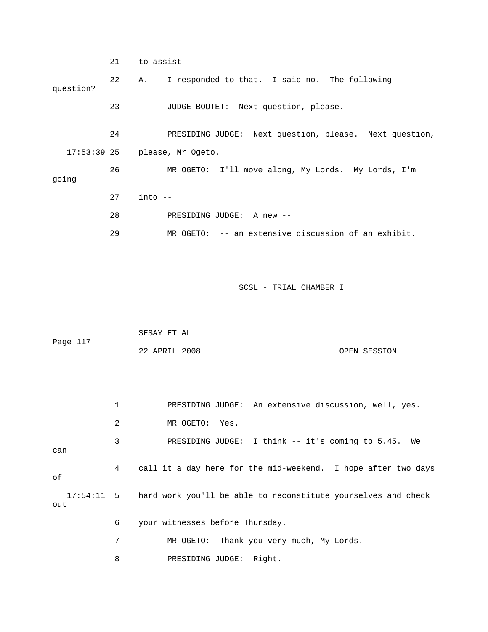21 to assist -- 22 A. I responded to that. I said no. The following question? 23 JUDGE BOUTET: Next question, please. 24 PRESIDING JUDGE: Next question, please. Next question, 17:53:39 25 please, Mr Ogeto. 26 MR OGETO: I'll move along, My Lords. My Lords, I'm going 27 into -- 28 PRESIDING JUDGE: A new -- 29 MR OGETO: -- an extensive discussion of an exhibit. SCSL - TRIAL CHAMBER I SESAY ET AL Page 117 22 APRIL 2008 OPEN SESSION 1 PRESIDING JUDGE: An extensive discussion, well, yes. 2 MR OGETO: Yes. 3 PRESIDING JUDGE: I think -- it's coming to 5.45. We can 4 call it a day here for the mid-weekend. I hope after two days of 17:54:11 5 hard work you'll be able to reconstitute yourselves and check out 6 your witnesses before Thursday. 7 MR OGETO: Thank you very much, My Lords.

8 PRESIDING JUDGE: Right.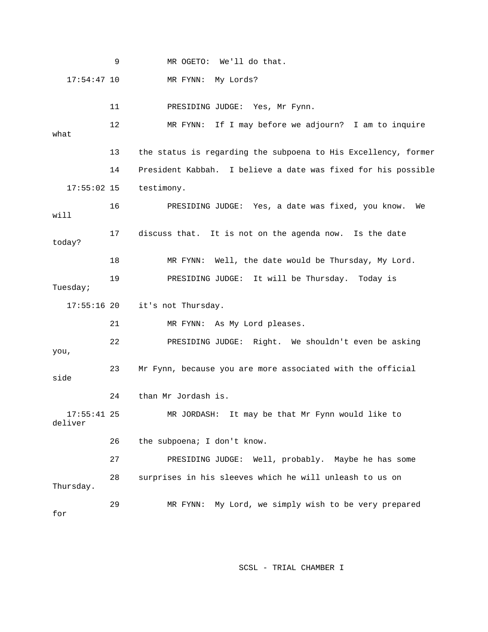9 MR OGETO: We'll do that. 17:54:47 10 MR FYNN: My Lords? 11 PRESIDING JUDGE: Yes, Mr Fynn. 12 MR FYNN: If I may before we adjourn? I am to inquire what 13 the status is regarding the subpoena to His Excellency, former 14 President Kabbah. I believe a date was fixed for his possible 17:55:02 15 testimony. 16 PRESIDING JUDGE: Yes, a date was fixed, you know. We will 17 discuss that. It is not on the agenda now. Is the date today? 18 MR FYNN: Well, the date would be Thursday, My Lord. 19 PRESIDING JUDGE: It will be Thursday. Today is Tuesday; 17:55:16 20 it's not Thursday. 21 MR FYNN: As My Lord pleases. 22 PRESIDING JUDGE: Right. We shouldn't even be asking you, 23 Mr Fynn, because you are more associated with the official side 24 than Mr Jordash is. 17:55:41 25 MR JORDASH: It may be that Mr Fynn would like to deliver 26 the subpoena; I don't know. 27 PRESIDING JUDGE: Well, probably. Maybe he has some 28 surprises in his sleeves which he will unleash to us on Thursday. 29 MR FYNN: My Lord, we simply wish to be very prepared for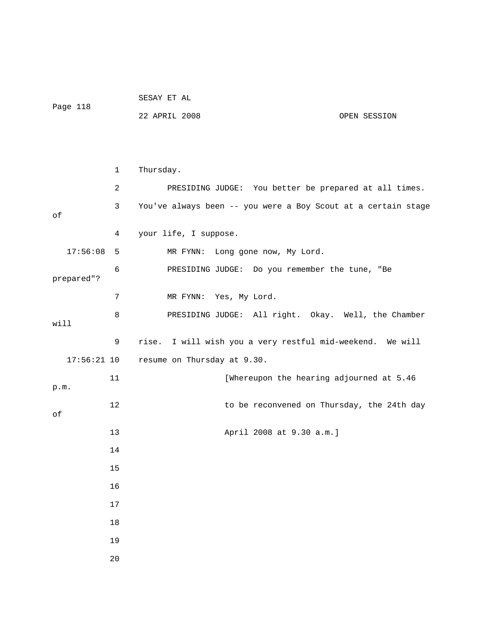| Page 118 | SESAY ET AL   |              |
|----------|---------------|--------------|
|          | 22 APRIL 2008 | OPEN SESSION |

|               | 1              | Thursday.                                                     |
|---------------|----------------|---------------------------------------------------------------|
|               | 2              | PRESIDING JUDGE: You better be prepared at all times.         |
| οf            | 3              | You've always been -- you were a Boy Scout at a certain stage |
|               | 4              | your life, I suppose.                                         |
| 17:56:08      | 5              | Long gone now, My Lord.<br>MR FYNN:                           |
| prepared"?    | 6              | PRESIDING JUDGE: Do you remember the tune, "Be                |
|               | $\overline{7}$ | MR FYNN: Yes, My Lord.                                        |
| will          | 8              | PRESIDING JUDGE: All right. Okay. Well, the Chamber           |
|               | 9              | I will wish you a very restful mid-weekend. We will<br>rise.  |
| $17:56:21$ 10 |                | resume on Thursday at 9.30.                                   |
| p.m.          | 11             | [Whereupon the hearing adjourned at 5.46                      |
| οf            | 12             | to be reconvened on Thursday, the 24th day                    |
|               | 13             | April 2008 at 9.30 a.m.]                                      |
|               | 14             |                                                               |
|               | 15             |                                                               |
|               | 16             |                                                               |
|               | 17             |                                                               |
|               | 18             |                                                               |
|               | 19             |                                                               |
|               | 20             |                                                               |